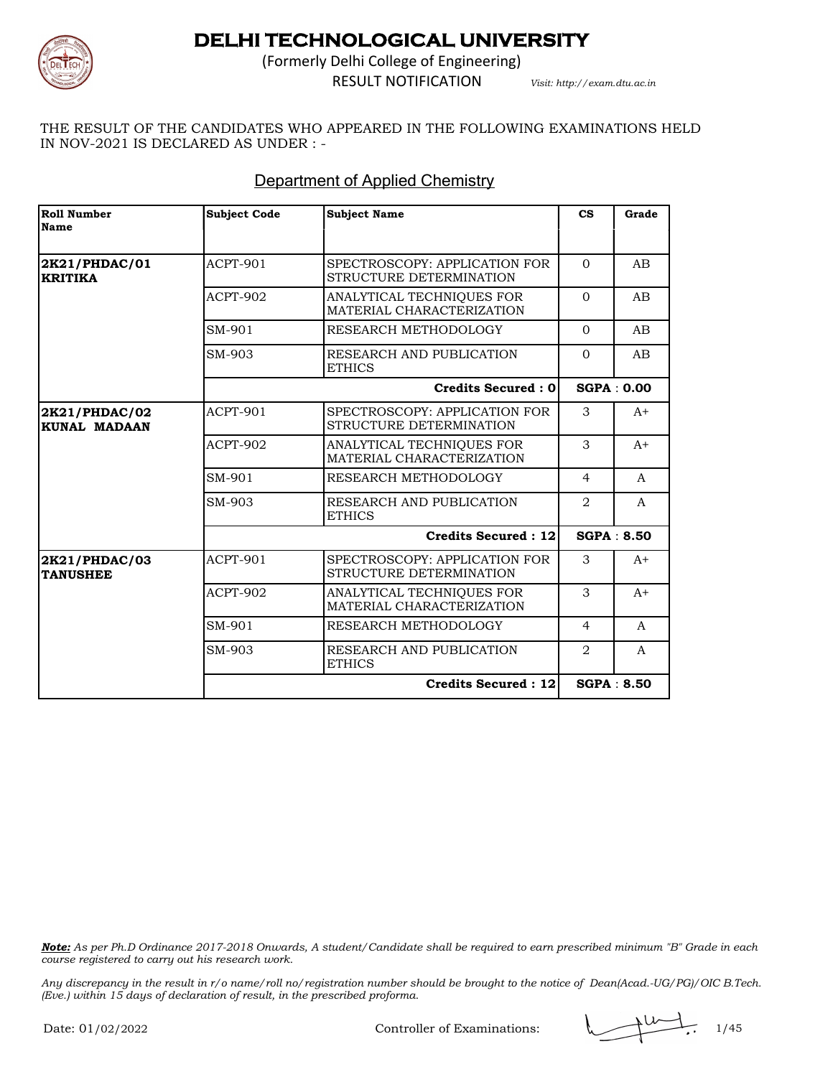

(Formerly Delhi College of Engineering) RESULT NOTIFICATION *Visit: http://exam.dtu.ac.in*

THE RESULT OF THE CANDIDATES WHO APPEARED IN THE FOLLOWING EXAMINATIONS HELD IN NOV-2021 IS DECLARED AS UNDER : -

### Department of Applied Chemistry

| <b>Roll Number</b><br><b>Name</b>    | <b>Subject Code</b> | <b>Subject Name</b>                                      | $\mathbf{c}\mathbf{s}$        | Grade             |
|--------------------------------------|---------------------|----------------------------------------------------------|-------------------------------|-------------------|
|                                      |                     |                                                          |                               |                   |
| 2K21/PHDAC/01<br><b>KRITIKA</b>      | <b>ACPT-901</b>     | SPECTROSCOPY: APPLICATION FOR<br>STRUCTURE DETERMINATION | $\Omega$                      | AB                |
|                                      | ACPT-902            | ANALYTICAL TECHNIQUES FOR<br>MATERIAL CHARACTERIZATION   | $\Omega$                      | AB                |
|                                      | SM-901              | RESEARCH METHODOLOGY                                     | $\Omega$                      | AB                |
|                                      | SM-903              | RESEARCH AND PUBLICATION<br><b>ETHICS</b>                | $\Omega$                      | AB                |
|                                      |                     | <b>Credits Secured: 0</b>                                |                               | <b>SGPA: 0.00</b> |
| 2K21/PHDAC/02<br><b>KUNAL MADAAN</b> | ACPT-901            | SPECTROSCOPY: APPLICATION FOR<br>STRUCTURE DETERMINATION | 3                             | $A+$              |
|                                      | <b>ACPT-902</b>     | ANALYTICAL TECHNIQUES FOR<br>MATERIAL CHARACTERIZATION   | 3                             | $A+$              |
|                                      | SM-901              | RESEARCH METHODOLOGY                                     | $\overline{4}$                | A                 |
|                                      | SM-903              | RESEARCH AND PUBLICATION<br><b>ETHICS</b>                | $\mathfrak{D}_{\mathfrak{p}}$ | $\mathsf{A}$      |
|                                      |                     | <b>Credits Secured: 12</b>                               |                               | <b>SGPA: 8.50</b> |
| 2K21/PHDAC/03<br><b>TANUSHEE</b>     | ACPT-901            | SPECTROSCOPY: APPLICATION FOR<br>STRUCTURE DETERMINATION | 3                             | $A+$              |
|                                      | <b>ACPT-902</b>     | ANALYTICAL TECHNIQUES FOR<br>MATERIAL CHARACTERIZATION   | 3                             | $A+$              |
|                                      | SM-901              | RESEARCH METHODOLOGY                                     | $\overline{4}$                | $\mathsf{A}$      |
|                                      | SM-903              | RESEARCH AND PUBLICATION<br><b>ETHICS</b>                | 2                             | A                 |
|                                      |                     | Credits Secured : 12                                     |                               | <b>SGPA: 8.50</b> |

*Note: As per Ph.D Ordinance 2017-2018 Onwards, A student/Candidate shall be required to earn prescribed minimum "B" Grade in each course registered to carry out his research work.*

Controller of Examinations:  $\sqrt{1/45}$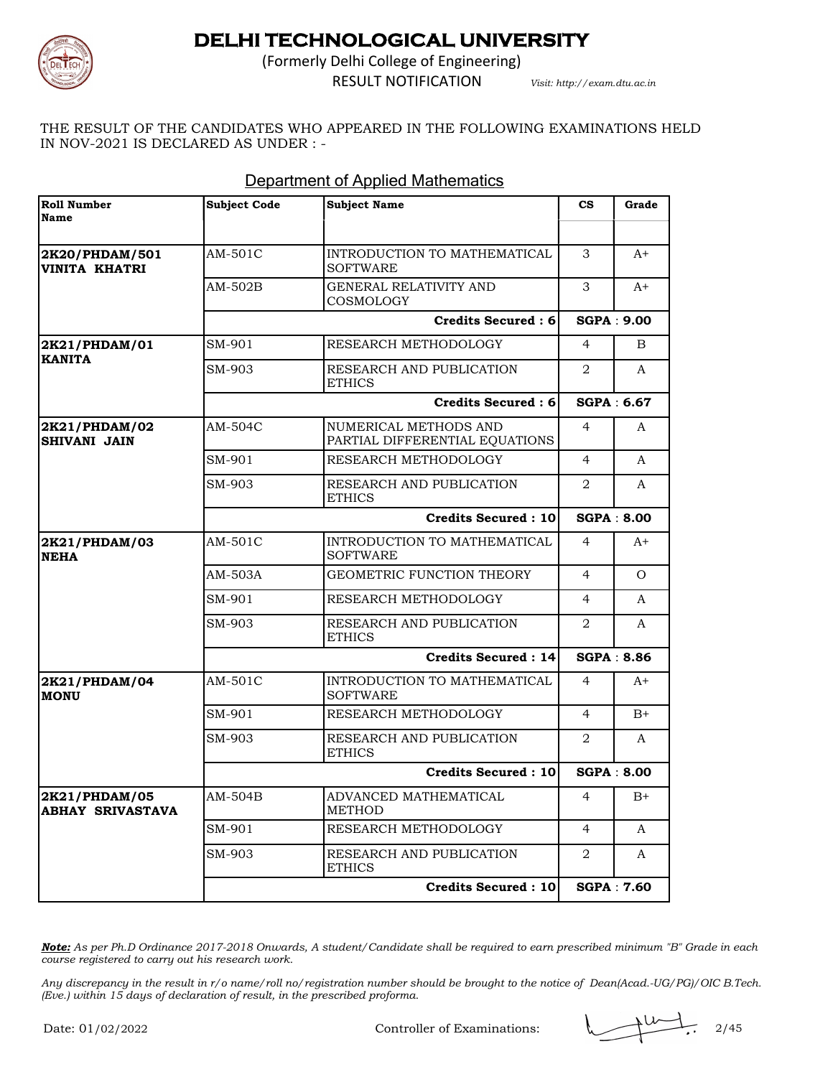

(Formerly Delhi College of Engineering)

RESULT NOTIFICATION *Visit: http://exam.dtu.ac.in*

THE RESULT OF THE CANDIDATES WHO APPEARED IN THE FOLLOWING EXAMINATIONS HELD IN NOV-2021 IS DECLARED AS UNDER : -

| <b>Roll Number</b><br><b>Name</b>        | <b>Subject Code</b>        | <b>Subject Name</b>                                     | $\mathbf{c}\mathbf{s}$        | Grade             |
|------------------------------------------|----------------------------|---------------------------------------------------------|-------------------------------|-------------------|
|                                          |                            |                                                         |                               |                   |
| 2K20/PHDAM/501<br><b>VINITA KHATRI</b>   | AM-501C                    | INTRODUCTION TO MATHEMATICAL<br><b>SOFTWARE</b>         | 3                             | $A+$              |
|                                          | AM-502B                    | <b>GENERAL RELATIVITY AND</b><br>COSMOLOGY              | 3                             | A+                |
|                                          |                            | <b>Credits Secured: 6</b>                               |                               | <b>SGPA: 9.00</b> |
| 2K21/PHDAM/01                            | SM-901                     | RESEARCH METHODOLOGY                                    | $\overline{4}$                | B                 |
| <b>KANITA</b>                            | SM-903                     | RESEARCH AND PUBLICATION<br><b>ETHICS</b>               | $\mathfrak{D}_{\mathfrak{p}}$ | $\mathsf{A}$      |
|                                          |                            | <b>Credits Secured: 6</b>                               |                               | SGPA: 6.67        |
| 2K21/PHDAM/02<br><b>SHIVANI JAIN</b>     | AM-504C                    | NUMERICAL METHODS AND<br>PARTIAL DIFFERENTIAL EQUATIONS | $\overline{4}$                | A                 |
|                                          | SM-901                     | RESEARCH METHODOLOGY                                    | $\overline{4}$                | $\mathsf{A}$      |
|                                          | SM-903                     | RESEARCH AND PUBLICATION<br><b>ETHICS</b>               | 2                             | A                 |
|                                          | <b>Credits Secured: 10</b> |                                                         | <b>SGPA: 8.00</b>             |                   |
| 2K21/PHDAM/03<br><b>NEHA</b>             | AM-501C                    | INTRODUCTION TO MATHEMATICAL<br><b>SOFTWARE</b>         | $\overline{4}$                | $A+$              |
|                                          | AM-503A                    | GEOMETRIC FUNCTION THEORY                               | $\overline{4}$                | $\Omega$          |
|                                          | SM-901                     | RESEARCH METHODOLOGY                                    | $\overline{4}$                | A                 |
|                                          | SM-903                     | RESEARCH AND PUBLICATION<br><b>ETHICS</b>               | 2                             | A                 |
|                                          |                            | <b>Credits Secured: 14</b>                              |                               | <b>SGPA: 8.86</b> |
| 2K21/PHDAM/04<br><b>MONU</b>             | AM-501C                    | INTRODUCTION TO MATHEMATICAL<br><b>SOFTWARE</b>         | $\overline{4}$                | $A^+$             |
|                                          | SM-901                     | RESEARCH METHODOLOGY                                    | 4                             | $B+$              |
|                                          | SM-903                     | RESEARCH AND PUBLICATION<br><b>ETHICS</b>               | 2                             | $\mathbf{A}$      |
|                                          | <b>Credits Secured: 10</b> |                                                         | <b>SGPA: 8.00</b>             |                   |
| 2K21/PHDAM/05<br><b>ABHAY SRIVASTAVA</b> | $AM-504B$                  | ADVANCED MATHEMATICAL<br><b>METHOD</b>                  | $\overline{4}$                | $B+$              |
|                                          | SM-901                     | RESEARCH METHODOLOGY                                    | $\overline{4}$                | $\mathsf{A}$      |
|                                          | SM-903                     | RESEARCH AND PUBLICATION<br><b>ETHICS</b>               | 2                             | A                 |
|                                          |                            | <b>Credits Secured: 10</b>                              |                               | <b>SGPA: 7.60</b> |

#### Department of Applied Mathematics

*Note: As per Ph.D Ordinance 2017-2018 Onwards, A student/Candidate shall be required to earn prescribed minimum "B" Grade in each course registered to carry out his research work.*

Controller of Examinations:  $\sqrt{2/45}$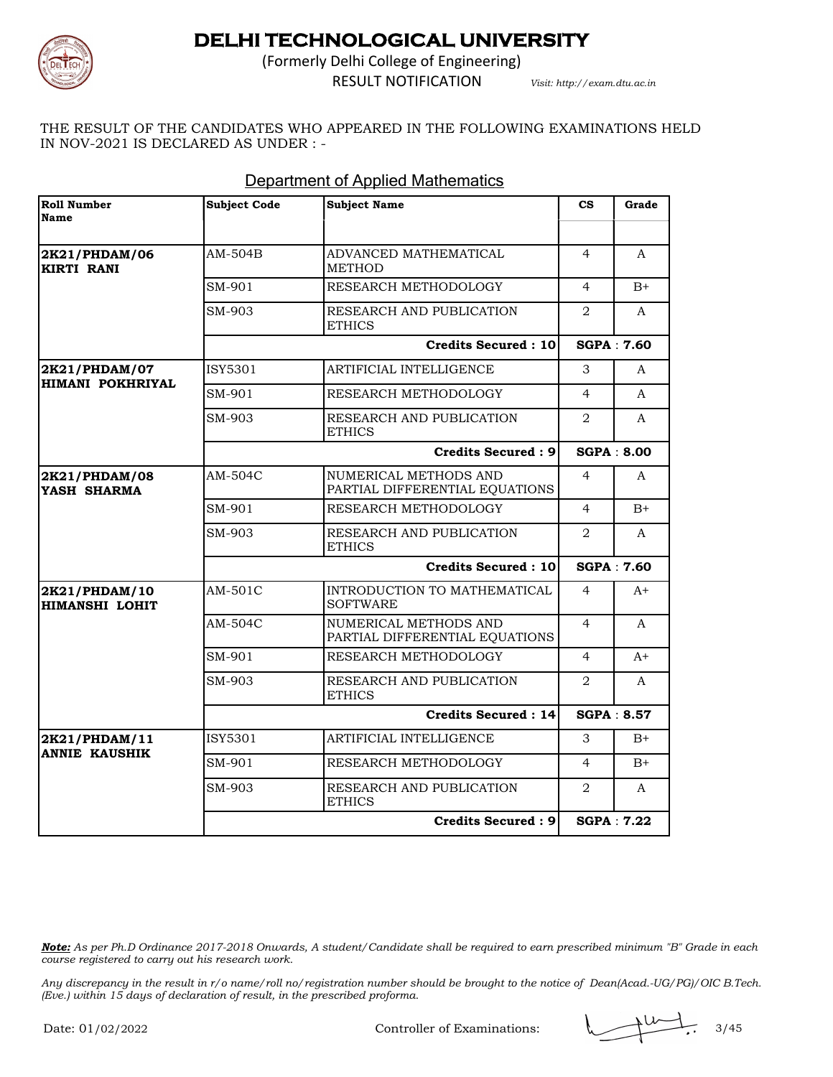

(Formerly Delhi College of Engineering) RESULT NOTIFICATION *Visit: http://exam.dtu.ac.in*

THE RESULT OF THE CANDIDATES WHO APPEARED IN THE FOLLOWING EXAMINATIONS HELD IN NOV-2021 IS DECLARED AS UNDER : -

| Roll Number<br><b>Name</b>             | Subject Code               | <b>Subject Name</b>                                     | $\mathbf{c}\mathbf{s}$ | Grade             |
|----------------------------------------|----------------------------|---------------------------------------------------------|------------------------|-------------------|
|                                        |                            |                                                         |                        |                   |
| 2K21/PHDAM/06<br><b>KIRTI RANI</b>     | AM-504B                    | ADVANCED MATHEMATICAL<br><b>METHOD</b>                  | $\overline{4}$         | A                 |
|                                        | SM-901                     | RESEARCH METHODOLOGY                                    | $\overline{4}$         | $B+$              |
|                                        | SM-903                     | RESEARCH AND PUBLICATION<br><b>ETHICS</b>               | 2                      | A                 |
|                                        |                            | <b>Credits Secured: 10</b>                              |                        | <b>SGPA: 7.60</b> |
| 2K21/PHDAM/07                          | ISY5301                    | ARTIFICIAL INTELLIGENCE                                 | 3                      | A                 |
| HIMANI POKHRIYAL                       | SM-901                     | RESEARCH METHODOLOGY                                    | 4                      | A                 |
|                                        | SM-903                     | RESEARCH AND PUBLICATION<br>ETHICS                      | $\overline{2}$         | A                 |
|                                        |                            | <b>Credits Secured: 9</b>                               |                        | <b>SGPA: 8.00</b> |
| 2K21/PHDAM/08<br>YASH SHARMA           | AM-504C                    | NUMERICAL METHODS AND<br>PARTIAL DIFFERENTIAL EQUATIONS | 4                      | A                 |
|                                        | SM-901                     | RESEARCH METHODOLOGY                                    | $\overline{4}$         | $B+$              |
|                                        | SM-903                     | RESEARCH AND PUBLICATION<br>ETHICS                      | 2                      | A                 |
|                                        |                            | <b>Credits Secured: 10</b>                              |                        | <b>SGPA: 7.60</b> |
| 2K21/PHDAM/10<br><b>HIMANSHI LOHIT</b> | AM-501C                    | INTRODUCTION TO MATHEMATICAL<br><b>SOFTWARE</b>         | 4                      | $A+$              |
|                                        | AM-504C                    | NUMERICAL METHODS AND<br>PARTIAL DIFFERENTIAL EQUATIONS | $\overline{4}$         | A                 |
|                                        | SM-901                     | RESEARCH METHODOLOGY                                    | $\overline{4}$         | $A+$              |
|                                        | SM-903                     | RESEARCH AND PUBLICATION<br><b>ETHICS</b>               | 2                      | A                 |
|                                        | <b>Credits Secured: 14</b> |                                                         | <b>SGPA: 8.57</b>      |                   |
| 2K21/PHDAM/11                          | ISY5301                    | ARTIFICIAL INTELLIGENCE                                 | 3                      | $B+$              |
| <b>ANNIE KAUSHIK</b>                   | SM-901                     | RESEARCH METHODOLOGY                                    | $\overline{4}$         | $B+$              |
|                                        | SM-903                     | RESEARCH AND PUBLICATION<br><b>ETHICS</b>               | 2                      | A                 |
|                                        |                            | <b>Credits Secured: 9</b>                               |                        | <b>SGPA: 7.22</b> |

#### Department of Applied Mathematics

*Note: As per Ph.D Ordinance 2017-2018 Onwards, A student/Candidate shall be required to earn prescribed minimum "B" Grade in each course registered to carry out his research work.*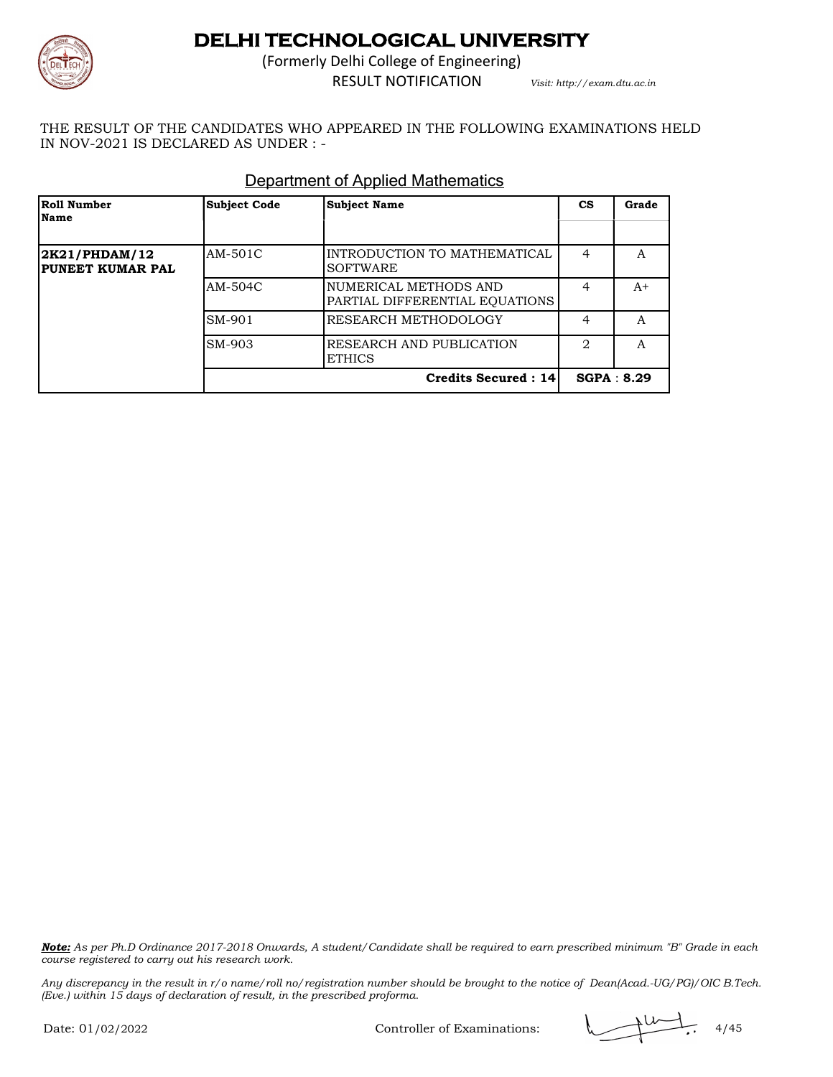

(Formerly Delhi College of Engineering) RESULT NOTIFICATION *Visit: http://exam.dtu.ac.in*

THE RESULT OF THE CANDIDATES WHO APPEARED IN THE FOLLOWING EXAMINATIONS HELD IN NOV-2021 IS DECLARED AS UNDER : -

| Roll Number<br>Name               | <b>Subject Code</b> | <b>Subject Name</b>                                     | <b>CS</b> | Grade      |
|-----------------------------------|---------------------|---------------------------------------------------------|-----------|------------|
|                                   |                     |                                                         |           |            |
| 2K21/PHDAM/12<br>PUNEET KUMAR PAL | AM-501C             | INTRODUCTION TO MATHEMATICAL<br><b>SOFTWARE</b>         | 4         | A          |
|                                   | AM-504C             | NUMERICAL METHODS AND<br>PARTIAL DIFFERENTIAL EQUATIONS | 4         | $A+$       |
|                                   | SM-901              | RESEARCH METHODOLOGY                                    | 4         | A          |
|                                   | SM-903              | <b>RESEARCH AND PUBLICATION</b><br><b>ETHICS</b>        | 2         | A          |
|                                   |                     | <b>Credits Secured: 14</b>                              |           | SGPA: 8.29 |

#### Department of Applied Mathematics

*Note: As per Ph.D Ordinance 2017-2018 Onwards, A student/Candidate shall be required to earn prescribed minimum "B" Grade in each course registered to carry out his research work.*

*Any discrepancy in the result in r/o name/roll no/registration number should be brought to the notice of Dean(Acad.-UG/PG)/OIC B.Tech. (Eve.) within 15 days of declaration of result, in the prescribed proforma.*

Controller of Examinations:  $\sqrt{4/45}$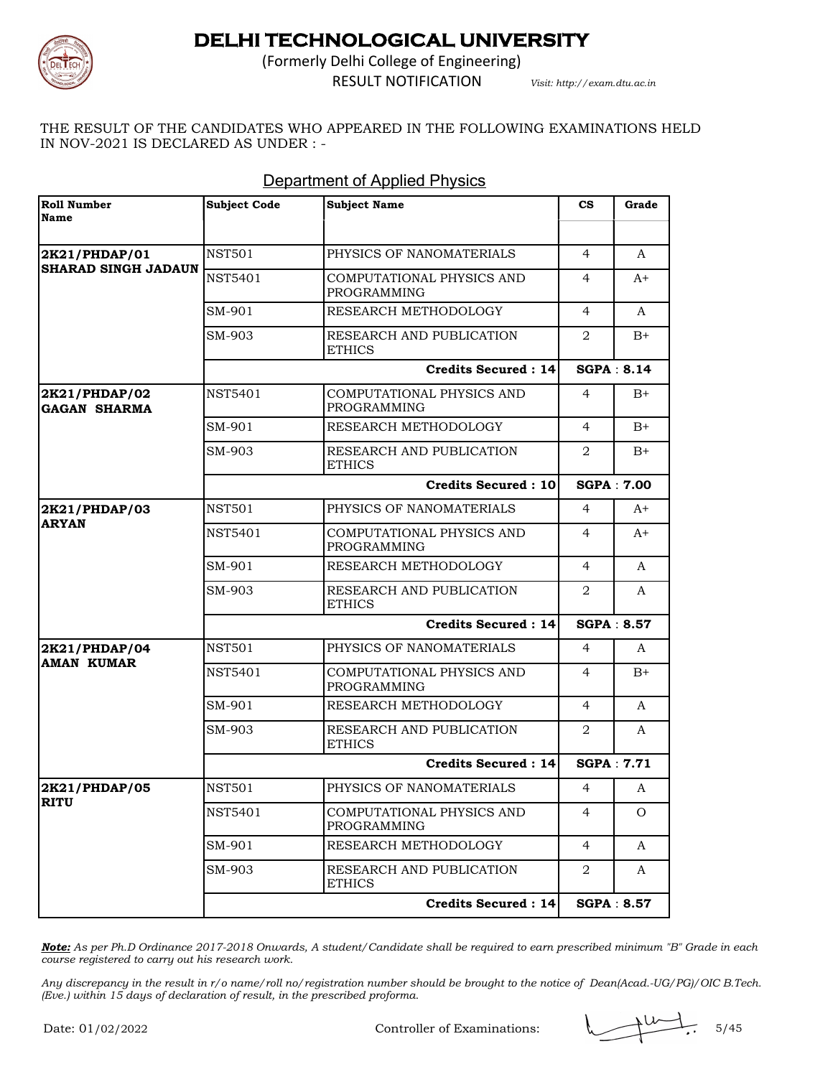

(Formerly Delhi College of Engineering) RESULT NOTIFICATION *Visit: http://exam.dtu.ac.in*

THE RESULT OF THE CANDIDATES WHO APPEARED IN THE FOLLOWING EXAMINATIONS HELD IN NOV-2021 IS DECLARED AS UNDER : -

| Roll Number<br><b>Name</b>           | <b>Subject Code</b> | <b>Subject Name</b>                             | $\mathbf{c}\mathbf{s}$ | Grade             |
|--------------------------------------|---------------------|-------------------------------------------------|------------------------|-------------------|
|                                      |                     |                                                 |                        |                   |
| 2K21/PHDAP/01                        | <b>NST501</b>       | PHYSICS OF NANOMATERIALS                        | $\overline{4}$         | A                 |
| <b>SHARAD SINGH JADAUN</b>           | <b>NST5401</b>      | COMPUTATIONAL PHYSICS AND<br><b>PROGRAMMING</b> | $\overline{4}$         | A+                |
|                                      | SM-901              | RESEARCH METHODOLOGY                            | $\overline{4}$         | A                 |
|                                      | SM-903              | RESEARCH AND PUBLICATION<br><b>ETHICS</b>       | 2                      | $B+$              |
|                                      |                     | <b>Credits Secured: 14</b>                      |                        | <b>SGPA: 8.14</b> |
| 2K21/PHDAP/02<br><b>GAGAN SHARMA</b> | <b>NST5401</b>      | COMPUTATIONAL PHYSICS AND<br>PROGRAMMING        | 4                      | $B+$              |
|                                      | SM-901              | RESEARCH METHODOLOGY                            | 4                      | $B+$              |
|                                      | SM-903              | RESEARCH AND PUBLICATION<br><b>ETHICS</b>       | 2                      | $B+$              |
|                                      |                     | <b>Credits Secured: 10</b>                      |                        | <b>SGPA: 7.00</b> |
| 2K21/PHDAP/03                        | <b>NST501</b>       | PHYSICS OF NANOMATERIALS                        | $\overline{4}$         | $A+$              |
| <b>ARYAN</b>                         | <b>NST5401</b>      | COMPUTATIONAL PHYSICS AND<br><b>PROGRAMMING</b> | 4                      | $A+$              |
|                                      | SM-901              | RESEARCH METHODOLOGY                            | 4                      | A                 |
|                                      | SM-903              | RESEARCH AND PUBLICATION<br><b>ETHICS</b>       | 2                      | A                 |
|                                      |                     | <b>Credits Secured: 14</b>                      |                        | SGPA: 8.57        |
| 2K21/PHDAP/04                        | <b>NST501</b>       | PHYSICS OF NANOMATERIALS                        | 4                      | A                 |
| <b>AMAN KUMAR</b>                    | <b>NST5401</b>      | COMPUTATIONAL PHYSICS AND<br>PROGRAMMING        | 4                      | $B+$              |
|                                      | SM-901              | RESEARCH METHODOLOGY                            | 4                      | A                 |
|                                      | SM-903              | RESEARCH AND PUBLICATION<br><b>ETHICS</b>       | 2                      | A                 |
|                                      |                     | <b>Credits Secured: 14</b>                      |                        | <b>SGPA: 7.71</b> |
| 2K21/PHDAP/05                        | <b>NST501</b>       | PHYSICS OF NANOMATERIALS                        | 4                      | A                 |
| RITU                                 | <b>NST5401</b>      | COMPUTATIONAL PHYSICS AND<br>PROGRAMMING        | 4                      | O                 |
|                                      | SM-901              | RESEARCH METHODOLOGY                            | $\overline{4}$         | A                 |
|                                      | SM-903              | RESEARCH AND PUBLICATION<br><b>ETHICS</b>       | 2                      | A                 |
|                                      |                     | <b>Credits Secured: 14</b>                      |                        | <b>SGPA: 8.57</b> |

#### Department of Applied Physics

*Note: As per Ph.D Ordinance 2017-2018 Onwards, A student/Candidate shall be required to earn prescribed minimum "B" Grade in each course registered to carry out his research work.*

*Any discrepancy in the result in r/o name/roll no/registration number should be brought to the notice of Dean(Acad.-UG/PG)/OIC B.Tech. (Eve.) within 15 days of declaration of result, in the prescribed proforma.*

Controller of Examinations:  $\sqrt{11/10}$ , 5/45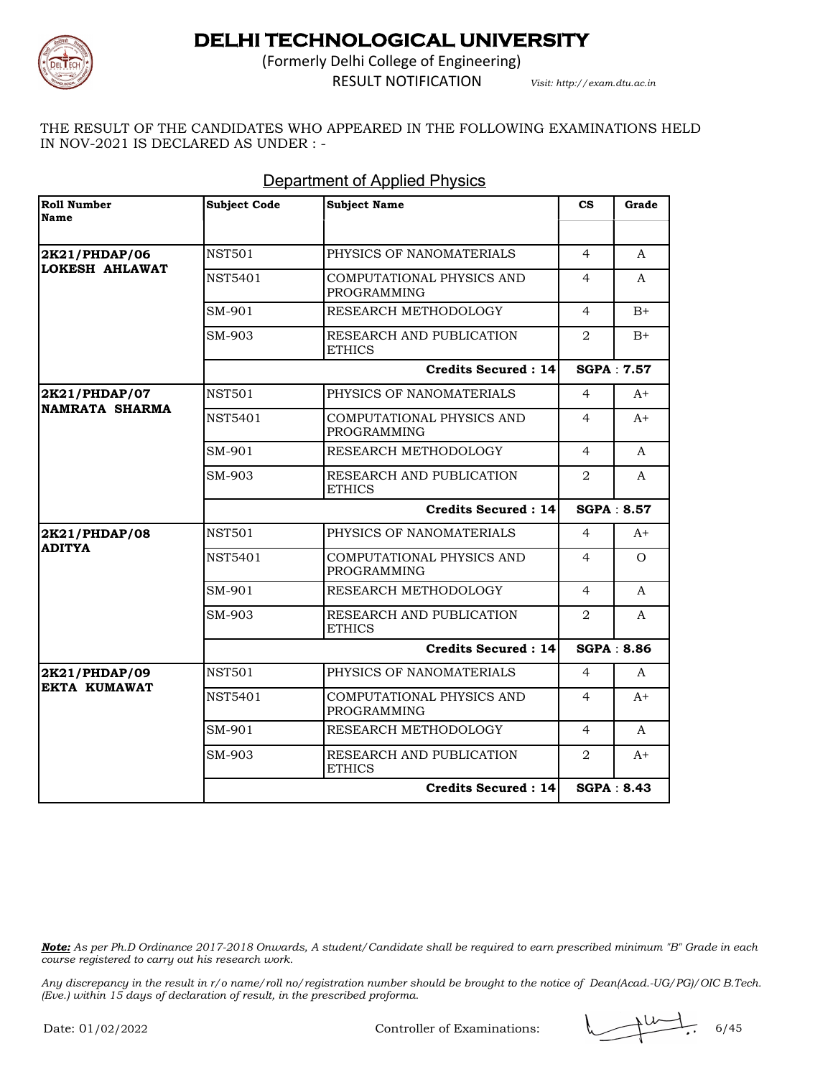

(Formerly Delhi College of Engineering) RESULT NOTIFICATION *Visit: http://exam.dtu.ac.in*

THE RESULT OF THE CANDIDATES WHO APPEARED IN THE FOLLOWING EXAMINATIONS HELD IN NOV-2021 IS DECLARED AS UNDER : -

| Roll Number<br>Name                    | <b>Subject Code</b> | <b>Subject Name</b>                             | $\mathbf{c}\mathbf{s}$ | Grade             |
|----------------------------------------|---------------------|-------------------------------------------------|------------------------|-------------------|
|                                        |                     |                                                 |                        |                   |
| 2K21/PHDAP/06                          | <b>NST501</b>       | PHYSICS OF NANOMATERIALS                        | $\overline{4}$         | A                 |
| LOKESH AHLAWAT                         | <b>NST5401</b>      | COMPUTATIONAL PHYSICS AND<br><b>PROGRAMMING</b> | 4                      | A                 |
|                                        | SM-901              | RESEARCH METHODOLOGY                            | $\overline{4}$         | $B+$              |
|                                        | SM-903              | RESEARCH AND PUBLICATION<br><b>ETHICS</b>       | 2                      | $B+$              |
|                                        |                     | <b>Credits Secured: 14</b>                      |                        | <b>SGPA: 7.57</b> |
| 2K21/PHDAP/07<br><b>NAMRATA SHARMA</b> | <b>NST501</b>       | PHYSICS OF NANOMATERIALS                        | $\overline{4}$         | $A+$              |
|                                        | <b>NST5401</b>      | COMPUTATIONAL PHYSICS AND<br><b>PROGRAMMING</b> | $\overline{4}$         | $A+$              |
|                                        | SM-901              | RESEARCH METHODOLOGY                            | $\overline{4}$         | A                 |
|                                        | SM-903              | RESEARCH AND PUBLICATION<br><b>ETHICS</b>       | 2                      | A                 |
|                                        |                     | <b>Credits Secured: 14</b>                      |                        | <b>SGPA: 8.57</b> |
| 2K21/PHDAP/08                          | NST501              | PHYSICS OF NANOMATERIALS                        | 4                      | $A+$              |
| <b>ADITYA</b>                          | NST5401             | COMPUTATIONAL PHYSICS AND<br><b>PROGRAMMING</b> | 4                      | $\Omega$          |
|                                        | SM-901              | RESEARCH METHODOLOGY                            | 4                      | A                 |
|                                        | SM-903              | RESEARCH AND PUBLICATION<br><b>ETHICS</b>       | 2                      | A                 |
|                                        |                     | <b>Credits Secured: 14</b>                      |                        | <b>SGPA: 8.86</b> |
| 2K21/PHDAP/09                          | <b>NST501</b>       | PHYSICS OF NANOMATERIALS                        | $\overline{4}$         | A                 |
| <b>EKTA KUMAWAT</b>                    | NST5401             | COMPUTATIONAL PHYSICS AND<br><b>PROGRAMMING</b> | $\overline{4}$         | $A+$              |
|                                        | SM-901              | RESEARCH METHODOLOGY                            | $\overline{4}$         | A                 |
|                                        | SM-903              | RESEARCH AND PUBLICATION<br><b>ETHICS</b>       | 2                      | $A+$              |
|                                        |                     | Credits Secured: 14                             |                        | SGPA: 8.43        |

#### Department of Applied Physics

*Note: As per Ph.D Ordinance 2017-2018 Onwards, A student/Candidate shall be required to earn prescribed minimum "B" Grade in each course registered to carry out his research work.*

Controller of Examinations:  $\sqrt{44.6}$  6/45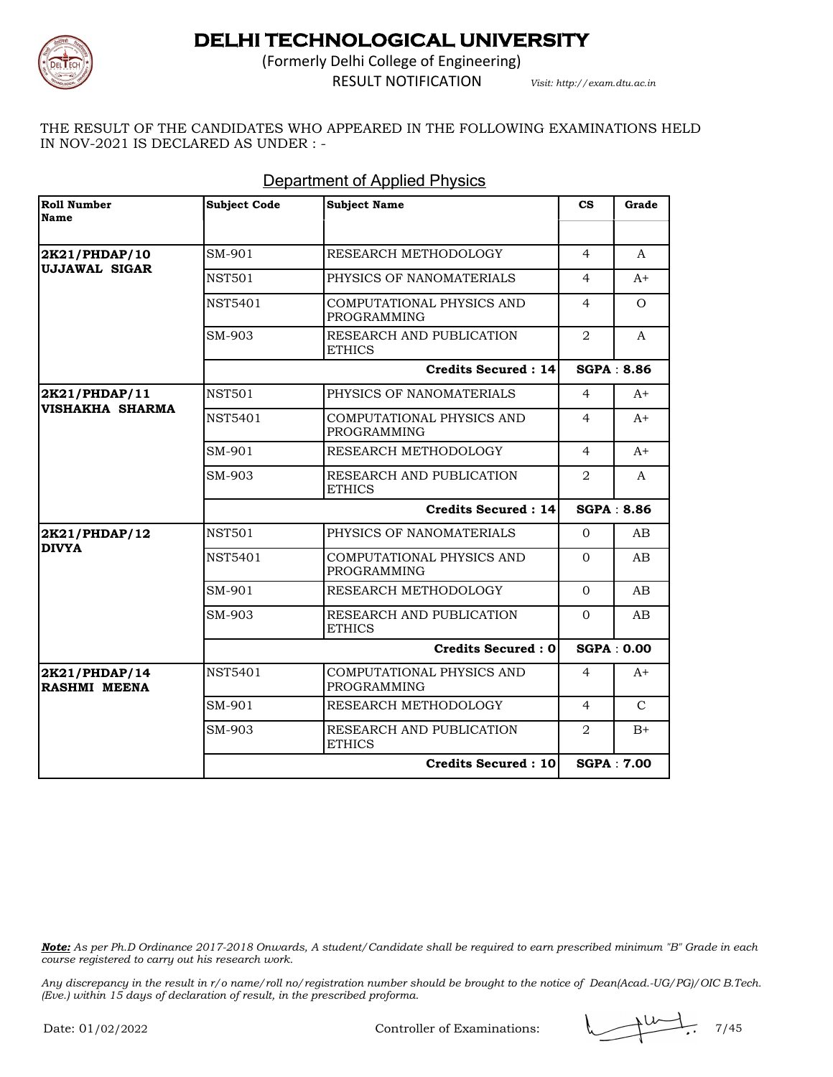

(Formerly Delhi College of Engineering) RESULT NOTIFICATION *Visit: http://exam.dtu.ac.in*

THE RESULT OF THE CANDIDATES WHO APPEARED IN THE FOLLOWING EXAMINATIONS HELD IN NOV-2021 IS DECLARED AS UNDER : -

| Roll Number<br>Name                     | <b>Subject Code</b> | <b>Subject Name</b>                             | $\mathbf{c}\mathbf{s}$ | Grade             |
|-----------------------------------------|---------------------|-------------------------------------------------|------------------------|-------------------|
|                                         |                     |                                                 |                        |                   |
| 2K21/PHDAP/10<br>UJJAWAL SIGAR          | SM-901              | RESEARCH METHODOLOGY                            | 4                      | A                 |
|                                         | <b>NST501</b>       | PHYSICS OF NANOMATERIALS                        | 4                      | $A+$              |
|                                         | <b>NST5401</b>      | COMPUTATIONAL PHYSICS AND<br><b>PROGRAMMING</b> | 4                      | $\Omega$          |
|                                         | SM-903              | RESEARCH AND PUBLICATION<br><b>ETHICS</b>       | 2                      | A                 |
|                                         |                     | <b>Credits Secured: 14</b>                      |                        | <b>SGPA: 8.86</b> |
| 2K21/PHDAP/11<br><b>VISHAKHA SHARMA</b> | <b>NST501</b>       | PHYSICS OF NANOMATERIALS                        | $\overline{4}$         | $A+$              |
|                                         | <b>NST5401</b>      | COMPUTATIONAL PHYSICS AND<br><b>PROGRAMMING</b> | 4                      | $A+$              |
|                                         | SM-901              | RESEARCH METHODOLOGY                            | 4                      | $A+$              |
|                                         | SM-903              | RESEARCH AND PUBLICATION<br><b>ETHICS</b>       | 2                      | A                 |
|                                         |                     | <b>Credits Secured: 14</b>                      |                        | <b>SGPA: 8.86</b> |
| 2K21/PHDAP/12                           | <b>NST501</b>       | PHYSICS OF NANOMATERIALS                        | $\Omega$               | AB                |
| <b>DIVYA</b>                            | <b>NST5401</b>      | COMPUTATIONAL PHYSICS AND<br><b>PROGRAMMING</b> | $\Omega$               | AB                |
|                                         | SM-901              | RESEARCH METHODOLOGY                            | $\Omega$               | AB.               |
|                                         | SM-903              | RESEARCH AND PUBLICATION<br><b>ETHICS</b>       | $\Omega$               | AB.               |
|                                         |                     | Credits Secured: 0                              |                        | <b>SGPA: 0.00</b> |
| 2K21/PHDAP/14<br>RASHMI MEENA           | <b>NST5401</b>      | COMPUTATIONAL PHYSICS AND<br><b>PROGRAMMING</b> | $\overline{4}$         | $A+$              |
|                                         | SM-901              | RESEARCH METHODOLOGY                            | $\overline{4}$         | $\mathcal{C}$     |
|                                         | SM-903              | RESEARCH AND PUBLICATION<br><b>ETHICS</b>       | 2                      | $B+$              |
|                                         |                     | Credits Secured: 10                             |                        | <b>SGPA: 7.00</b> |

#### Department of Applied Physics

*Note: As per Ph.D Ordinance 2017-2018 Onwards, A student/Candidate shall be required to earn prescribed minimum "B" Grade in each course registered to carry out his research work.*

Controller of Examinations:  $\sqrt{145}$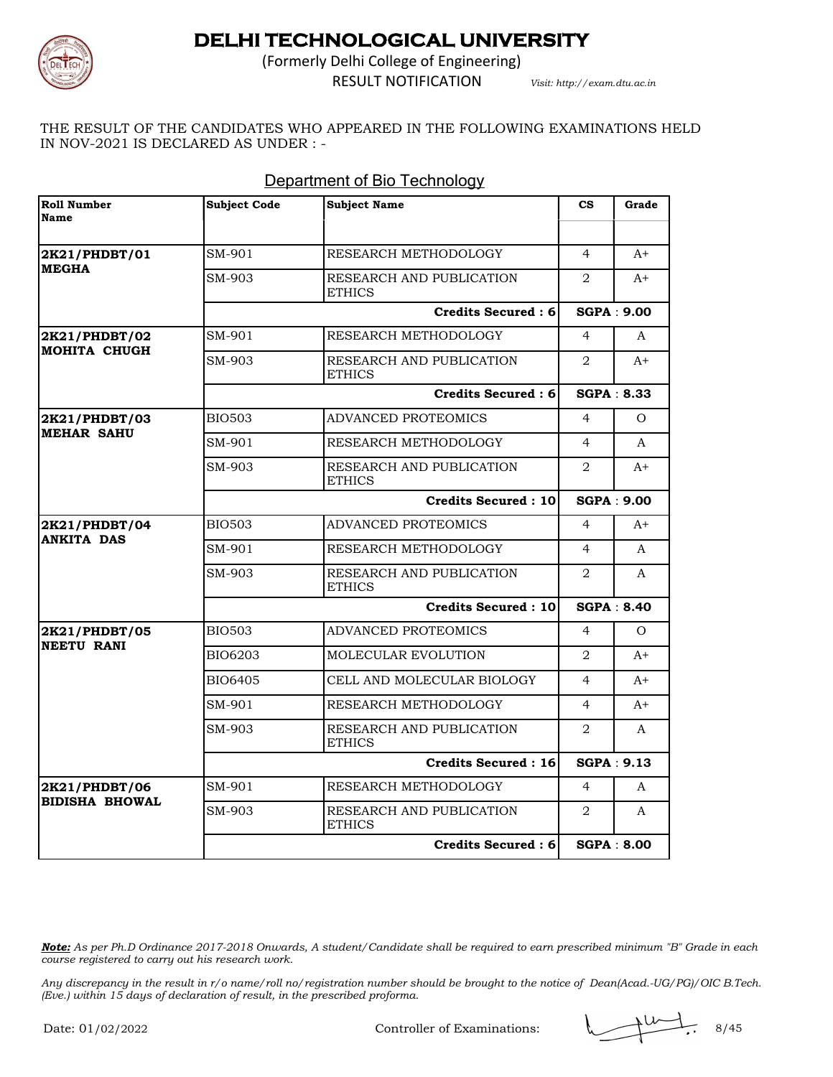

(Formerly Delhi College of Engineering)

RESULT NOTIFICATION *Visit: http://exam.dtu.ac.in*

THE RESULT OF THE CANDIDATES WHO APPEARED IN THE FOLLOWING EXAMINATIONS HELD IN NOV-2021 IS DECLARED AS UNDER : -

| <b>Roll Number</b><br>Name                | <b>Subject Code</b> | <b>Subject Name</b>                       | $\mathbf{c}\mathbf{s}$      | Grade             |
|-------------------------------------------|---------------------|-------------------------------------------|-----------------------------|-------------------|
|                                           |                     |                                           |                             |                   |
| 2K21/PHDBT/01                             | SM-901              | RESEARCH METHODOLOGY                      | $\overline{4}$              | $A+$              |
| <b>MEGHA</b>                              | SM-903              | RESEARCH AND PUBLICATION<br><b>ETHICS</b> | 2                           | $A+$              |
|                                           |                     | Credits Secured: 6                        |                             | <b>SGPA: 9.00</b> |
| 2K21/PHDBT/02                             | SM-901              | RESEARCH METHODOLOGY                      | $\overline{4}$              | A                 |
| MOHITA CHUGH                              | SM-903              | RESEARCH AND PUBLICATION<br>ETHICS        | $\overline{2}$              | $A+$              |
|                                           |                     | <b>Credits Secured: 6</b>                 |                             | <b>SGPA: 8.33</b> |
| <b>2K21/PHDBT/03</b><br><b>MEHAR SAHU</b> | <b>BIO503</b>       | ADVANCED PROTEOMICS                       | 4                           | $\Omega$          |
|                                           | SM-901              | RESEARCH METHODOLOGY                      | $\overline{4}$              | A                 |
|                                           | SM-903              | RESEARCH AND PUBLICATION<br><b>ETHICS</b> | $\overline{2}$              | $A+$              |
|                                           |                     | <b>Credits Secured: 10</b>                |                             | <b>SGPA: 9.00</b> |
| 2K21/PHDBT/04                             | <b>BIO503</b>       | ADVANCED PROTEOMICS                       | 4                           | $A+$              |
| <b>ANKITA DAS</b>                         | SM-901              | RESEARCH METHODOLOGY                      | $\overline{4}$              | A                 |
|                                           | SM-903              | RESEARCH AND PUBLICATION<br><b>ETHICS</b> | $\mathcal{D}_{\mathcal{L}}$ | $\mathsf{A}$      |
|                                           |                     | <b>Credits Secured: 10</b>                |                             | <b>SGPA: 8.40</b> |
| 2K21/PHDBT/05                             | BIO503              | ADVANCED PROTEOMICS                       | $\overline{4}$              | $\Omega$          |
| <b>NEETU RANI</b>                         | BIO6203             | MOLECULAR EVOLUTION                       | 2                           | $A+$              |
|                                           | BIO6405             | CELL AND MOLECULAR BIOLOGY                | $\overline{4}$              | $A+$              |
|                                           | SM-901              | RESEARCH METHODOLOGY                      | 4                           | $A+$              |
|                                           | SM-903              | RESEARCH AND PUBLICATION<br><b>ETHICS</b> | 2                           | A                 |
|                                           |                     | Credits Secured: 16                       |                             | SGPA: 9.13        |
| 2K21/PHDBT/06                             | SM-901              | RESEARCH METHODOLOGY                      | $\overline{4}$              | A                 |
| <b>BIDISHA BHOWAL</b>                     | SM-903              | RESEARCH AND PUBLICATION<br><b>ETHICS</b> | $\overline{2}$              | A                 |
|                                           |                     | Credits Secured: 6                        |                             | <b>SGPA: 8.00</b> |

### Department of Bio Technology

*Note: As per Ph.D Ordinance 2017-2018 Onwards, A student/Candidate shall be required to earn prescribed minimum "B" Grade in each course registered to carry out his research work.*

Controller of Examinations:

\n
$$
\mathbb{R} \setminus \mathbb{R} \setminus \mathbb{R} \setminus \mathbb{R} \setminus \mathbb{R} \setminus \mathbb{R} \setminus \mathbb{R} \setminus \mathbb{R} \setminus \mathbb{R} \setminus \mathbb{R} \setminus \mathbb{R} \setminus \mathbb{R} \setminus \mathbb{R} \setminus \mathbb{R} \setminus \mathbb{R} \setminus \mathbb{R} \setminus \mathbb{R} \setminus \mathbb{R} \setminus \mathbb{R} \setminus \mathbb{R} \setminus \mathbb{R} \setminus \mathbb{R} \setminus \mathbb{R} \setminus \mathbb{R} \setminus \mathbb{R} \setminus \mathbb{R} \setminus \mathbb{R} \setminus \mathbb{R} \setminus \mathbb{R} \setminus \mathbb{R} \setminus \mathbb{R} \setminus \mathbb{R} \setminus \mathbb{R} \setminus \mathbb{R} \setminus \mathbb{R} \setminus \mathbb{R} \setminus \mathbb{R} \setminus \mathbb{R} \setminus \mathbb{R} \setminus \mathbb{R} \setminus \mathbb{R} \setminus \mathbb{R} \setminus \mathbb{R} \setminus \mathbb{R} \setminus \mathbb{R} \setminus \mathbb{R} \setminus \mathbb{R} \setminus \mathbb{R} \setminus \mathbb{R} \setminus \mathbb{R} \setminus \mathbb{R} \setminus \mathbb{R} \setminus \mathbb{R} \setminus \mathbb{R} \setminus \mathbb{R} \setminus \mathbb{R} \setminus \mathbb{R} \setminus \mathbb{R} \setminus \mathbb{R} \setminus \mathbb{R} \setminus \mathbb{R} \setminus \mathbb{R} \setminus \mathbb{R} \setminus \mathbb{R} \setminus \mathbb{R} \setminus \mathbb{R} \setminus \mathbb{R} \setminus \mathbb{R} \setminus \mathbb{R} \setminus \mathbb{R} \setminus \mathbb{R} \setminus \mathbb{R} \setminus \mathbb{R} \setminus \mathbb{R} \setminus \mathbb{R} \setminus \mathbb{R} \setminus \mathbb{R} \setminus \mathbb{R} \setminus \mathbb{R} \setminus \mathbb{R} \setminus \mathbb{R} \setminus \mathbb{R} \setminus \mathbb{R} \setminus \math
$$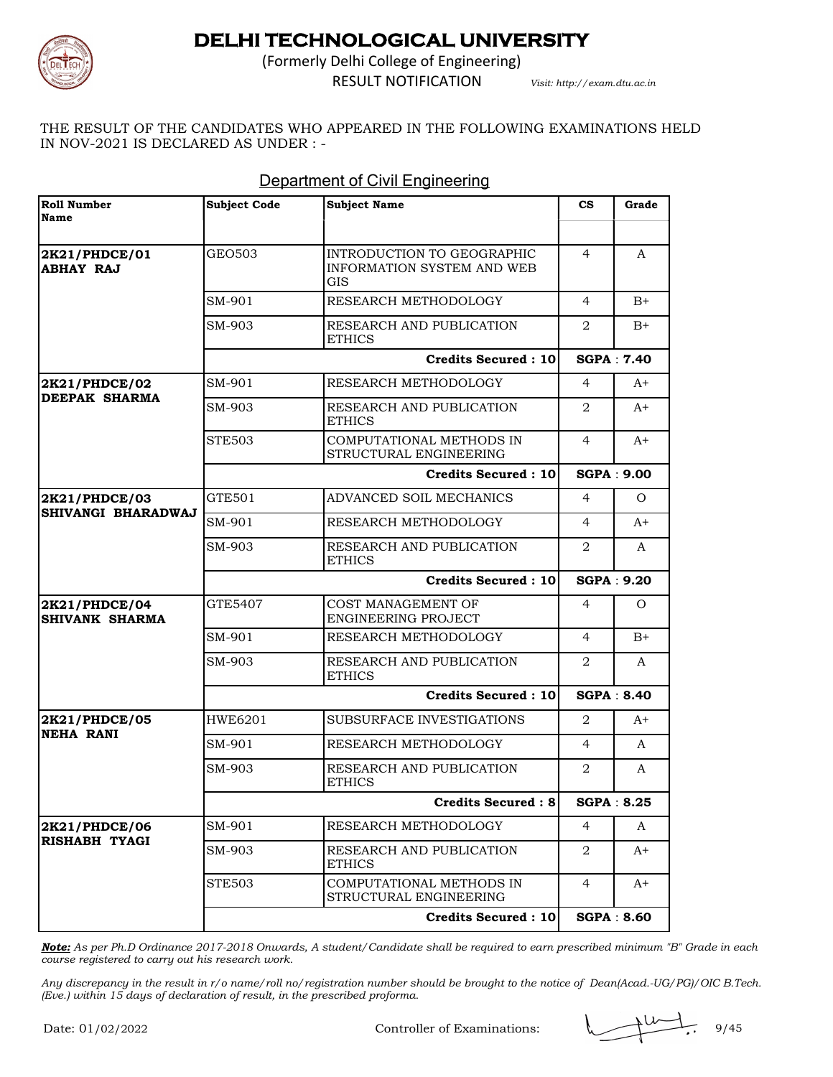

(Formerly Delhi College of Engineering) RESULT NOTIFICATION *Visit: http://exam.dtu.ac.in*

THE RESULT OF THE CANDIDATES WHO APPEARED IN THE FOLLOWING EXAMINATIONS HELD IN NOV-2021 IS DECLARED AS UNDER : -

| <b>Roll Number</b><br><b>Name</b>          | <b>Subject Code</b> | <b>Subject Name</b>                                                    | $_{\rm cs}$       | Grade             |
|--------------------------------------------|---------------------|------------------------------------------------------------------------|-------------------|-------------------|
|                                            |                     |                                                                        |                   |                   |
| <b>2K21/PHDCE/01</b><br><b>ABHAY RAJ</b>   | GEO503              | INTRODUCTION TO GEOGRAPHIC<br><b>INFORMATION SYSTEM AND WEB</b><br>GIS | 4                 | A                 |
|                                            | SM-901              | RESEARCH METHODOLOGY                                                   | 4                 | $B+$              |
|                                            | SM-903              | RESEARCH AND PUBLICATION<br><b>ETHICS</b>                              | 2                 | $B+$              |
|                                            |                     | <b>Credits Secured: 10</b>                                             |                   | SGPA: 7.40        |
| 2K21/PHDCE/02                              | SM-901              | RESEARCH METHODOLOGY                                                   | 4                 | $A+$              |
| <b>DEEPAK SHARMA</b>                       | SM-903              | RESEARCH AND PUBLICATION<br><b>ETHICS</b>                              | 2                 | $A+$              |
|                                            | <b>STE503</b>       | COMPUTATIONAL METHODS IN<br>STRUCTURAL ENGINEERING                     | $\overline{4}$    | $A+$              |
|                                            |                     | <b>Credits Secured: 10</b>                                             |                   | <b>SGPA: 9.00</b> |
| 2K21/PHDCE/03<br><b>SHIVANGI BHARADWAJ</b> | GTE501              | ADVANCED SOIL MECHANICS                                                | $\overline{4}$    | $\Omega$          |
|                                            | SM-901              | RESEARCH METHODOLOGY                                                   | $\overline{4}$    | $A+$              |
|                                            | SM-903              | RESEARCH AND PUBLICATION<br><b>ETHICS</b>                              | 2                 | A                 |
|                                            |                     | <b>Credits Secured: 10</b>                                             |                   | SGPA: 9.20        |
| 2K21/PHDCE/04<br>SHIVANK SHARMA            | GTE5407             | COST MANAGEMENT OF<br>ENGINEERING PROJECT                              | 4                 | Ω                 |
|                                            | SM-901              | RESEARCH METHODOLOGY                                                   | 4                 | $B+$              |
|                                            | SM-903              | RESEARCH AND PUBLICATION<br><b>ETHICS</b>                              | 2                 | A                 |
|                                            |                     | <b>Credits Secured: 10</b>                                             |                   | <b>SGPA: 8.40</b> |
| 2K21/PHDCE/05                              | <b>HWE6201</b>      | SUBSURFACE INVESTIGATIONS                                              | 2                 | $A+$              |
| NEHA RANI                                  | SM-901              | RESEARCH METHODOLOGY                                                   | 4                 | A                 |
|                                            | SM-903              | RESEARCH AND PUBLICATION<br><b>ETHICS</b>                              | 2                 | A                 |
|                                            | Credits Secured : 8 |                                                                        | <b>SGPA: 8.25</b> |                   |
| 2K21/PHDCE/06                              | SM-901              | RESEARCH METHODOLOGY                                                   | 4                 | A                 |
| <b>RISHABH TYAGI</b>                       | SM-903              | RESEARCH AND PUBLICATION<br><b>ETHICS</b>                              | 2                 | A+                |
|                                            | <b>STE503</b>       | COMPUTATIONAL METHODS IN<br>STRUCTURAL ENGINEERING                     | $\overline{4}$    | A+                |
|                                            |                     | <b>Credits Secured: 10</b>                                             |                   | <b>SGPA: 8.60</b> |

#### Department of Civil Engineering

*Note: As per Ph.D Ordinance 2017-2018 Onwards, A student/Candidate shall be required to earn prescribed minimum "B" Grade in each course registered to carry out his research work.*

*Any discrepancy in the result in r/o name/roll no/registration number should be brought to the notice of Dean(Acad.-UG/PG)/OIC B.Tech. (Eve.) within 15 days of declaration of result, in the prescribed proforma.*

Controller of Examinations:  $\sqrt{9/45}$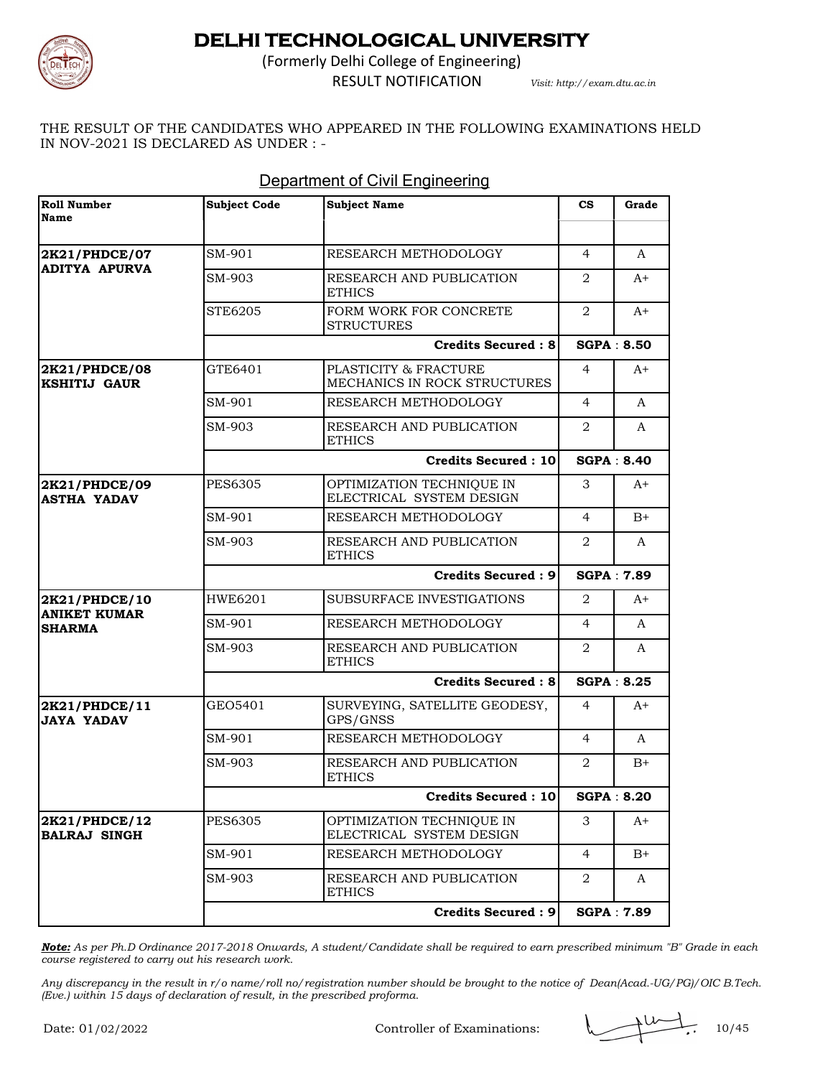

(Formerly Delhi College of Engineering)

RESULT NOTIFICATION *Visit: http://exam.dtu.ac.in*

THE RESULT OF THE CANDIDATES WHO APPEARED IN THE FOLLOWING EXAMINATIONS HELD IN NOV-2021 IS DECLARED AS UNDER : -

| <b>Roll Number</b><br>Name            | <b>Subject Code</b> | <b>Subject Name</b>                                   | $\mathbf{c}\mathbf{s}$ | Grade             |
|---------------------------------------|---------------------|-------------------------------------------------------|------------------------|-------------------|
|                                       |                     |                                                       |                        |                   |
| 2K21/PHDCE/07<br><b>ADITYA APURVA</b> | SM-901              | RESEARCH METHODOLOGY                                  | 4                      | A                 |
|                                       | SM-903              | RESEARCH AND PUBLICATION<br><b>ETHICS</b>             | 2                      | $A+$              |
|                                       | STE6205             | FORM WORK FOR CONCRETE<br><b>STRUCTURES</b>           | 2                      | $A+$              |
|                                       |                     | <b>Credits Secured: 8</b>                             |                        | <b>SGPA: 8.50</b> |
| 2K21/PHDCE/08<br><b>KSHITIJ GAUR</b>  | GTE6401             | PLASTICITY & FRACTURE<br>MECHANICS IN ROCK STRUCTURES | 4                      | A+                |
|                                       | SM-901              | RESEARCH METHODOLOGY                                  | $\overline{4}$         | A                 |
|                                       | SM-903              | RESEARCH AND PUBLICATION<br><b>ETHICS</b>             | 2                      | A                 |
|                                       |                     | <b>Credits Secured: 10</b>                            |                        | <b>SGPA: 8.40</b> |
| 2K21/PHDCE/09<br><b>ASTHA YADAV</b>   | <b>PES6305</b>      | OPTIMIZATION TECHNIQUE IN<br>ELECTRICAL SYSTEM DESIGN | 3                      | $A+$              |
|                                       | SM-901              | RESEARCH METHODOLOGY                                  | $\overline{4}$         | $B+$              |
|                                       | SM-903              | RESEARCH AND PUBLICATION<br><b>ETHICS</b>             | 2                      | A                 |
|                                       |                     | <b>Credits Secured: 9</b>                             |                        | <b>SGPA: 7.89</b> |
| 2K21/PHDCE/10                         | <b>HWE6201</b>      | SUBSURFACE INVESTIGATIONS                             | 2                      | $A+$              |
| <b>ANIKET KUMAR</b><br><b>SHARMA</b>  | SM-901              | RESEARCH METHODOLOGY                                  | $\overline{4}$         | A                 |
|                                       | SM-903              | RESEARCH AND PUBLICATION<br><b>ETHICS</b>             | 2                      | A                 |
|                                       |                     | <b>Credits Secured: 8</b>                             |                        | <b>SGPA: 8.25</b> |
| 2K21/PHDCE/11<br><b>JAYA YADAV</b>    | GEO5401             | SURVEYING, SATELLITE GEODESY,<br>GPS/GNSS             | 4                      | $A+$              |
|                                       | SM-901              | RESEARCH METHODOLOGY                                  | 4                      | A                 |
|                                       | SM-903              | RESEARCH AND PUBLICATION<br><b>ETHICS</b>             | 2                      | $B+$              |
|                                       |                     | Credits Secured: 10                                   |                        | <b>SGPA: 8.20</b> |
| 2K21/PHDCE/12<br><b>BALRAJ SINGH</b>  | <b>PES6305</b>      | OPTIMIZATION TECHNIQUE IN<br>ELECTRICAL SYSTEM DESIGN | 3                      | A+                |
|                                       | SM-901              | RESEARCH METHODOLOGY                                  | $\overline{4}$         | $B+$              |
|                                       | SM-903              | RESEARCH AND PUBLICATION<br><b>ETHICS</b>             | $\overline{2}$         | A                 |
|                                       |                     | <b>Credits Secured: 9</b>                             |                        | <b>SGPA: 7.89</b> |

#### Department of Civil Engineering

*Note: As per Ph.D Ordinance 2017-2018 Onwards, A student/Candidate shall be required to earn prescribed minimum "B" Grade in each course registered to carry out his research work.*

*Any discrepancy in the result in r/o name/roll no/registration number should be brought to the notice of Dean(Acad.-UG/PG)/OIC B.Tech. (Eve.) within 15 days of declaration of result, in the prescribed proforma.*

Controller of Examinations:  $\sqrt{10/45}$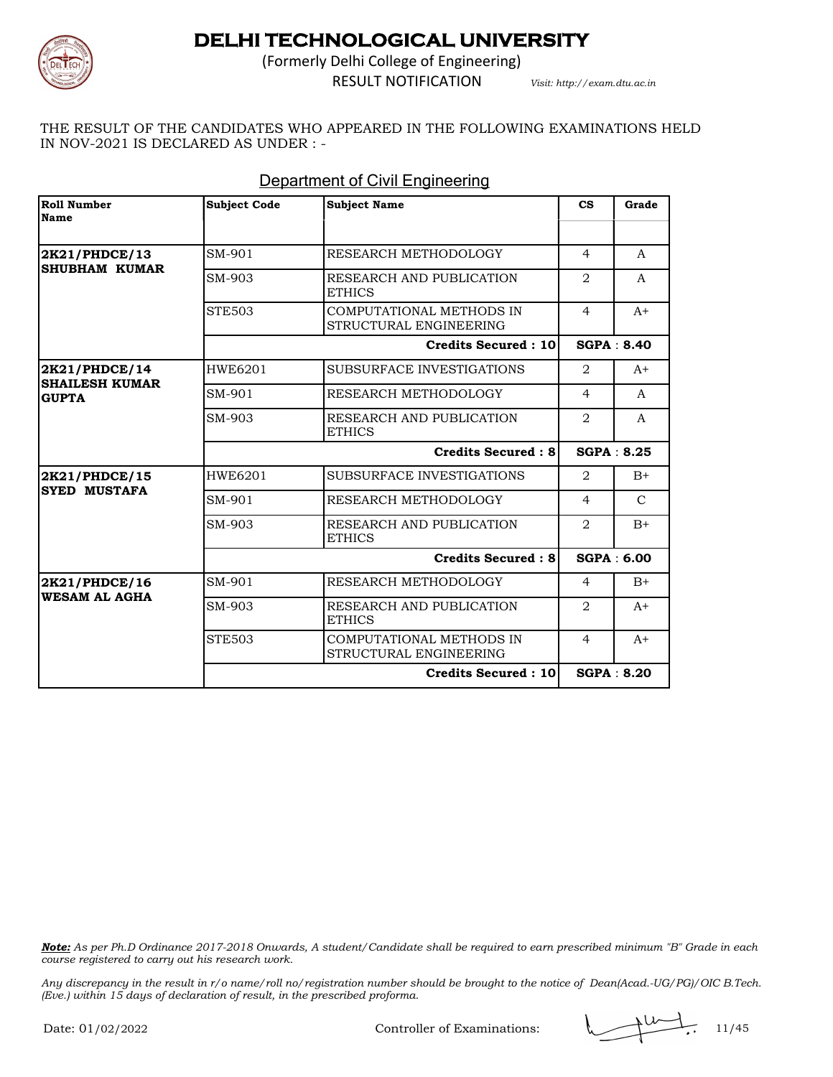

(Formerly Delhi College of Engineering) RESULT NOTIFICATION *Visit: http://exam.dtu.ac.in*

THE RESULT OF THE CANDIDATES WHO APPEARED IN THE FOLLOWING EXAMINATIONS HELD IN NOV-2021 IS DECLARED AS UNDER : -

| <b>Roll Number</b><br>Name            | <b>Subject Code</b> | <b>Subject Name</b>                                | $\mathbf{c}\mathbf{s}$ | Grade             |
|---------------------------------------|---------------------|----------------------------------------------------|------------------------|-------------------|
| 2K21/PHDCE/13<br><b>SHUBHAM KUMAR</b> | SM-901              | RESEARCH METHODOLOGY                               | $\overline{4}$         | A                 |
|                                       | SM-903              | RESEARCH AND PUBLICATION<br><b>ETHICS</b>          | $\overline{2}$         | A                 |
|                                       | <b>STE503</b>       | COMPUTATIONAL METHODS IN<br>STRUCTURAL ENGINEERING | $\overline{4}$         | $A+$              |
|                                       |                     | Credits Secured: 10                                |                        | <b>SGPA: 8.40</b> |
| 2K21/PHDCE/14                         | HWE6201             | SUBSURFACE INVESTIGATIONS                          | $\overline{2}$         | $A+$              |
| <b>SHAILESH KUMAR</b><br><b>GUPTA</b> | SM-901              | RESEARCH METHODOLOGY                               | $\overline{4}$         | $\mathsf{A}$      |
|                                       | SM-903              | RESEARCH AND PUBLICATION<br><b>ETHICS</b>          | $\overline{2}$         | A                 |
|                                       |                     | <b>Credits Secured: 8</b>                          |                        | SGPA: 8.25        |
| 2K21/PHDCE/15                         | HWE6201             | SUBSURFACE INVESTIGATIONS                          | $\overline{2}$         | $B+$              |
| <b>SYED MUSTAFA</b>                   | SM-901              | RESEARCH METHODOLOGY                               | $\overline{4}$         | $\mathcal{C}$     |
|                                       | SM-903              | RESEARCH AND PUBLICATION<br><b>ETHICS</b>          | $\overline{2}$         | $B+$              |
|                                       |                     | <b>Credits Secured: 8</b>                          |                        | <b>SGPA: 6.00</b> |
| 2K21/PHDCE/16                         | SM-901              | RESEARCH METHODOLOGY                               | $\overline{4}$         | $B+$              |
| <b>WESAM AL AGHA</b>                  | SM-903              | RESEARCH AND PUBLICATION<br><b>ETHICS</b>          | $\overline{2}$         | $A+$              |
|                                       | <b>STE503</b>       | COMPUTATIONAL METHODS IN<br>STRUCTURAL ENGINEERING | $\overline{4}$         | $A+$              |
|                                       |                     | <b>Credits Secured: 10</b>                         |                        | SGPA: 8.20        |

### Department of Civil Engineering

*Note: As per Ph.D Ordinance 2017-2018 Onwards, A student/Candidate shall be required to earn prescribed minimum "B" Grade in each course registered to carry out his research work.*

Controller of Examinations: 11/45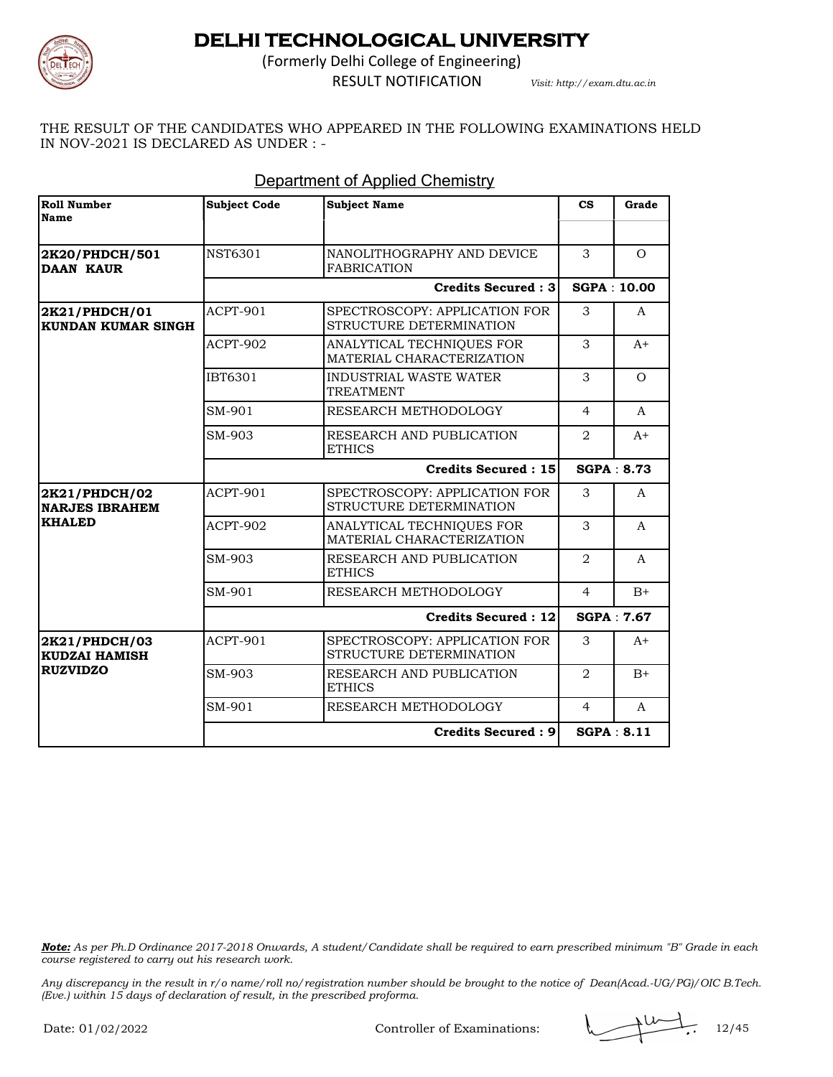

(Formerly Delhi College of Engineering)

RESULT NOTIFICATION *Visit: http://exam.dtu.ac.in*

THE RESULT OF THE CANDIDATES WHO APPEARED IN THE FOLLOWING EXAMINATIONS HELD IN NOV-2021 IS DECLARED AS UNDER : -

| Roll Number<br><b>Name</b>                 | <b>Subject Code</b> | <b>Subject Name</b>                                      | $\mathbf{c}\mathbf{s}$ | Grade              |
|--------------------------------------------|---------------------|----------------------------------------------------------|------------------------|--------------------|
|                                            |                     |                                                          |                        |                    |
| 2K20/PHDCH/501<br><b>DAAN KAUR</b>         | NST6301             | NANOLITHOGRAPHY AND DEVICE<br><b>FABRICATION</b>         | 3                      | $\Omega$           |
|                                            |                     | <b>Credits Secured: 3</b>                                |                        | <b>SGPA: 10.00</b> |
| 2K21/PHDCH/01<br><b>KUNDAN KUMAR SINGH</b> | ACPT-901            | SPECTROSCOPY: APPLICATION FOR<br>STRUCTURE DETERMINATION | 3                      | $\mathbf{A}$       |
|                                            | ACPT-902            | ANALYTICAL TECHNIQUES FOR<br>MATERIAL CHARACTERIZATION   | 3                      | $A+$               |
|                                            | IBT6301             | <b>INDUSTRIAL WASTE WATER</b><br><b>TREATMENT</b>        | 3                      | $\Omega$           |
|                                            | SM-901              | RESEARCH METHODOLOGY                                     | 4                      | A                  |
|                                            | SM-903              | RESEARCH AND PUBLICATION<br><b>ETHICS</b>                | 2                      | $A+$               |
|                                            |                     | Credits Secured: 15                                      |                        | <b>SGPA: 8.73</b>  |
| 2K21/PHDCH/02<br><b>NARJES IBRAHEM</b>     | ACPT-901            | SPECTROSCOPY: APPLICATION FOR<br>STRUCTURE DETERMINATION | 3                      | $\mathsf{A}$       |
| <b>KHALED</b>                              | ACPT-902            | ANALYTICAL TECHNIQUES FOR<br>MATERIAL CHARACTERIZATION   | 3                      | $\mathbf{A}$       |
|                                            | SM-903              | RESEARCH AND PUBLICATION<br><b>ETHICS</b>                | 2                      | A                  |
|                                            | SM-901              | RESEARCH METHODOLOGY                                     | $\overline{4}$         | $B+$               |
|                                            |                     | <b>Credits Secured: 12</b>                               |                        | <b>SGPA: 7.67</b>  |
| 2K21/PHDCH/03<br><b>KUDZAI HAMISH</b>      | ACPT-901            | SPECTROSCOPY: APPLICATION FOR<br>STRUCTURE DETERMINATION | 3                      | $A+$               |
| <b>RUZVIDZO</b>                            | SM-903              | RESEARCH AND PUBLICATION<br><b>ETHICS</b>                | 2                      | $B+$               |
|                                            | SM-901              | RESEARCH METHODOLOGY                                     | $\overline{4}$         | $\mathsf{A}$       |
|                                            |                     | Credits Secured: 9                                       |                        | <b>SGPA: 8.11</b>  |

### Department of Applied Chemistry

*Note: As per Ph.D Ordinance 2017-2018 Onwards, A student/Candidate shall be required to earn prescribed minimum "B" Grade in each course registered to carry out his research work.*

*Any discrepancy in the result in r/o name/roll no/registration number should be brought to the notice of Dean(Acad.-UG/PG)/OIC B.Tech. (Eve.) within 15 days of declaration of result, in the prescribed proforma.*

Controller of Examinations:  $\sqrt{12/45}$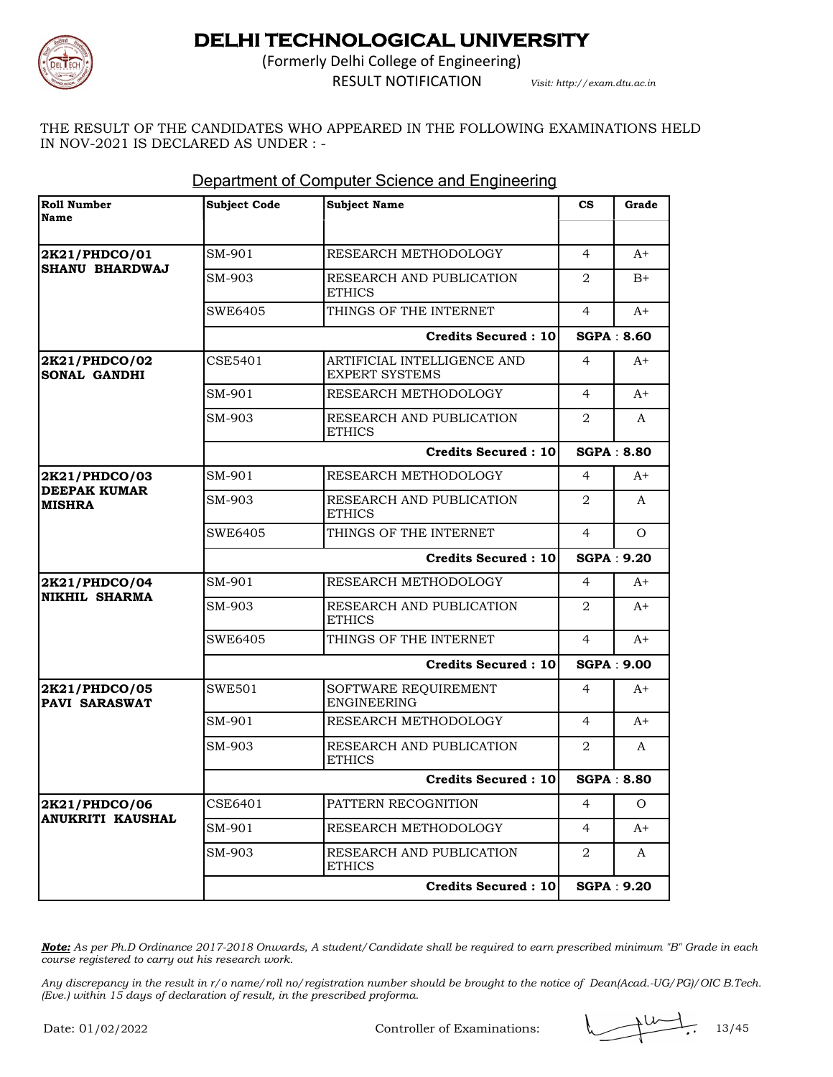

(Formerly Delhi College of Engineering) RESULT NOTIFICATION *Visit: http://exam.dtu.ac.in*

THE RESULT OF THE CANDIDATES WHO APPEARED IN THE FOLLOWING EXAMINATIONS HELD IN NOV-2021 IS DECLARED AS UNDER : -

| <b>Roll Number</b><br>Name                            | <b>Subject Code</b> | <b>Subject Name</b>                                  | $\mathbf{c}\mathbf{s}$ | Grade             |
|-------------------------------------------------------|---------------------|------------------------------------------------------|------------------------|-------------------|
|                                                       |                     |                                                      |                        |                   |
| 2K21/PHDCO/01                                         | SM-901              | RESEARCH METHODOLOGY                                 | $\overline{4}$         | $A+$              |
| <b>SHANU BHARDWAJ</b>                                 | SM-903              | RESEARCH AND PUBLICATION<br><b>ETHICS</b>            | 2                      | $B+$              |
|                                                       | SWE6405             | THINGS OF THE INTERNET                               | 4                      | $A+$              |
|                                                       |                     | <b>Credits Secured: 10</b>                           |                        | <b>SGPA: 8.60</b> |
| 2K21/PHDCO/02<br><b>SONAL GANDHI</b>                  | CSE5401             | ARTIFICIAL INTELLIGENCE AND<br><b>EXPERT SYSTEMS</b> | $\overline{4}$         | $A+$              |
|                                                       | SM-901              | RESEARCH METHODOLOGY                                 | $\overline{4}$         | $A+$              |
|                                                       | SM-903              | RESEARCH AND PUBLICATION<br><b>ETHICS</b>            | 2                      | A                 |
|                                                       |                     | <b>Credits Secured: 10</b>                           |                        | <b>SGPA: 8.80</b> |
| 2K21/PHDCO/03<br><b>DEEPAK KUMAR</b><br><b>MISHRA</b> | SM-901              | RESEARCH METHODOLOGY                                 | $\overline{4}$         | $A+$              |
|                                                       | SM-903              | RESEARCH AND PUBLICATION<br><b>ETHICS</b>            | 2                      | A                 |
|                                                       | SWE6405             | THINGS OF THE INTERNET                               | $\overline{4}$         | $\Omega$          |
|                                                       |                     | <b>Credits Secured: 10</b>                           |                        | <b>SGPA: 9.20</b> |
| 2K21/PHDCO/04                                         | SM-901              | RESEARCH METHODOLOGY                                 | $\overline{4}$         | $A+$              |
| <b>NIKHIL SHARMA</b>                                  | SM-903              | RESEARCH AND PUBLICATION<br><b>ETHICS</b>            | 2                      | $A+$              |
|                                                       | SWE6405             | THINGS OF THE INTERNET                               | $\overline{4}$         | $A+$              |
|                                                       |                     | <b>Credits Secured: 10</b>                           |                        | <b>SGPA: 9.00</b> |
| 2K21/PHDCO/05<br><b>PAVI SARASWAT</b>                 | <b>SWE501</b>       | SOFTWARE REQUIREMENT<br><b>ENGINEERING</b>           | $\overline{4}$         | $A+$              |
|                                                       | SM-901              | RESEARCH METHODOLOGY                                 | $\overline{4}$         | $A+$              |
|                                                       | SM-903              | RESEARCH AND PUBLICATION<br><b>ETHICS</b>            | 2                      | A                 |
|                                                       |                     | <b>Credits Secured: 10</b>                           |                        | <b>SGPA: 8.80</b> |
| 2K21/PHDCO/06<br><b>ANUKRITI KAUSHAL</b>              | CSE6401             | PATTERN RECOGNITION                                  | 4                      | $\Omega$          |
|                                                       |                     |                                                      |                        |                   |
|                                                       | SM-901              | RESEARCH METHODOLOGY                                 | 4                      | A+                |
|                                                       | SM-903              | RESEARCH AND PUBLICATION<br><b>ETHICS</b>            | 2                      | A                 |

### Department of Computer Science and Engineering

*Note: As per Ph.D Ordinance 2017-2018 Onwards, A student/Candidate shall be required to earn prescribed minimum "B" Grade in each course registered to carry out his research work.*

Controller of Examinations:  $\sqrt{1.3/45}$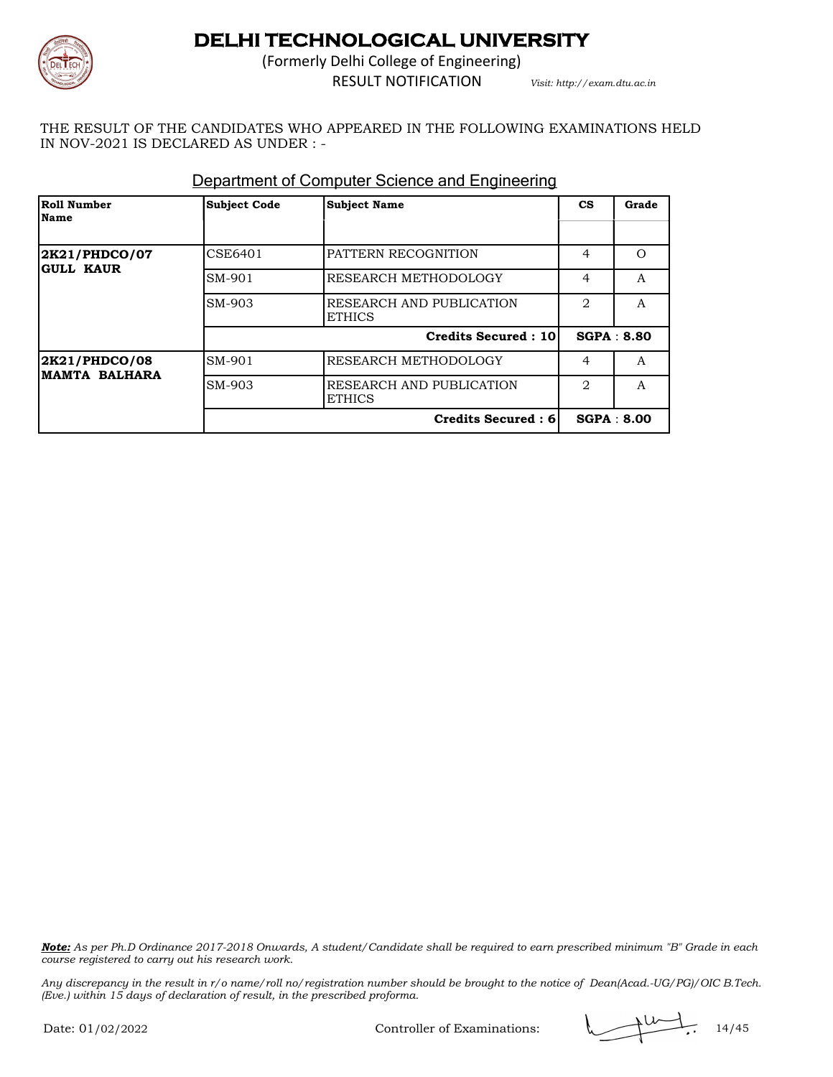

(Formerly Delhi College of Engineering) RESULT NOTIFICATION *Visit: http://exam.dtu.ac.in*

THE RESULT OF THE CANDIDATES WHO APPEARED IN THE FOLLOWING EXAMINATIONS HELD IN NOV-2021 IS DECLARED AS UNDER : -

| Roll Number<br>Name                    | <b>Subject Code</b> | <b>Subject Name</b>                       | <b>CS</b>                     | Grade             |
|----------------------------------------|---------------------|-------------------------------------------|-------------------------------|-------------------|
|                                        |                     |                                           |                               |                   |
| 2K21/PHDCO/07<br><b>GULL KAUR</b>      | CSE6401             | PATTERN RECOGNITION                       | 4                             | $\Omega$          |
|                                        | SM-901              | RESEARCH METHODOLOGY                      | 4                             | A                 |
|                                        | SM-903              | RESEARCH AND PUBLICATION<br><b>ETHICS</b> | $\mathfrak{D}_{\mathfrak{p}}$ | A                 |
|                                        |                     | <b>Credits Secured: 10</b>                |                               | <b>SGPA: 8.80</b> |
| 2K21/PHDCO/08<br><b>IMAMTA BALHARA</b> | SM-901              | RESEARCH METHODOLOGY                      | 4                             | A                 |
|                                        | SM-903              | RESEARCH AND PUBLICATION<br><b>ETHICS</b> | $\mathfrak{D}_{\mathfrak{p}}$ | $\mathsf{A}$      |
|                                        |                     | Credits Secured: 6                        |                               | SGPA : 8.00       |

### Department of Computer Science and Engineering

*Note: As per Ph.D Ordinance 2017-2018 Onwards, A student/Candidate shall be required to earn prescribed minimum "B" Grade in each course registered to carry out his research work.*

*Any discrepancy in the result in r/o name/roll no/registration number should be brought to the notice of Dean(Acad.-UG/PG)/OIC B.Tech. (Eve.) within 15 days of declaration of result, in the prescribed proforma.*

Controller of Examinations: 14/45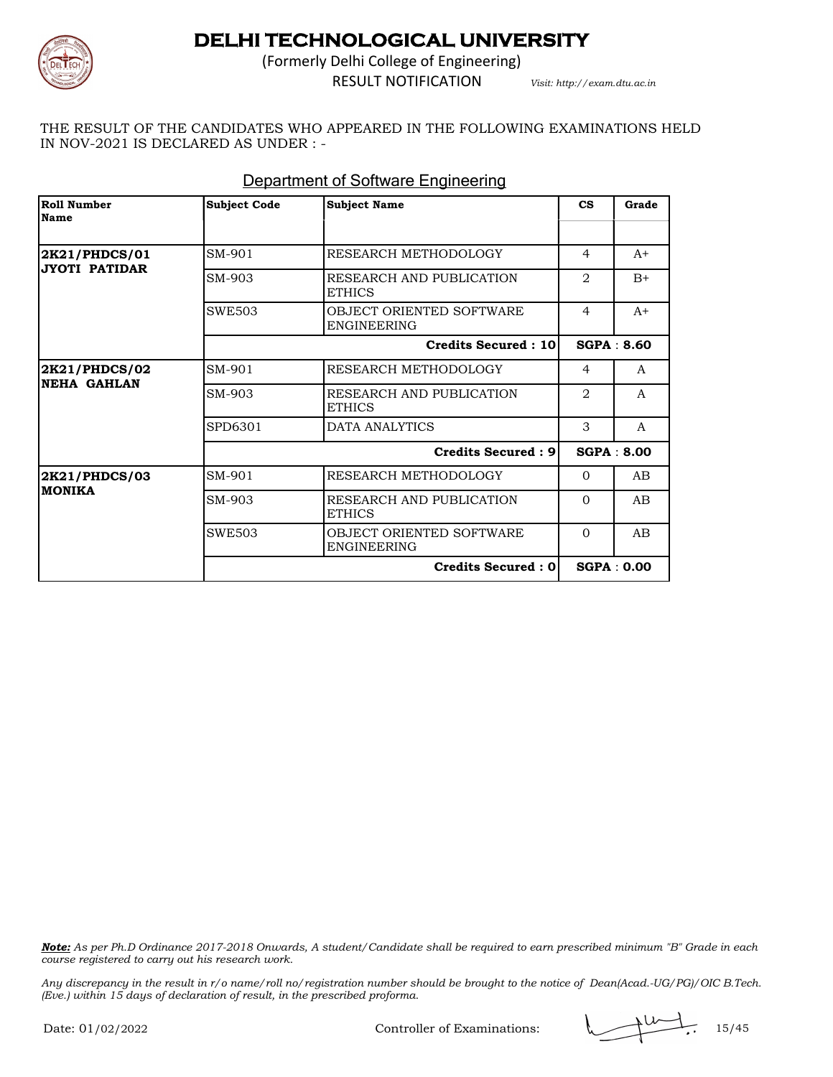

(Formerly Delhi College of Engineering) RESULT NOTIFICATION *Visit: http://exam.dtu.ac.in*

THE RESULT OF THE CANDIDATES WHO APPEARED IN THE FOLLOWING EXAMINATIONS HELD IN NOV-2021 IS DECLARED AS UNDER : -

| <b>Roll Number</b><br>Name          | <b>Subject Code</b> | <b>Subject Name</b>                            | $\mathbf{c}\mathbf{s}$ | Grade             |
|-------------------------------------|---------------------|------------------------------------------------|------------------------|-------------------|
|                                     |                     |                                                |                        |                   |
| 2K21/PHDCS/01                       | SM-901              | RESEARCH METHODOLOGY                           | $\overline{4}$         | $A+$              |
| <b>JYOTI PATIDAR</b>                | SM-903              | RESEARCH AND PUBLICATION<br><b>ETHICS</b>      | $\overline{2}$         | $B+$              |
|                                     | <b>SWE503</b>       | OBJECT ORIENTED SOFTWARE<br><b>ENGINEERING</b> | $\overline{4}$         | $A+$              |
|                                     |                     | <b>Credits Secured: 10</b>                     |                        | SGPA: 8.60        |
| 2K21/PHDCS/02<br><b>NEHA GAHLAN</b> | SM-901              | RESEARCH METHODOLOGY                           | $\overline{4}$         | A                 |
|                                     | SM-903              | RESEARCH AND PUBLICATION<br><b>ETHICS</b>      | $\mathfrak{D}$         | $\mathsf{A}$      |
|                                     | SPD6301             | DATA ANALYTICS                                 | 3                      | A                 |
|                                     |                     | <b>Credits Secured: 91</b>                     |                        | <b>SGPA: 8.00</b> |
| 2K21/PHDCS/03                       | SM-901              | RESEARCH METHODOLOGY                           | $\Omega$               | AB                |
| <b>MONIKA</b>                       | SM-903              | RESEARCH AND PUBLICATION<br><b>ETHICS</b>      | $\Omega$               | AB                |
|                                     | <b>SWE503</b>       | OBJECT ORIENTED SOFTWARE<br><b>ENGINEERING</b> | $\Omega$               | AB                |
|                                     |                     | <b>Credits Secured: 0</b>                      |                        | SGPA: 0.00        |

### Department of Software Engineering

*Note: As per Ph.D Ordinance 2017-2018 Onwards, A student/Candidate shall be required to earn prescribed minimum "B" Grade in each course registered to carry out his research work.*

$$
\longrightarrow^{\text{tot}}.
$$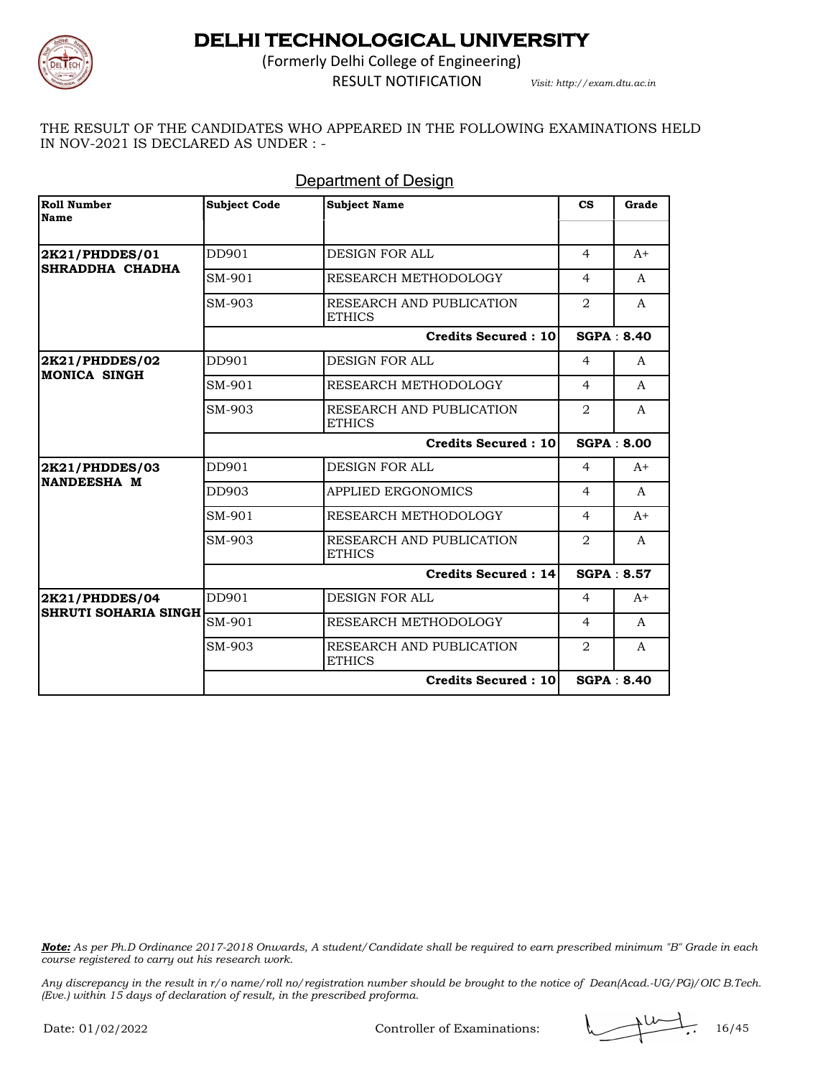

(Formerly Delhi College of Engineering) RESULT NOTIFICATION *Visit: http://exam.dtu.ac.in*

THE RESULT OF THE CANDIDATES WHO APPEARED IN THE FOLLOWING EXAMINATIONS HELD IN NOV-2021 IS DECLARED AS UNDER : -

| Roll Number<br><b>Name</b>            | <b>Subject Code</b> | <b>Subject Name</b>                       | $\mathbf{c}\mathbf{s}$ | Grade             |
|---------------------------------------|---------------------|-------------------------------------------|------------------------|-------------------|
| 2K21/PHDDES/01                        | DD901               | DESIGN FOR ALL                            | $\overline{4}$         | $A+$              |
| SHRADDHA CHADHA                       | SM-901              | RESEARCH METHODOLOGY                      | $\overline{4}$         | A                 |
|                                       | SM-903              | RESEARCH AND PUBLICATION<br><b>ETHICS</b> | 2                      | $\mathsf{A}$      |
|                                       |                     | <b>Credits Secured: 10</b>                |                        | <b>SGPA: 8.40</b> |
| 2K21/PHDDES/02<br><b>MONICA SINGH</b> | DD901               | DESIGN FOR ALL                            | $\overline{4}$         | A                 |
|                                       | SM-901              | RESEARCH METHODOLOGY                      | $\overline{4}$         | A                 |
|                                       | SM-903              | RESEARCH AND PUBLICATION<br><b>ETHICS</b> | $\mathfrak{D}$         | $\mathsf{A}$      |
|                                       |                     | Credits Secured: 10                       |                        | <b>SGPA: 8.00</b> |
| 2K21/PHDDES/03                        | DD901               | DESIGN FOR ALL                            | $\overline{4}$         | $A+$              |
| NANDEESHA M                           | DD903               | <b>APPLIED ERGONOMICS</b>                 | $\overline{4}$         | A                 |
|                                       | SM-901              | RESEARCH METHODOLOGY                      | $\overline{4}$         | $A+$              |
|                                       | SM-903              | RESEARCH AND PUBLICATION<br><b>ETHICS</b> | $\overline{2}$         | A                 |
|                                       |                     | Credits Secured: 14                       |                        | <b>SGPA: 8.57</b> |
| 2K21/PHDDES/04                        | DD901               | <b>DESIGN FOR ALL</b>                     | $\overline{4}$         | $A+$              |
| <b>SHRUTI SOHARIA SINGH</b>           | SM-901              | RESEARCH METHODOLOGY                      | $\overline{4}$         | A                 |
|                                       | SM-903              | RESEARCH AND PUBLICATION<br><b>ETHICS</b> | $\overline{2}$         | A                 |
|                                       |                     | <b>Credits Secured: 10</b>                |                        | <b>SGPA: 8.40</b> |

### **Department of Design**

*Note: As per Ph.D Ordinance 2017-2018 Onwards, A student/Candidate shall be required to earn prescribed minimum "B" Grade in each course registered to carry out his research work.*

*Any discrepancy in the result in r/o name/roll no/registration number should be brought to the notice of Dean(Acad.-UG/PG)/OIC B.Tech. (Eve.) within 15 days of declaration of result, in the prescribed proforma.*

Controller of Examinations: 16/45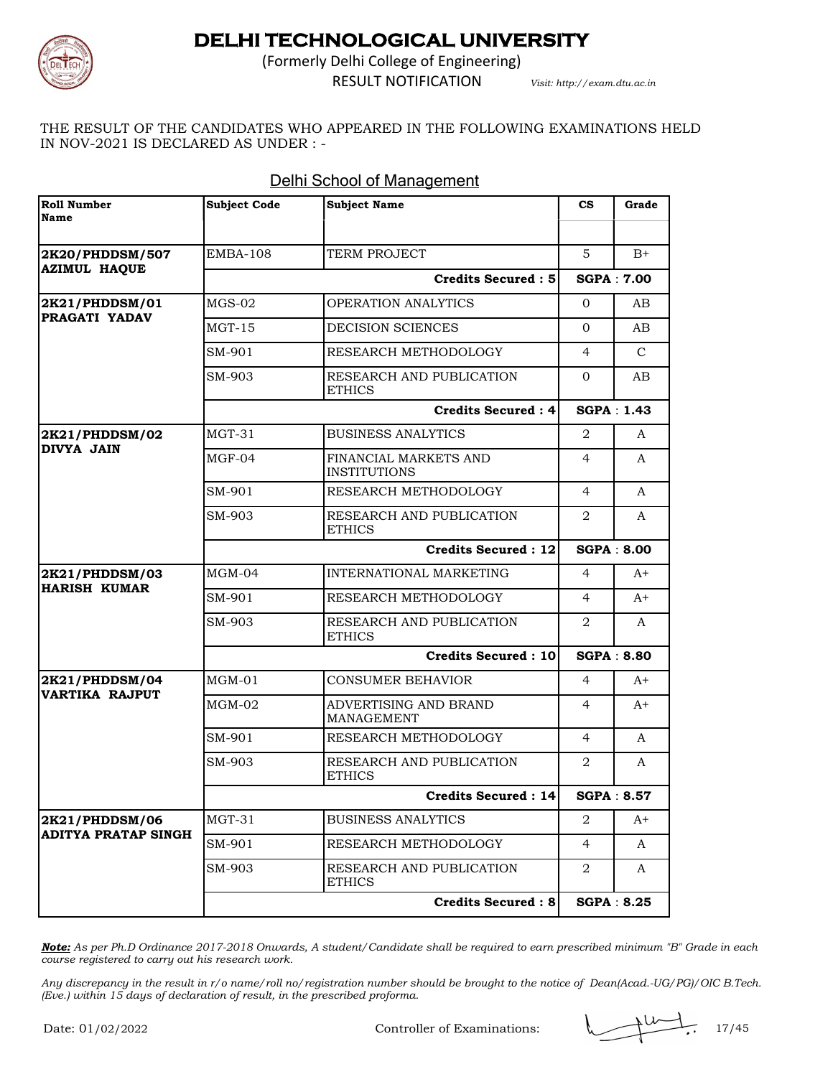

(Formerly Delhi College of Engineering)

RESULT NOTIFICATION *Visit: http://exam.dtu.ac.in*

THE RESULT OF THE CANDIDATES WHO APPEARED IN THE FOLLOWING EXAMINATIONS HELD IN NOV-2021 IS DECLARED AS UNDER : -

| Roll Number<br>Name                    | <b>Subject Code</b> | <b>Subject Name</b>                          | $\mathbf{c}\mathbf{s}$ | Grade             |
|----------------------------------------|---------------------|----------------------------------------------|------------------------|-------------------|
|                                        |                     |                                              |                        |                   |
| 2K20/PHDDSM/507<br><b>AZIMUL HAQUE</b> | <b>EMBA-108</b>     | TERM PROJECT                                 | 5                      | $B+$              |
|                                        |                     | Credits Secured: 5                           |                        | <b>SGPA: 7.00</b> |
| 2K21/PHDDSM/01                         | $MGS-02$            | <b>OPERATION ANALYTICS</b>                   | $\Omega$               | AB.               |
| PRAGATI YADAV                          | $MGT-15$            | <b>DECISION SCIENCES</b>                     | $\Omega$               | AB                |
|                                        | SM-901              | RESEARCH METHODOLOGY                         | 4                      | $\mathcal{C}$     |
|                                        | SM-903              | RESEARCH AND PUBLICATION<br><b>ETHICS</b>    | $\Omega$               | AB                |
|                                        |                     | <b>Credits Secured: 4</b>                    |                        | <b>SGPA: 1.43</b> |
| 2K21/PHDDSM/02<br><b>DIVYA JAIN</b>    | $MGT-31$            | <b>BUSINESS ANALYTICS</b>                    | 2                      | A                 |
|                                        | $MGF-04$            | FINANCIAL MARKETS AND<br><b>INSTITUTIONS</b> | 4                      | A                 |
|                                        | SM-901              | RESEARCH METHODOLOGY                         | 4                      | A                 |
|                                        | SM-903              | RESEARCH AND PUBLICATION<br><b>ETHICS</b>    | 2                      | A                 |
|                                        |                     | <b>Credits Secured: 12</b>                   |                        | <b>SGPA: 8.00</b> |
| 2K21/PHDDSM/03                         | $MGM-04$            | <b>INTERNATIONAL MARKETING</b>               | 4                      | $A+$              |
| <b>HARISH KUMAR</b>                    | SM-901              | RESEARCH METHODOLOGY                         | 4                      | $A+$              |
|                                        | SM-903              | RESEARCH AND PUBLICATION<br><b>ETHICS</b>    | 2                      | A                 |
|                                        |                     | Credits Secured: 10                          |                        | <b>SGPA: 8.80</b> |
| 2K21/PHDDSM/04                         | $MGM-01$            | <b>CONSUMER BEHAVIOR</b>                     | $\overline{4}$         | $A+$              |
| VARTIKA RAJPUT                         | $MGM-02$            | ADVERTISING AND BRAND<br><b>MANAGEMENT</b>   | 4                      | $A+$              |
|                                        | SM-901              | RESEARCH METHODOLOGY                         | 4                      | A                 |
|                                        | SM-903              | RESEARCH AND PUBLICATION<br><b>ETHICS</b>    | 2                      | A                 |
|                                        |                     | Credits Secured : 14                         |                        | <b>SGPA: 8.57</b> |
| 2K21/PHDDSM/06                         | MGT-31              | <b>BUSINESS ANALYTICS</b>                    | 2                      | A+                |
| <b>ADITYA PRATAP SINGH</b>             | SM-901              | RESEARCH METHODOLOGY                         | $\overline{4}$         | A                 |
|                                        | SM-903              | RESEARCH AND PUBLICATION<br><b>ETHICS</b>    | 2                      | A                 |
|                                        |                     | Credits Secured: 8                           |                        | <b>SGPA: 8.25</b> |

#### Delhi School of Management

*Note: As per Ph.D Ordinance 2017-2018 Onwards, A student/Candidate shall be required to earn prescribed minimum "B" Grade in each course registered to carry out his research work.*

*Any discrepancy in the result in r/o name/roll no/registration number should be brought to the notice of Dean(Acad.-UG/PG)/OIC B.Tech. (Eve.) within 15 days of declaration of result, in the prescribed proforma.*

Controller of Examinations: 17/45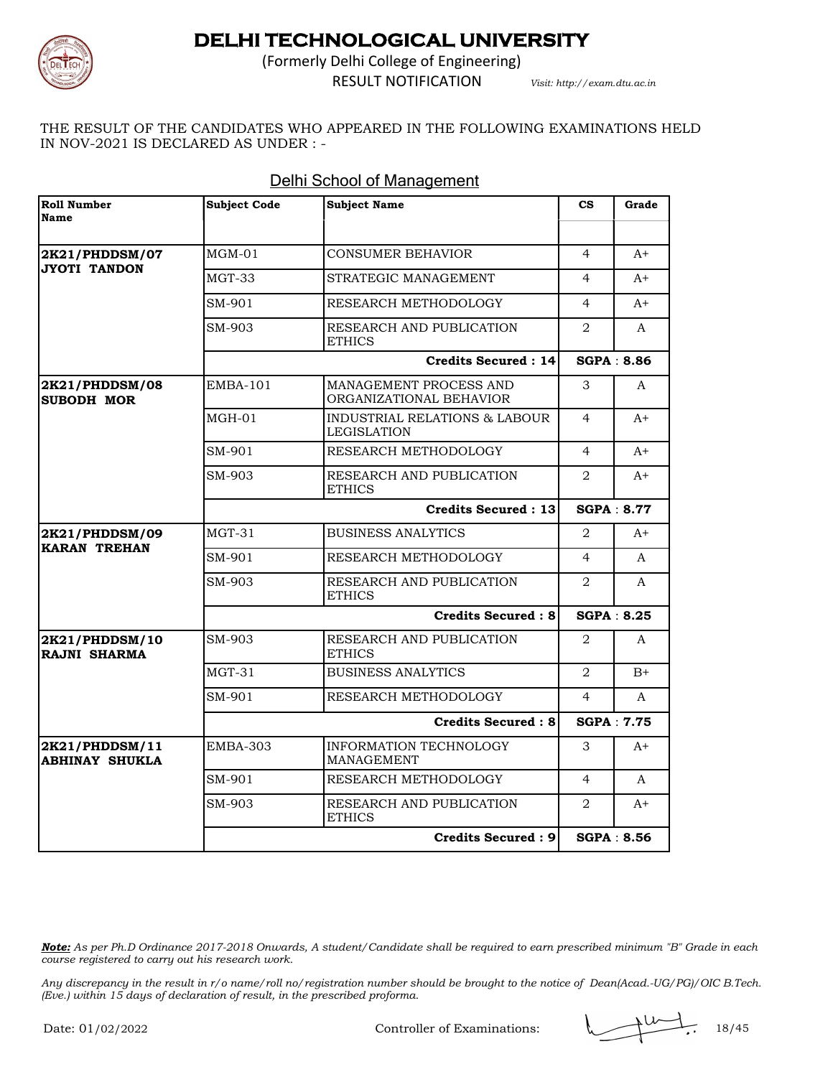

(Formerly Delhi College of Engineering) RESULT NOTIFICATION *Visit: http://exam.dtu.ac.in*

THE RESULT OF THE CANDIDATES WHO APPEARED IN THE FOLLOWING EXAMINATIONS HELD IN NOV-2021 IS DECLARED AS UNDER : -

| <b>Roll Number</b><br>Name              | <b>Subject Code</b> | <b>Subject Name</b>                                 | $\mathbf{c}\mathbf{s}$ | Grade             |
|-----------------------------------------|---------------------|-----------------------------------------------------|------------------------|-------------------|
|                                         |                     |                                                     |                        |                   |
| 2K21/PHDDSM/07<br><b>JYOTI TANDON</b>   | $MGM-01$            | CONSUMER BEHAVIOR                                   | $\overline{4}$         | $A+$              |
|                                         | MGT-33              | STRATEGIC MANAGEMENT                                | 4                      | $A+$              |
|                                         | SM-901              | RESEARCH METHODOLOGY                                | 4                      | $A+$              |
|                                         | SM-903              | RESEARCH AND PUBLICATION<br><b>ETHICS</b>           | 2                      | A                 |
|                                         |                     | Credits Secured: 14                                 |                        | <b>SGPA: 8.86</b> |
| 2K21/PHDDSM/08<br><b>SUBODH MOR</b>     | $EMBA-101$          | MANAGEMENT PROCESS AND<br>ORGANIZATIONAL BEHAVIOR   | 3                      | A                 |
|                                         | $MGH-01$            | INDUSTRIAL RELATIONS & LABOUR<br><b>LEGISLATION</b> | $\overline{4}$         | $A+$              |
|                                         | SM-901              | RESEARCH METHODOLOGY                                | $\overline{4}$         | $A+$              |
|                                         | SM-903              | RESEARCH AND PUBLICATION<br><b>ETHICS</b>           | 2                      | $A+$              |
|                                         |                     | <b>Credits Secured: 13</b>                          |                        | <b>SGPA: 8.77</b> |
| 2K21/PHDDSM/09<br><b>KARAN TREHAN</b>   | $MGT-31$            | <b>BUSINESS ANALYTICS</b>                           | 2                      | $A+$              |
|                                         | SM-901              | RESEARCH METHODOLOGY                                | $\overline{4}$         | $\mathsf{A}$      |
|                                         | SM-903              | RESEARCH AND PUBLICATION<br><b>ETHICS</b>           | 2                      | A                 |
|                                         |                     | <b>Credits Secured: 8</b>                           |                        | SGPA: 8.25        |
| 2K21/PHDDSM/10<br><b>RAJNI SHARMA</b>   | SM-903              | RESEARCH AND PUBLICATION<br><b>ETHICS</b>           | 2                      | A                 |
|                                         | $MGT-31$            | <b>BUSINESS ANALYTICS</b>                           | $\mathfrak{D}$         | $B+$              |
|                                         | SM-901              | RESEARCH METHODOLOGY                                | $\overline{4}$         | A                 |
|                                         |                     | <b>Credits Secured: 8</b>                           |                        | SGPA: 7.75        |
| 2K21/PHDDSM/11<br><b>ABHINAY SHUKLA</b> | EMBA-303            | INFORMATION TECHNOLOGY<br><b>MANAGEMENT</b>         | 3                      | A+                |
|                                         | SM-901              | RESEARCH METHODOLOGY                                | $\overline{4}$         | A                 |
|                                         | SM-903              | RESEARCH AND PUBLICATION<br><b>ETHICS</b>           | 2                      | $A+$              |
|                                         |                     | <b>Credits Secured: 9</b>                           |                        | SGPA: 8.56        |

#### Delhi School of Management

*Note: As per Ph.D Ordinance 2017-2018 Onwards, A student/Candidate shall be required to earn prescribed minimum "B" Grade in each course registered to carry out his research work.*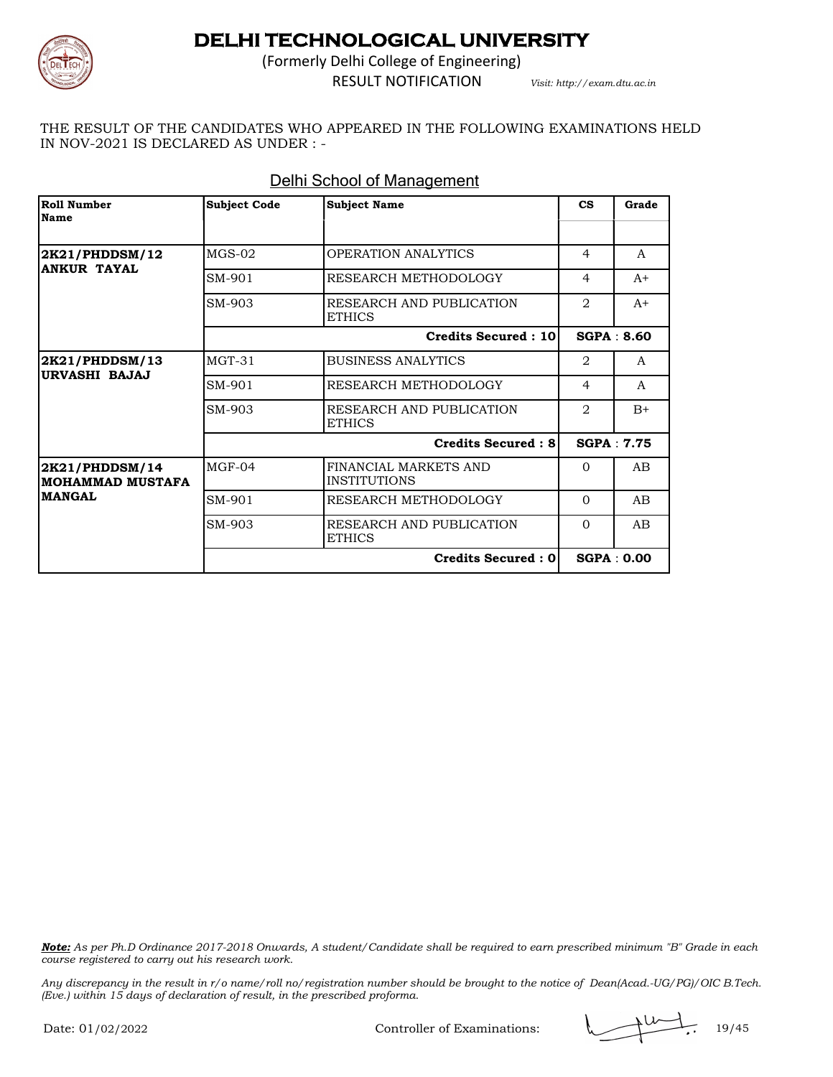

(Formerly Delhi College of Engineering) RESULT NOTIFICATION *Visit: http://exam.dtu.ac.in*

THE RESULT OF THE CANDIDATES WHO APPEARED IN THE FOLLOWING EXAMINATIONS HELD IN NOV-2021 IS DECLARED AS UNDER : -

| Roll Number<br><b>Name</b>                | <b>Subject Code</b> | <b>Subject Name</b>                          | $\mathbf{c}\mathbf{s}$        | Grade             |
|-------------------------------------------|---------------------|----------------------------------------------|-------------------------------|-------------------|
| 2K21/PHDDSM/12                            | $MGS-02$            | OPERATION ANALYTICS                          | 4                             | A                 |
| <b>ANKUR TAYAL</b>                        | SM-901              | RESEARCH METHODOLOGY                         | $\overline{4}$                | $A+$              |
|                                           | SM-903              | RESEARCH AND PUBLICATION<br><b>ETHICS</b>    | $\mathfrak{D}_{\mathfrak{p}}$ | $A+$              |
|                                           |                     | <b>Credits Secured: 10</b>                   |                               | SGPA: 8.60        |
| 2K21/PHDDSM/13<br>URVASHI BAJAJ           | $MGT-31$            | <b>BUSINESS ANALYTICS</b>                    | 2                             | A                 |
|                                           | SM-901              | RESEARCH METHODOLOGY                         | $\overline{4}$                | $\mathsf{A}$      |
|                                           | SM-903              | RESEARCH AND PUBLICATION<br><b>ETHICS</b>    | $\mathcal{D}_{\mathcal{L}}$   | $B+$              |
|                                           |                     | <b>Credits Secured: 81</b>                   |                               | SGPA: 7.75        |
| 2K21/PHDDSM/14<br><b>MOHAMMAD MUSTAFA</b> | $MGF-04$            | FINANCIAL MARKETS AND<br><b>INSTITUTIONS</b> | $\Omega$                      | AB                |
| <b>MANGAL</b>                             | SM-901              | RESEARCH METHODOLOGY                         | $\Omega$                      | AB                |
|                                           | SM-903              | RESEARCH AND PUBLICATION<br><b>ETHICS</b>    | $\Omega$                      | A <sub>B</sub>    |
|                                           |                     | Credits Secured : 0                          |                               | <b>SGPA: 0.00</b> |

#### Delhi School of Management

*Note: As per Ph.D Ordinance 2017-2018 Onwards, A student/Candidate shall be required to earn prescribed minimum "B" Grade in each course registered to carry out his research work.*

*Any discrepancy in the result in r/o name/roll no/registration number should be brought to the notice of Dean(Acad.-UG/PG)/OIC B.Tech. (Eve.) within 15 days of declaration of result, in the prescribed proforma.*

Controller of Examinations:  $\sqrt{10/16}$ , 19/45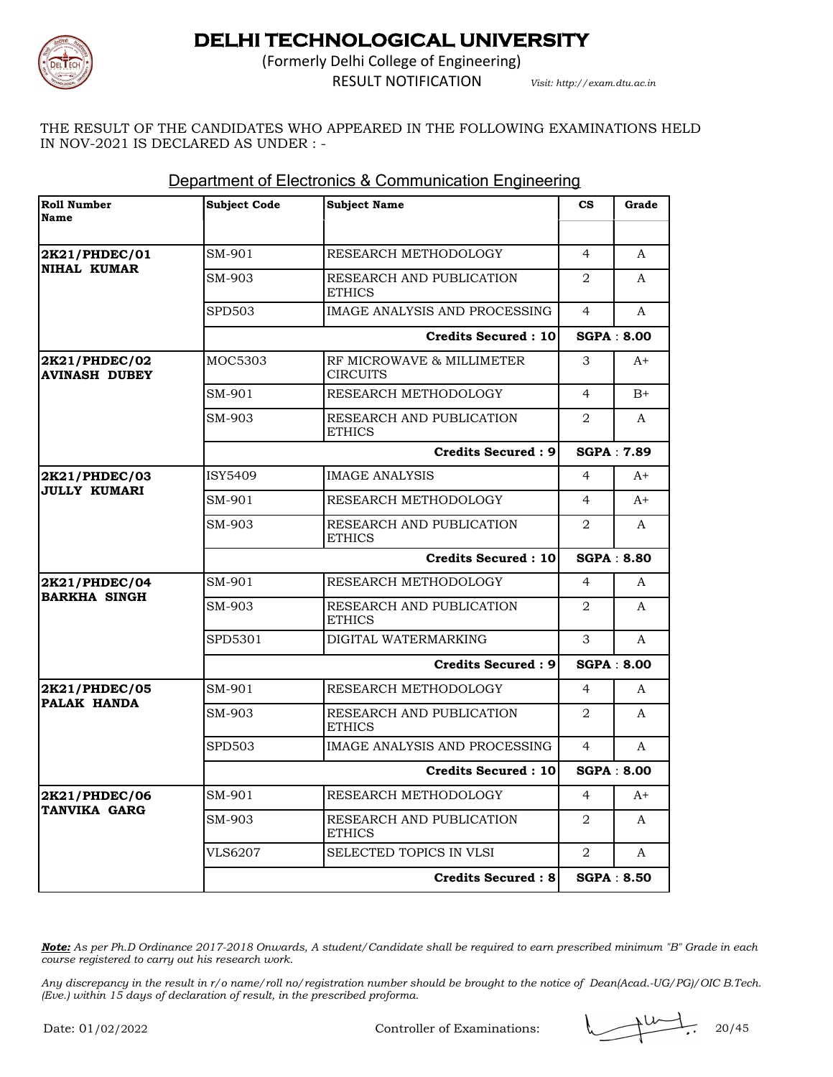

(Formerly Delhi College of Engineering) RESULT NOTIFICATION *Visit: http://exam.dtu.ac.in*

THE RESULT OF THE CANDIDATES WHO APPEARED IN THE FOLLOWING EXAMINATIONS HELD IN NOV-2021 IS DECLARED AS UNDER : -

| <b>Roll Number</b><br>Name            | <b>Subject Code</b> | <b>Subject Name</b>                          | $\mathbf{c}\mathbf{s}$      | Grade             |
|---------------------------------------|---------------------|----------------------------------------------|-----------------------------|-------------------|
|                                       |                     |                                              |                             |                   |
| 2K21/PHDEC/01                         | SM-901              | RESEARCH METHODOLOGY                         | 4                           | A                 |
| <b>NIHAL KUMAR</b>                    | SM-903              | RESEARCH AND PUBLICATION<br><b>ETHICS</b>    | $\overline{2}$              | A                 |
|                                       | <b>SPD503</b>       | IMAGE ANALYSIS AND PROCESSING                | $\overline{4}$              | A                 |
|                                       |                     | <b>Credits Secured: 10</b>                   |                             | <b>SGPA: 8.00</b> |
| 2K21/PHDEC/02<br><b>AVINASH DUBEY</b> | MOC5303             | RF MICROWAVE & MILLIMETER<br><b>CIRCUITS</b> | 3                           | $A+$              |
|                                       | SM-901              | RESEARCH METHODOLOGY                         | $\overline{4}$              | $B+$              |
|                                       | SM-903              | RESEARCH AND PUBLICATION<br><b>ETHICS</b>    | 2                           | A                 |
|                                       |                     | <b>Credits Secured: 9</b>                    |                             | <b>SGPA: 7.89</b> |
| 2K21/PHDEC/03<br><b>JULLY KUMARI</b>  | ISY5409             | <b>IMAGE ANALYSIS</b>                        | $\overline{4}$              | $A+$              |
|                                       | SM-901              | RESEARCH METHODOLOGY                         | $\overline{4}$              | $A+$              |
|                                       | SM-903              | RESEARCH AND PUBLICATION<br><b>ETHICS</b>    | $\mathcal{D}_{\mathcal{L}}$ | $\mathsf{A}$      |
|                                       |                     | <b>Credits Secured: 10</b>                   |                             | <b>SGPA: 8.80</b> |
| 2K21/PHDEC/04                         | SM-901              | RESEARCH METHODOLOGY                         | 4                           | A                 |
| <b>BARKHA SINGH</b>                   | SM-903              | RESEARCH AND PUBLICATION<br><b>ETHICS</b>    | 2                           | A                 |
|                                       | SPD5301             | DIGITAL WATERMARKING                         | 3                           | A                 |
|                                       |                     | <b>Credits Secured: 9</b>                    |                             | <b>SGPA: 8.00</b> |
| 2K21/PHDEC/05                         | SM-901              | RESEARCH METHODOLOGY                         | 4                           | A                 |
| PALAK HANDA                           | SM-903              | RESEARCH AND PUBLICATION<br><b>ETHICS</b>    | $\overline{2}$              | A                 |
|                                       | <b>SPD503</b>       | IMAGE ANALYSIS AND PROCESSING                | 4                           | A                 |
|                                       |                     | <b>Credits Secured: 10</b>                   |                             | <b>SGPA: 8.00</b> |
| 2K21/PHDEC/06                         | SM-901              | RESEARCH METHODOLOGY                         | $\overline{4}$              | $A+$              |
| TANVIKA GARG                          | SM-903              | RESEARCH AND PUBLICATION<br><b>ETHICS</b>    | $\overline{2}$              | A                 |
|                                       | <b>VLS6207</b>      | SELECTED TOPICS IN VLSI                      | 2                           | A                 |
|                                       |                     | Credits Secured : 8                          |                             | <b>SGPA: 8.50</b> |

#### Department of Electronics & Communication Engineering

*Note: As per Ph.D Ordinance 2017-2018 Onwards, A student/Candidate shall be required to earn prescribed minimum "B" Grade in each course registered to carry out his research work.*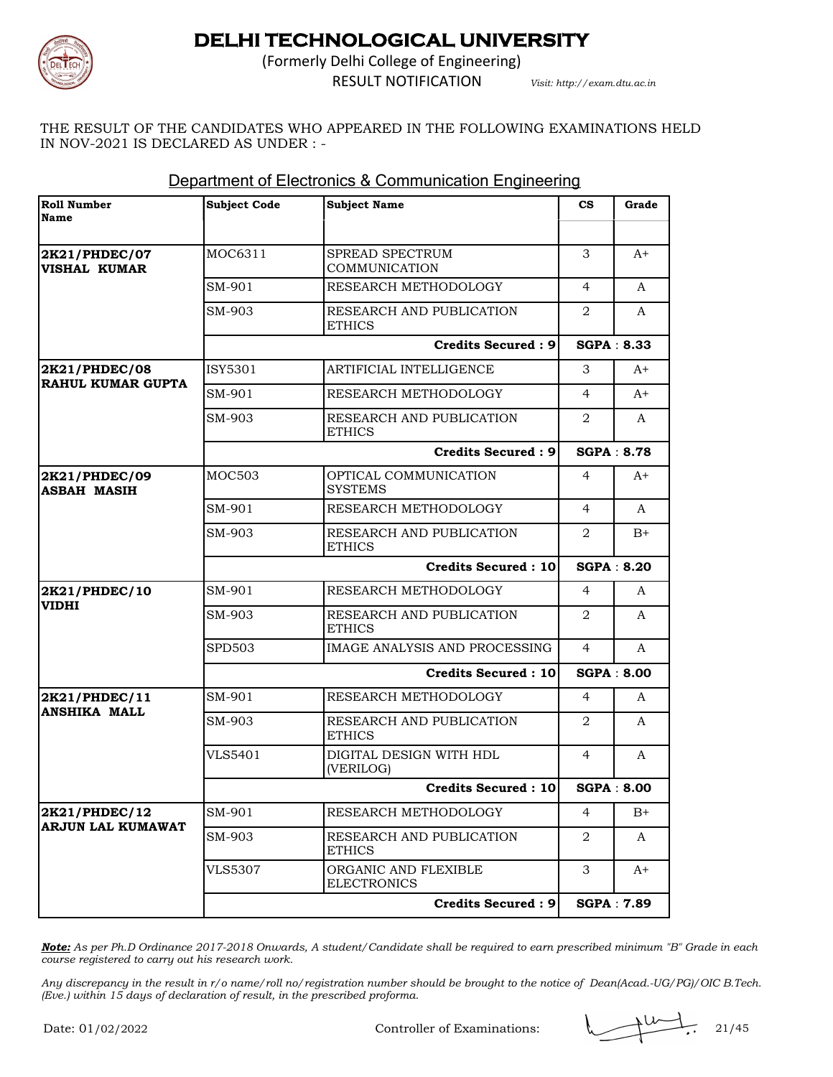

(Formerly Delhi College of Engineering) RESULT NOTIFICATION *Visit: http://exam.dtu.ac.in*

THE RESULT OF THE CANDIDATES WHO APPEARED IN THE FOLLOWING EXAMINATIONS HELD IN NOV-2021 IS DECLARED AS UNDER : -

| <b>Roll Number</b><br>Name                | <b>Subject Code</b>        | <b>Subject Name</b>                        | $\mathbf{c}\mathbf{s}$ | Grade             |
|-------------------------------------------|----------------------------|--------------------------------------------|------------------------|-------------------|
|                                           |                            |                                            |                        |                   |
| 2K21/PHDEC/07<br><b>VISHAL KUMAR</b>      | MOC6311                    | SPREAD SPECTRUM<br><b>COMMUNICATION</b>    | 3                      | $A+$              |
|                                           | SM-901                     | RESEARCH METHODOLOGY                       | 4                      | A                 |
|                                           | SM-903                     | RESEARCH AND PUBLICATION<br>ETHICS         | 2                      | A                 |
|                                           |                            | <b>Credits Secured: 9</b>                  | <b>SGPA: 8.33</b>      |                   |
| 2K21/PHDEC/08<br><b>RAHUL KUMAR GUPTA</b> | ISY5301                    | ARTIFICIAL INTELLIGENCE                    | 3                      | A+                |
|                                           | SM-901                     | RESEARCH METHODOLOGY                       | $\overline{4}$         | A+                |
|                                           | SM-903                     | RESEARCH AND PUBLICATION<br><b>ETHICS</b>  | 2                      | A                 |
|                                           |                            | <b>Credits Secured: 9</b>                  | <b>SGPA: 8.78</b>      |                   |
| 2K21/PHDEC/09<br><b>ASBAH MASIH</b>       | <b>MOC503</b>              | OPTICAL COMMUNICATION<br><b>SYSTEMS</b>    | 4                      | A+                |
|                                           | SM-901                     | RESEARCH METHODOLOGY                       | 4                      | A                 |
|                                           | SM-903                     | RESEARCH AND PUBLICATION<br><b>ETHICS</b>  | 2                      | $B+$              |
|                                           |                            | <b>Credits Secured: 10</b>                 |                        | <b>SGPA: 8.20</b> |
| 2K21/PHDEC/10                             | SM-901                     | RESEARCH METHODOLOGY                       | 4                      | A                 |
| <b>VIDHI</b>                              | SM-903                     | RESEARCH AND PUBLICATION<br><b>ETHICS</b>  | 2                      | A                 |
|                                           | <b>SPD503</b>              | <b>IMAGE ANALYSIS AND PROCESSING</b>       | 4                      | A                 |
|                                           | <b>Credits Secured: 10</b> |                                            |                        | <b>SGPA: 8.00</b> |
| 2K21/PHDEC/11                             | SM-901                     | RESEARCH METHODOLOGY                       | 4                      | A                 |
| <b>ANSHIKA MALL</b>                       | SM-903                     | RESEARCH AND PUBLICATION<br><b>ETHICS</b>  | 2                      | A                 |
|                                           | VLS5401                    | DIGITAL DESIGN WITH HDL                    | 4                      | A                 |
|                                           |                            | (VERILOG)                                  |                        |                   |
|                                           |                            | <b>Credits Secured: 10</b>                 |                        | <b>SGPA: 8.00</b> |
| 2K21/PHDEC/12                             | SM-901                     | RESEARCH METHODOLOGY                       | 4                      | $B+$              |
| <b>ARJUN LAL KUMAWAT</b>                  | SM-903                     | RESEARCH AND PUBLICATION<br><b>ETHICS</b>  | 2                      | A                 |
|                                           | VLS5307                    | ORGANIC AND FLEXIBLE<br><b>ELECTRONICS</b> | 3                      | A+                |

#### Department of Electronics & Communication Engineering

*Note: As per Ph.D Ordinance 2017-2018 Onwards, A student/Candidate shall be required to earn prescribed minimum "B" Grade in each course registered to carry out his research work.*

*Any discrepancy in the result in r/o name/roll no/registration number should be brought to the notice of Dean(Acad.-UG/PG)/OIC B.Tech. (Eve.) within 15 days of declaration of result, in the prescribed proforma.*

Controller of Examinations: 21/45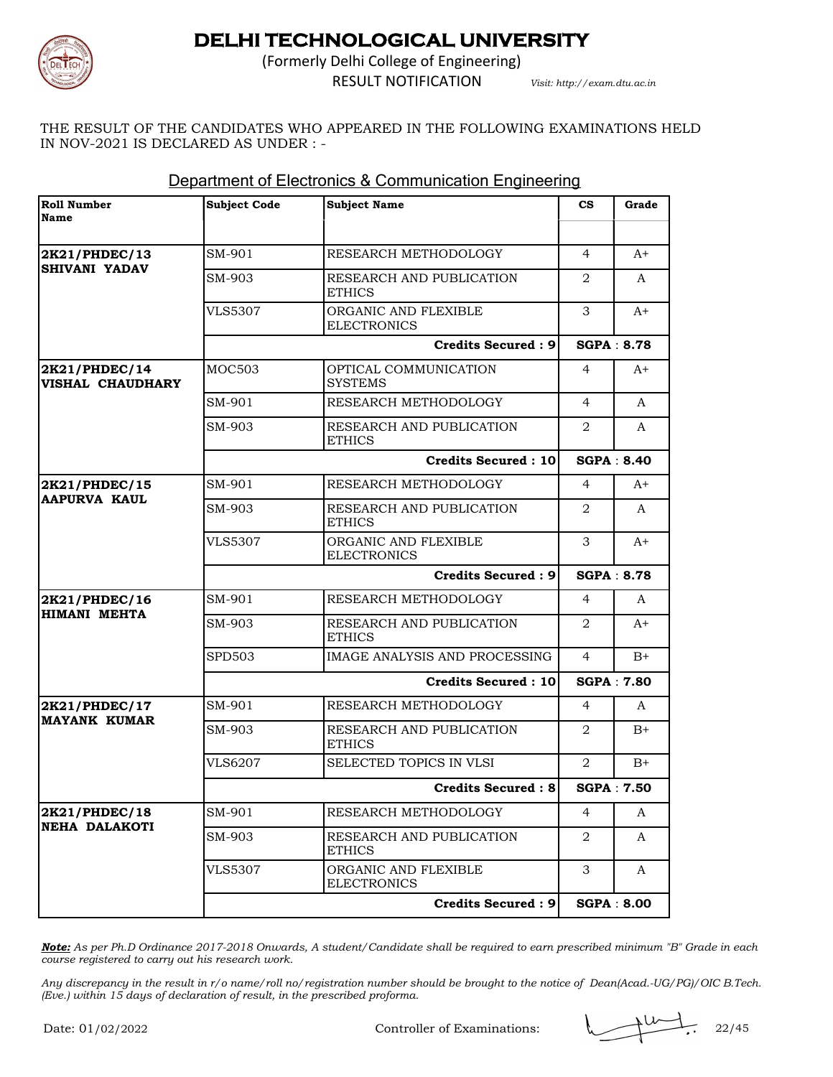

(Formerly Delhi College of Engineering) RESULT NOTIFICATION *Visit: http://exam.dtu.ac.in*

THE RESULT OF THE CANDIDATES WHO APPEARED IN THE FOLLOWING EXAMINATIONS HELD IN NOV-2021 IS DECLARED AS UNDER : -

| <b>Roll Number</b><br>Name               | <b>Subject Code</b>       | <b>Subject Name</b>                        | $_{\rm cs}$    | Grade             |
|------------------------------------------|---------------------------|--------------------------------------------|----------------|-------------------|
|                                          |                           |                                            |                |                   |
| 2K21/PHDEC/13<br><b>SHIVANI YADAV</b>    | SM-901                    | RESEARCH METHODOLOGY                       | $\overline{4}$ | $A+$              |
|                                          | SM-903                    | RESEARCH AND PUBLICATION<br><b>ETHICS</b>  | 2              | A                 |
|                                          | <b>VLS5307</b>            | ORGANIC AND FLEXIBLE<br><b>ELECTRONICS</b> | 3              | A+                |
|                                          |                           | Credits Secured: 9                         |                | <b>SGPA: 8.78</b> |
| 2K21/PHDEC/14<br><b>VISHAL CHAUDHARY</b> | <b>MOC503</b>             | OPTICAL COMMUNICATION<br><b>SYSTEMS</b>    | 4              | $A+$              |
|                                          | SM-901                    | RESEARCH METHODOLOGY                       | $\overline{4}$ | A                 |
|                                          | SM-903                    | RESEARCH AND PUBLICATION<br><b>ETHICS</b>  | 2              | A                 |
|                                          |                           | <b>Credits Secured: 10</b>                 |                | <b>SGPA: 8.40</b> |
| 2K21/PHDEC/15<br><b>AAPURVA KAUL</b>     | SM-901                    | RESEARCH METHODOLOGY                       | 4              | A+                |
|                                          | SM-903                    | RESEARCH AND PUBLICATION<br><b>ETHICS</b>  | 2              | A                 |
|                                          | <b>VLS5307</b>            | ORGANIC AND FLEXIBLE<br><b>ELECTRONICS</b> | 3              | A+                |
|                                          |                           | <b>Credits Secured: 9</b>                  |                | <b>SGPA: 8.78</b> |
| 2K21/PHDEC/16                            | SM-901                    | RESEARCH METHODOLOGY                       | 4              | A                 |
| <b>HIMANI MEHTA</b>                      | SM-903                    | RESEARCH AND PUBLICATION<br><b>ETHICS</b>  | 2              | A+                |
|                                          | <b>SPD503</b>             | IMAGE ANALYSIS AND PROCESSING              | 4              | $B+$              |
|                                          |                           | <b>Credits Secured: 10</b>                 |                | <b>SGPA: 7.80</b> |
| 2K21/PHDEC/17                            | SM-901                    | RESEARCH METHODOLOGY                       | 4              | A                 |
| <b>MAYANK KUMAR</b>                      | SM-903                    | RESEARCH AND PUBLICATION<br><b>ETHICS</b>  | 2              | $B+$              |
|                                          | <b>VLS6207</b>            | SELECTED TOPICS IN VLSI                    | 2              | $B+$              |
|                                          | <b>Credits Secured: 8</b> |                                            |                | <b>SGPA: 7.50</b> |
| 2K21/PHDEC/18                            | SM-901                    | RESEARCH METHODOLOGY                       | 4              | A                 |
| <b>NEHA DALAKOTI</b>                     | SM-903                    | RESEARCH AND PUBLICATION<br><b>ETHICS</b>  | 2              | A                 |
|                                          | <b>VLS5307</b>            | ORGANIC AND FLEXIBLE<br><b>ELECTRONICS</b> | 3              | A                 |
|                                          |                           | <b>Credits Secured: 9</b>                  |                | <b>SGPA: 8.00</b> |

#### Department of Electronics & Communication Engineering

*Note: As per Ph.D Ordinance 2017-2018 Onwards, A student/Candidate shall be required to earn prescribed minimum "B" Grade in each course registered to carry out his research work.*

*Any discrepancy in the result in r/o name/roll no/registration number should be brought to the notice of Dean(Acad.-UG/PG)/OIC B.Tech. (Eve.) within 15 days of declaration of result, in the prescribed proforma.*

Controller of Examinations: 22/45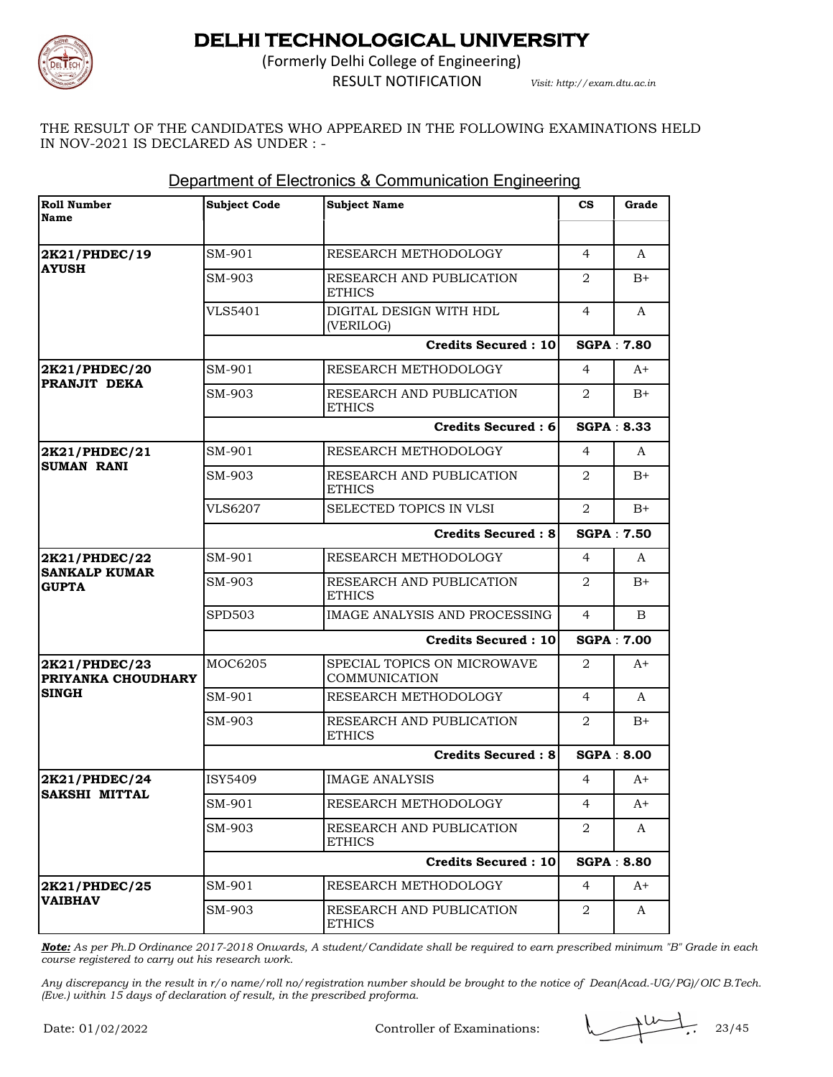

(Formerly Delhi College of Engineering) RESULT NOTIFICATION *Visit: http://exam.dtu.ac.in*

THE RESULT OF THE CANDIDATES WHO APPEARED IN THE FOLLOWING EXAMINATIONS HELD IN NOV-2021 IS DECLARED AS UNDER : -

| <b>Roll Number</b><br>Name           | <b>Subject Code</b>       | <b>Subject Name</b>                          | $\mathbf{c}\mathbf{s}$ | Grade             |
|--------------------------------------|---------------------------|----------------------------------------------|------------------------|-------------------|
|                                      |                           |                                              |                        |                   |
| 2K21/PHDEC/19                        | SM-901                    | RESEARCH METHODOLOGY                         | $\overline{4}$         | A                 |
| <b>AYUSH</b>                         | SM-903                    | RESEARCH AND PUBLICATION<br><b>ETHICS</b>    | 2                      | $B+$              |
|                                      | <b>VLS5401</b>            | DIGITAL DESIGN WITH HDL<br>(VERILOG)         | $\overline{4}$         | A                 |
|                                      |                           | <b>Credits Secured: 10</b>                   |                        | <b>SGPA: 7.80</b> |
| 2K21/PHDEC/20                        | SM-901                    | RESEARCH METHODOLOGY                         | 4                      | $A+$              |
| PRANJIT DEKA                         | SM-903                    | RESEARCH AND PUBLICATION<br><b>ETHICS</b>    | 2                      | $B+$              |
|                                      |                           | <b>Credits Secured: 6</b>                    |                        | <b>SGPA: 8.33</b> |
| 2K21/PHDEC/21<br><b>SUMAN RANI</b>   | SM-901                    | RESEARCH METHODOLOGY                         | 4                      | A                 |
|                                      | SM-903                    | RESEARCH AND PUBLICATION<br><b>ETHICS</b>    | 2                      | $B+$              |
|                                      | <b>VLS6207</b>            | SELECTED TOPICS IN VLSI                      | $\overline{2}$         | $B+$              |
|                                      | <b>Credits Secured: 8</b> |                                              | <b>SGPA: 7.50</b>      |                   |
| 2K21/PHDEC/22                        | SM-901                    | RESEARCH METHODOLOGY                         | 4                      | A                 |
| <b>SANKALP KUMAR</b><br><b>GUPTA</b> | SM-903                    | RESEARCH AND PUBLICATION<br><b>ETHICS</b>    | 2                      | $B+$              |
|                                      | <b>SPD503</b>             | IMAGE ANALYSIS AND PROCESSING                | 4                      | B.                |
|                                      |                           | <b>Credits Secured: 10</b>                   |                        | <b>SGPA: 7.00</b> |
| 2K21/PHDEC/23<br>PRIYANKA CHOUDHARY  | MOC6205                   | SPECIAL TOPICS ON MICROWAVE<br>COMMUNICATION | $\overline{2}$         | $A+$              |
| <b>SINGH</b>                         | SM-901                    | RESEARCH METHODOLOGY                         | 4                      | A                 |
|                                      | SM-903                    | RESEARCH AND PUBLICATION<br><b>ETHICS</b>    | 2                      | $B+$              |
|                                      |                           | <b>Credits Secured: 8</b>                    | <b>SGPA: 8.00</b>      |                   |
| 2K21/PHDEC/24                        | ISY5409                   | <b>IMAGE ANALYSIS</b>                        | 4                      | $A+$              |
| <b>SAKSHI MITTAL</b>                 | SM-901                    | RESEARCH METHODOLOGY                         | 4                      | $A+$              |
|                                      | SM-903                    | RESEARCH AND PUBLICATION<br><b>ETHICS</b>    | 2                      | A                 |
|                                      |                           | <b>Credits Secured: 10</b>                   |                        | <b>SGPA: 8.80</b> |
| 2K21/PHDEC/25                        | SM-901                    | RESEARCH METHODOLOGY                         | 4                      | $A^+$             |
| <b>VAIBHAV</b>                       | SM-903                    | RESEARCH AND PUBLICATION<br><b>ETHICS</b>    | 2                      | A                 |

#### Department of Electronics & Communication Engineering

*Note: As per Ph.D Ordinance 2017-2018 Onwards, A student/Candidate shall be required to earn prescribed minimum "B" Grade in each course registered to carry out his research work.*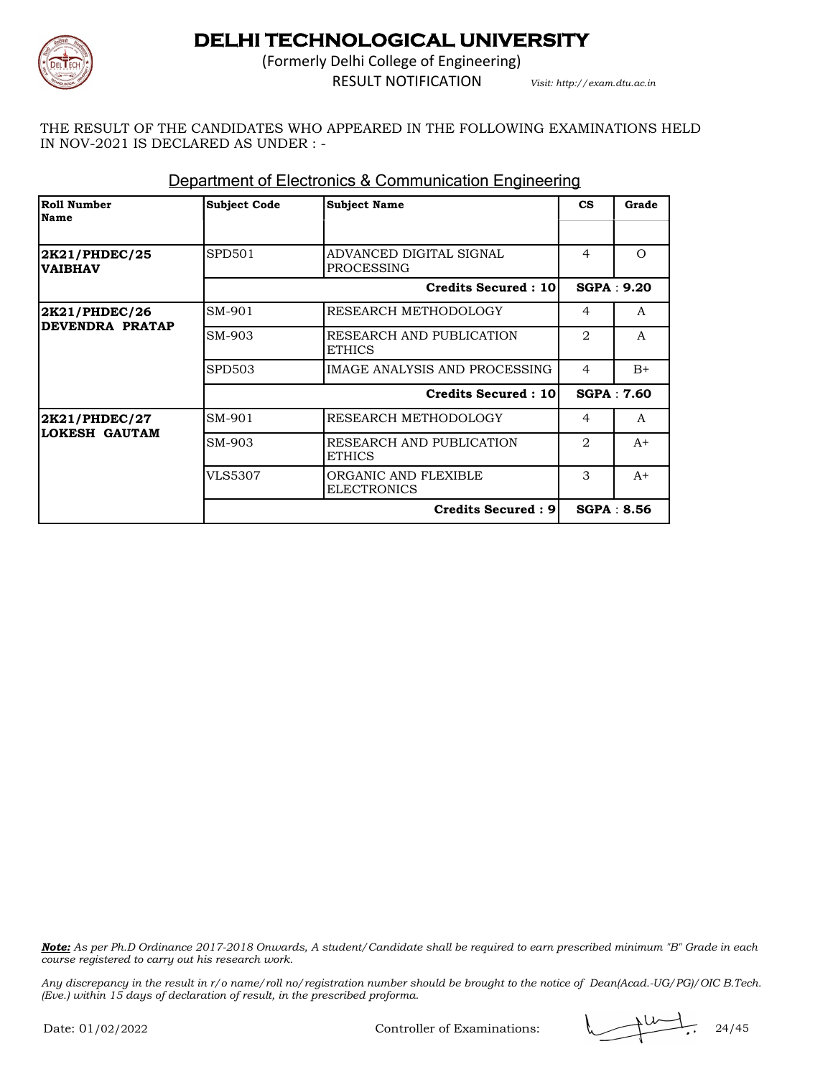

(Formerly Delhi College of Engineering) RESULT NOTIFICATION *Visit: http://exam.dtu.ac.in*

THE RESULT OF THE CANDIDATES WHO APPEARED IN THE FOLLOWING EXAMINATIONS HELD IN NOV-2021 IS DECLARED AS UNDER : -

| Roll Number<br><b>Name</b>       | <b>Subject Code</b>        | <b>Subject Name</b>                        | $\mathbf{c}\mathbf{s}$        | Grade             |
|----------------------------------|----------------------------|--------------------------------------------|-------------------------------|-------------------|
|                                  |                            |                                            |                               |                   |
| 2K21/PHDEC/25<br><b>VAIBHAV</b>  | SPD501                     | ADVANCED DIGITAL SIGNAL<br>PROCESSING      | 4                             | $\Omega$          |
|                                  |                            | <b>Credits Secured: 10</b>                 |                               | SGPA: 9.20        |
| 2K21/PHDEC/26<br>DEVENDRA PRATAP | SM-901                     | RESEARCH METHODOLOGY                       | 4                             | A                 |
|                                  | SM-903                     | RESEARCH AND PUBLICATION<br><b>ETHICS</b>  | $\mathfrak{D}_{\mathfrak{p}}$ | A                 |
|                                  | <b>SPD503</b>              | IMAGE ANALYSIS AND PROCESSING              | $\overline{4}$                | $B+$              |
|                                  | <b>Credits Secured: 10</b> |                                            |                               | <b>SGPA: 7.60</b> |
| 2K21/PHDEC/27                    | SM-901                     | <b>RESEARCH METHODOLOGY</b>                | $\overline{4}$                | $\mathsf{A}$      |
| LOKESH GAUTAM                    | SM-903                     | RESEARCH AND PUBLICATION<br><b>ETHICS</b>  | $\mathfrak{D}_{\mathfrak{p}}$ | $A+$              |
|                                  | VLS5307                    | ORGANIC AND FLEXIBLE<br><b>ELECTRONICS</b> | 3                             | $A+$              |
|                                  |                            | <b>Credits Secured: 91</b>                 |                               | <b>SGPA: 8.56</b> |

#### Department of Electronics & Communication Engineering

*Note: As per Ph.D Ordinance 2017-2018 Onwards, A student/Candidate shall be required to earn prescribed minimum "B" Grade in each course registered to carry out his research work.*

*Any discrepancy in the result in r/o name/roll no/registration number should be brought to the notice of Dean(Acad.-UG/PG)/OIC B.Tech. (Eve.) within 15 days of declaration of result, in the prescribed proforma.*

Controller of Examinations: 24/45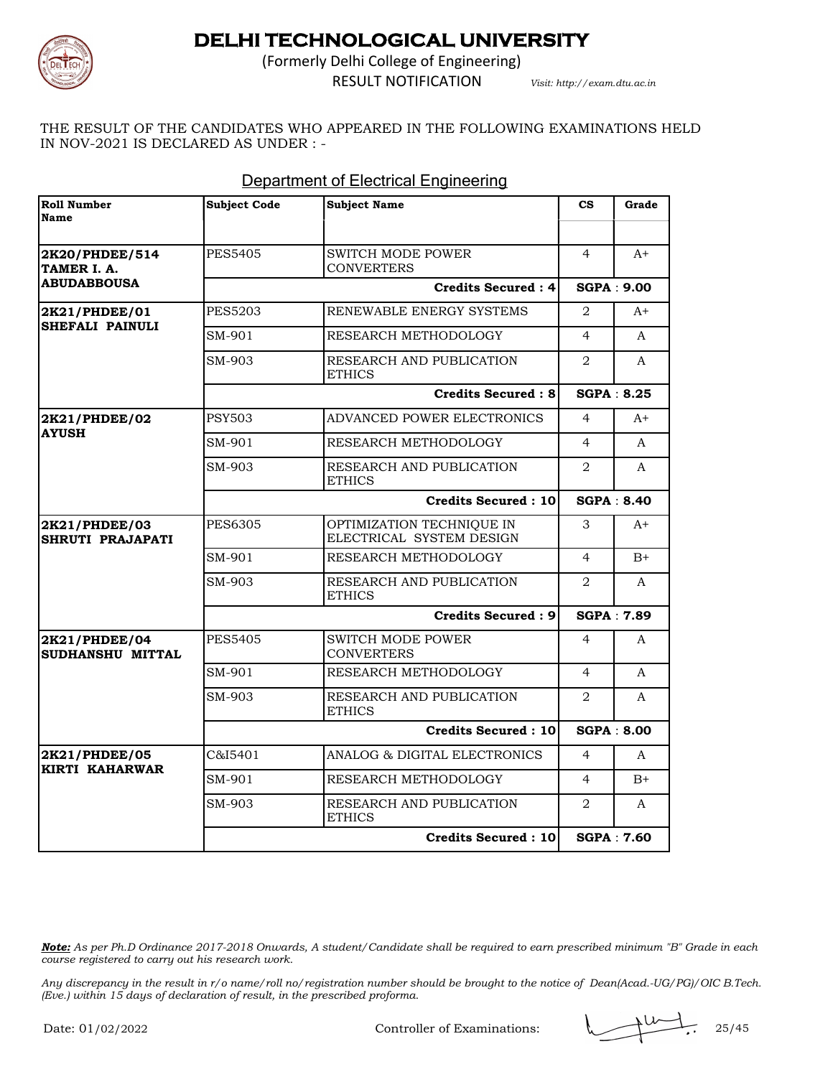

(Formerly Delhi College of Engineering)

RESULT NOTIFICATION *Visit: http://exam.dtu.ac.in*

THE RESULT OF THE CANDIDATES WHO APPEARED IN THE FOLLOWING EXAMINATIONS HELD IN NOV-2021 IS DECLARED AS UNDER : -

| <b>Roll Number</b><br>Name                          | <b>Subject Code</b>        | <b>Subject Name</b>                                   | $\mathbf{c}\mathbf{s}$ | Grade             |
|-----------------------------------------------------|----------------------------|-------------------------------------------------------|------------------------|-------------------|
|                                                     |                            |                                                       |                        |                   |
| 2K20/PHDEE/514<br>TAMER I. A.<br><b>ABUDABBOUSA</b> | <b>PES5405</b>             | <b>SWITCH MODE POWER</b><br><b>CONVERTERS</b>         | $\overline{4}$         | $A+$              |
|                                                     |                            | <b>Credits Secured: 4</b>                             |                        | <b>SGPA: 9.00</b> |
| 2K21/PHDEE/01<br><b>SHEFALI PAINULI</b>             | <b>PES5203</b>             | RENEWABLE ENERGY SYSTEMS                              | $\overline{2}$         | $A+$              |
|                                                     | SM-901                     | RESEARCH METHODOLOGY                                  | $\overline{4}$         | $\mathsf{A}$      |
|                                                     | SM-903                     | RESEARCH AND PUBLICATION<br><b>ETHICS</b>             | $\overline{2}$         | $\mathsf{A}$      |
|                                                     |                            | <b>Credits Secured: 8</b>                             |                        | <b>SGPA: 8.25</b> |
| 2K21/PHDEE/02                                       | <b>PSY503</b>              | ADVANCED POWER ELECTRONICS                            | $\overline{4}$         | $A+$              |
| <b>AYUSH</b>                                        | SM-901                     | RESEARCH METHODOLOGY                                  | $\overline{4}$         | A                 |
|                                                     | SM-903                     | RESEARCH AND PUBLICATION<br><b>ETHICS</b>             | $\overline{2}$         | $\mathsf{A}$      |
|                                                     |                            | <b>Credits Secured: 10</b>                            |                        | <b>SGPA: 8.40</b> |
| 2K21/PHDEE/03<br>SHRUTI PRAJAPATI                   | <b>PES6305</b>             | OPTIMIZATION TECHNIQUE IN<br>ELECTRICAL SYSTEM DESIGN | 3                      | $A^+$             |
|                                                     | SM-901                     | RESEARCH METHODOLOGY                                  | $\overline{4}$         | $B+$              |
|                                                     | SM-903                     | RESEARCH AND PUBLICATION<br><b>ETHICS</b>             | $\overline{2}$         | A                 |
|                                                     |                            | Credits Secured: 9                                    |                        | <b>SGPA: 7.89</b> |
| 2K21/PHDEE/04<br>SUDHANSHU MITTAL                   | <b>PES5405</b>             | <b>SWITCH MODE POWER</b><br><b>CONVERTERS</b>         | $\overline{4}$         | A                 |
|                                                     | SM-901                     | RESEARCH METHODOLOGY                                  | $\overline{4}$         | $\mathsf{A}$      |
|                                                     | SM-903                     | RESEARCH AND PUBLICATION<br><b>ETHICS</b>             | 2                      | A                 |
|                                                     | <b>Credits Secured: 10</b> |                                                       |                        | <b>SGPA: 8.00</b> |
| 2K21/PHDEE/05                                       | C&I5401                    | ANALOG & DIGITAL ELECTRONICS                          | $\overline{4}$         | $\mathsf{A}$      |
| KIRTI KAHARWAR                                      | SM-901                     | RESEARCH METHODOLOGY                                  | $\overline{4}$         | $B+$              |
|                                                     | SM-903                     | RESEARCH AND PUBLICATION<br><b>ETHICS</b>             | $\overline{2}$         | A                 |
|                                                     |                            | Credits Secured: 10                                   |                        | <b>SGPA: 7.60</b> |

#### Department of Electrical Engineering

*Note: As per Ph.D Ordinance 2017-2018 Onwards, A student/Candidate shall be required to earn prescribed minimum "B" Grade in each course registered to carry out his research work.*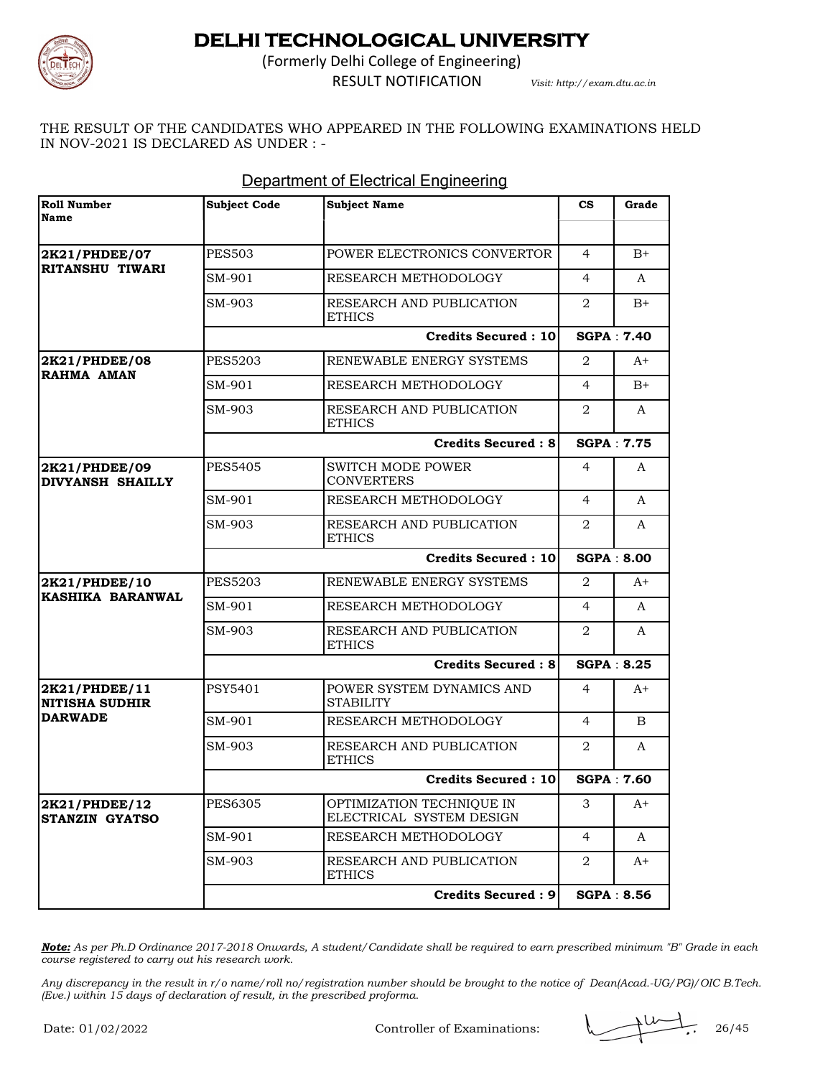

(Formerly Delhi College of Engineering) RESULT NOTIFICATION *Visit: http://exam.dtu.ac.in*

THE RESULT OF THE CANDIDATES WHO APPEARED IN THE FOLLOWING EXAMINATIONS HELD IN NOV-2021 IS DECLARED AS UNDER : -

| <b>Roll Number</b><br>Name             | <b>Subject Code</b>        | <b>Subject Name</b>                                   | $\mathbf{c}\mathbf{s}$ | Grade             |
|----------------------------------------|----------------------------|-------------------------------------------------------|------------------------|-------------------|
|                                        |                            |                                                       |                        |                   |
| 2K21/PHDEE/07                          | <b>PES503</b>              | POWER ELECTRONICS CONVERTOR                           | $\overline{4}$         | $B+$              |
| <b>RITANSHU TIWARI</b>                 | SM-901                     | RESEARCH METHODOLOGY                                  | $\overline{4}$         | A                 |
|                                        | SM-903                     | RESEARCH AND PUBLICATION<br><b>ETHICS</b>             | 2                      | $B+$              |
|                                        |                            | <b>Credits Secured: 10</b>                            |                        | <b>SGPA: 7.40</b> |
| 2K21/PHDEE/08                          | <b>PES5203</b>             | RENEWABLE ENERGY SYSTEMS                              | 2                      | A+                |
| <b>RAHMA AMAN</b>                      | SM-901                     | RESEARCH METHODOLOGY                                  | $\overline{4}$         | $B+$              |
|                                        | SM-903                     | RESEARCH AND PUBLICATION<br><b>ETHICS</b>             | 2                      | A                 |
|                                        |                            | <b>Credits Secured: 8</b>                             |                        | <b>SGPA: 7.75</b> |
| 2K21/PHDEE/09<br>DIVYANSH SHAILLY      | <b>PES5405</b>             | <b>SWITCH MODE POWER</b><br><b>CONVERTERS</b>         | 4                      | A                 |
|                                        | SM-901                     | RESEARCH METHODOLOGY                                  | $\overline{4}$         | A                 |
|                                        | SM-903                     | RESEARCH AND PUBLICATION<br><b>ETHICS</b>             | $\overline{2}$         | A                 |
|                                        |                            | <b>Credits Secured: 10</b>                            |                        | <b>SGPA: 8.00</b> |
| 2K21/PHDEE/10                          | <b>PES5203</b>             | RENEWABLE ENERGY SYSTEMS                              | 2                      | $A+$              |
| KASHIKA BARANWAL                       | SM-901                     | RESEARCH METHODOLOGY                                  | $\overline{4}$         | A                 |
|                                        | SM-903                     | RESEARCH AND PUBLICATION<br><b>ETHICS</b>             | 2                      | A                 |
|                                        |                            | <b>Credits Secured: 8</b>                             |                        | <b>SGPA: 8.25</b> |
| 2K21/PHDEE/11<br><b>NITISHA SUDHIR</b> | <b>PSY5401</b>             | POWER SYSTEM DYNAMICS AND<br><b>STABILITY</b>         | 4                      | $A+$              |
| <b>DARWADE</b>                         | SM-901                     | RESEARCH METHODOLOGY                                  | 4                      | B                 |
|                                        | SM-903                     | RESEARCH AND PUBLICATION<br><b>ETHICS</b>             | 2                      | A                 |
|                                        | <b>Credits Secured: 10</b> |                                                       |                        | <b>SGPA: 7.60</b> |
| 2K21/PHDEE/12<br><b>STANZIN GYATSO</b> | PES6305                    | OPTIMIZATION TECHNIQUE IN<br>ELECTRICAL SYSTEM DESIGN | З                      | A+                |
|                                        | SM-901                     | RESEARCH METHODOLOGY                                  | $\overline{4}$         | A                 |
|                                        | SM-903                     | RESEARCH AND PUBLICATION<br><b>ETHICS</b>             | 2                      | A+                |
|                                        |                            | <b>Credits Secured: 9</b>                             |                        | <b>SGPA: 8.56</b> |

#### Department of Electrical Engineering

*Note: As per Ph.D Ordinance 2017-2018 Onwards, A student/Candidate shall be required to earn prescribed minimum "B" Grade in each course registered to carry out his research work.*

*Any discrepancy in the result in r/o name/roll no/registration number should be brought to the notice of Dean(Acad.-UG/PG)/OIC B.Tech. (Eve.) within 15 days of declaration of result, in the prescribed proforma.*

Controller of Examinations: 26/45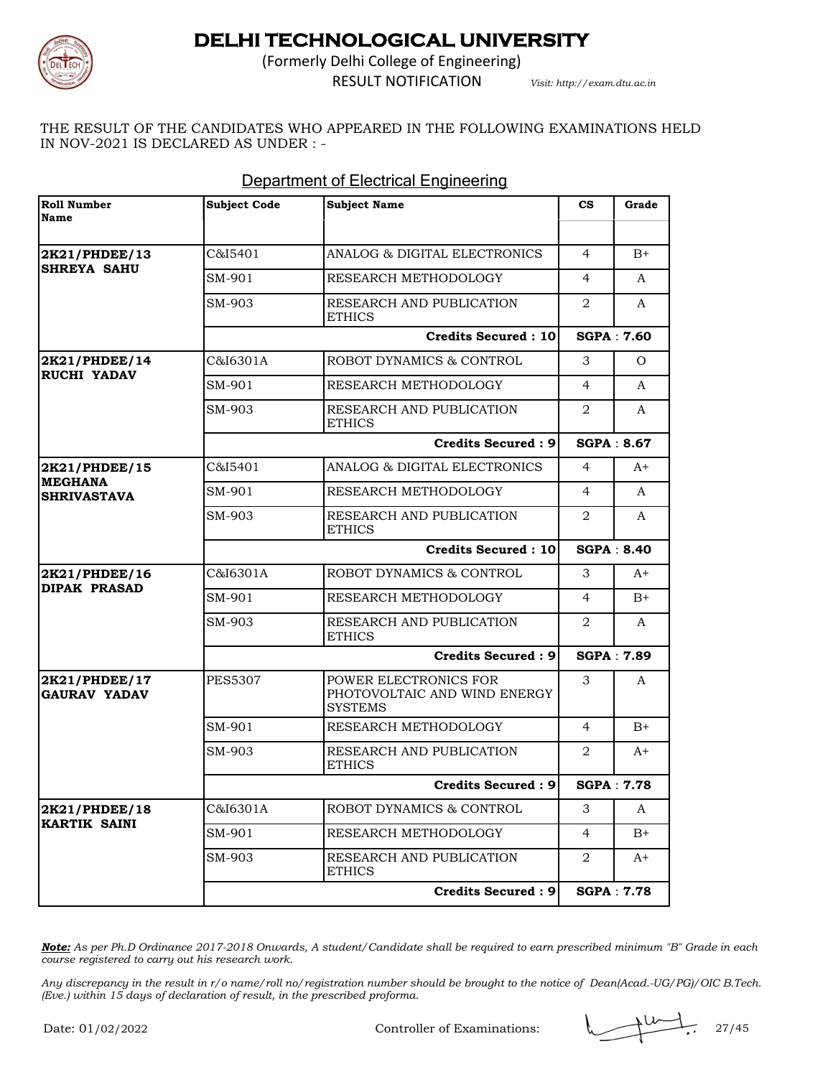

(Formerly Delhi College of Engineering) RESULT NOTIFICATION *Visit: http://exam.dtu.ac.in*

THE RESULT OF THE CANDIDATES WHO APPEARED IN THE FOLLOWING EXAMINATIONS HELD IN NOV-2021 IS DECLARED AS UNDER : -

| <b>Roll Number</b><br>Name           | <b>Subject Code</b> | <b>Subject Name</b>                                                     | $\mathbf{c}\mathbf{s}$ | Grade             |
|--------------------------------------|---------------------|-------------------------------------------------------------------------|------------------------|-------------------|
|                                      |                     |                                                                         |                        |                   |
| 2K21/PHDEE/13<br><b>SHREYA SAHU</b>  | C&I5401             | ANALOG & DIGITAL ELECTRONICS                                            | $\overline{4}$         | $B+$              |
|                                      | SM-901              | RESEARCH METHODOLOGY                                                    | 4                      | A                 |
|                                      | SM-903              | RESEARCH AND PUBLICATION<br><b>ETHICS</b>                               | 2                      | A                 |
|                                      |                     | Credits Secured: 10                                                     |                        | <b>SGPA: 7.60</b> |
| 2K21/PHDEE/14                        | C&I6301A            | ROBOT DYNAMICS & CONTROL                                                | 3                      | $\Omega$          |
| <b>RUCHI YADAV</b>                   | SM-901              | RESEARCH METHODOLOGY                                                    | $\overline{4}$         | A                 |
|                                      | SM-903              | RESEARCH AND PUBLICATION<br><b>ETHICS</b>                               | 2                      | A                 |
|                                      |                     | <b>Credits Secured: 9</b>                                               |                        | <b>SGPA: 8.67</b> |
| 2K21/PHDEE/15                        | C&I5401             | ANALOG & DIGITAL ELECTRONICS                                            | 4                      | $A^+$             |
| <b>MEGHANA</b><br><b>SHRIVASTAVA</b> | SM-901              | RESEARCH METHODOLOGY                                                    | $\overline{4}$         | A                 |
|                                      | SM-903              | RESEARCH AND PUBLICATION<br><b>ETHICS</b>                               | 2                      | A                 |
|                                      |                     | <b>Credits Secured: 10</b>                                              |                        | <b>SGPA: 8.40</b> |
| 2K21/PHDEE/16                        | C&I6301A            | ROBOT DYNAMICS & CONTROL                                                | 3                      | $A+$              |
| <b>DIPAK PRASAD</b>                  | SM-901              | RESEARCH METHODOLOGY                                                    | $\overline{4}$         | $B+$              |
|                                      | SM-903              | RESEARCH AND PUBLICATION<br><b>ETHICS</b>                               | 2                      | A                 |
|                                      |                     | <b>Credits Secured: 9</b>                                               |                        | <b>SGPA: 7.89</b> |
| 2K21/PHDEE/17<br><b>GAURAV YADAV</b> | <b>PES5307</b>      | POWER ELECTRONICS FOR<br>PHOTOVOLTAIC AND WIND ENERGY<br><b>SYSTEMS</b> | 3                      | A                 |
|                                      | SM-901              | RESEARCH METHODOLOGY                                                    | $\overline{4}$         | $B+$              |
|                                      | SM-903              | RESEARCH AND PUBLICATION<br><b>ETHICS</b>                               | 2                      | A+                |
|                                      |                     | Credits Secured: 9                                                      |                        | <b>SGPA: 7.78</b> |
| 2K21/PHDEE/18                        | C&I6301A            | ROBOT DYNAMICS & CONTROL                                                | 3                      | A                 |
| <b>KARTIK SAINI</b>                  | SM-901              | RESEARCH METHODOLOGY                                                    | 4                      | $B+$              |
|                                      | SM-903              | RESEARCH AND PUBLICATION<br><b>ETHICS</b>                               | 2                      | A+                |
|                                      |                     | <b>Credits Secured: 9</b>                                               |                        | <b>SGPA: 7.78</b> |

#### Department of Electrical Engineering

*Note: As per Ph.D Ordinance 2017-2018 Onwards, A student/Candidate shall be required to earn prescribed minimum "B" Grade in each course registered to carry out his research work.*

Controller of Examinations: 27/45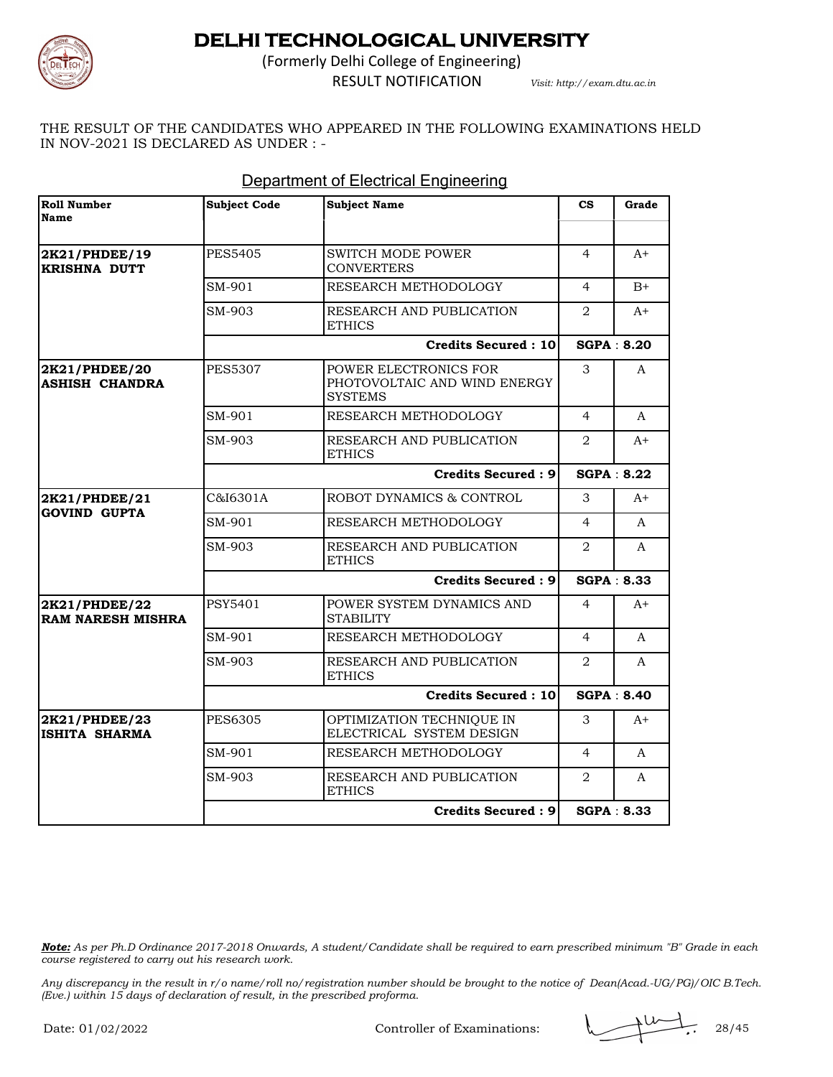

(Formerly Delhi College of Engineering)

RESULT NOTIFICATION *Visit: http://exam.dtu.ac.in*

THE RESULT OF THE CANDIDATES WHO APPEARED IN THE FOLLOWING EXAMINATIONS HELD IN NOV-2021 IS DECLARED AS UNDER : -

| <b>Roll Number</b><br>Name                | <b>Subject Code</b> | <b>Subject Name</b>                                                     | $\mathbf{c}\mathbf{s}$ | Grade             |
|-------------------------------------------|---------------------|-------------------------------------------------------------------------|------------------------|-------------------|
|                                           |                     |                                                                         |                        |                   |
| 2K21/PHDEE/19<br><b>KRISHNA DUTT</b>      | <b>PES5405</b>      | SWITCH MODE POWER<br><b>CONVERTERS</b>                                  | $\overline{4}$         | $A+$              |
|                                           | SM-901              | RESEARCH METHODOLOGY                                                    | $\overline{4}$         | $B+$              |
|                                           | SM-903              | RESEARCH AND PUBLICATION<br><b>ETHICS</b>                               | 2                      | $A+$              |
|                                           |                     | <b>Credits Secured: 10</b>                                              | <b>SGPA: 8.20</b>      |                   |
| 2K21/PHDEE/20<br><b>ASHISH CHANDRA</b>    | <b>PES5307</b>      | POWER ELECTRONICS FOR<br>PHOTOVOLTAIC AND WIND ENERGY<br><b>SYSTEMS</b> | 3                      | A                 |
|                                           | SM-901              | RESEARCH METHODOLOGY                                                    | $\overline{4}$         | $\mathsf{A}$      |
|                                           | SM-903              | RESEARCH AND PUBLICATION<br><b>ETHICS</b>                               | $\overline{2}$         | $A+$              |
|                                           |                     | <b>Credits Secured: 9</b>                                               | <b>SGPA: 8.22</b>      |                   |
| 2K21/PHDEE/21                             | C&I6301A            | ROBOT DYNAMICS & CONTROL                                                | 3                      | $A+$              |
| <b>GOVIND GUPTA</b>                       | SM-901              | RESEARCH METHODOLOGY                                                    | $\overline{4}$         | A                 |
|                                           | SM-903              | RESEARCH AND PUBLICATION<br><b>ETHICS</b>                               | $\overline{2}$         | A                 |
|                                           |                     | <b>Credits Secured: 9</b>                                               | <b>SGPA: 8.33</b>      |                   |
| 2K21/PHDEE/22<br><b>RAM NARESH MISHRA</b> | PSY5401             | POWER SYSTEM DYNAMICS AND<br><b>STABILITY</b>                           | $\overline{4}$         | $A+$              |
|                                           | SM-901              | RESEARCH METHODOLOGY                                                    | 4                      | A                 |
|                                           | SM-903              | RESEARCH AND PUBLICATION<br><b>ETHICS</b>                               | $\overline{2}$         | A                 |
|                                           |                     | <b>Credits Secured: 10</b>                                              |                        | <b>SGPA: 8.40</b> |
| 2K21/PHDEE/23<br>ISHITA SHARMA            | <b>PES6305</b>      | OPTIMIZATION TECHNIQUE IN<br>ELECTRICAL SYSTEM DESIGN                   | 3                      | A+                |
|                                           | SM-901              | RESEARCH METHODOLOGY                                                    | 4                      | A                 |
|                                           | SM-903              | RESEARCH AND PUBLICATION<br><b>ETHICS</b>                               | $\overline{2}$         | A                 |
|                                           |                     | <b>Credits Secured: 9</b>                                               |                        | <b>SGPA: 8.33</b> |

#### Department of Electrical Engineering

*Note: As per Ph.D Ordinance 2017-2018 Onwards, A student/Candidate shall be required to earn prescribed minimum "B" Grade in each course registered to carry out his research work.*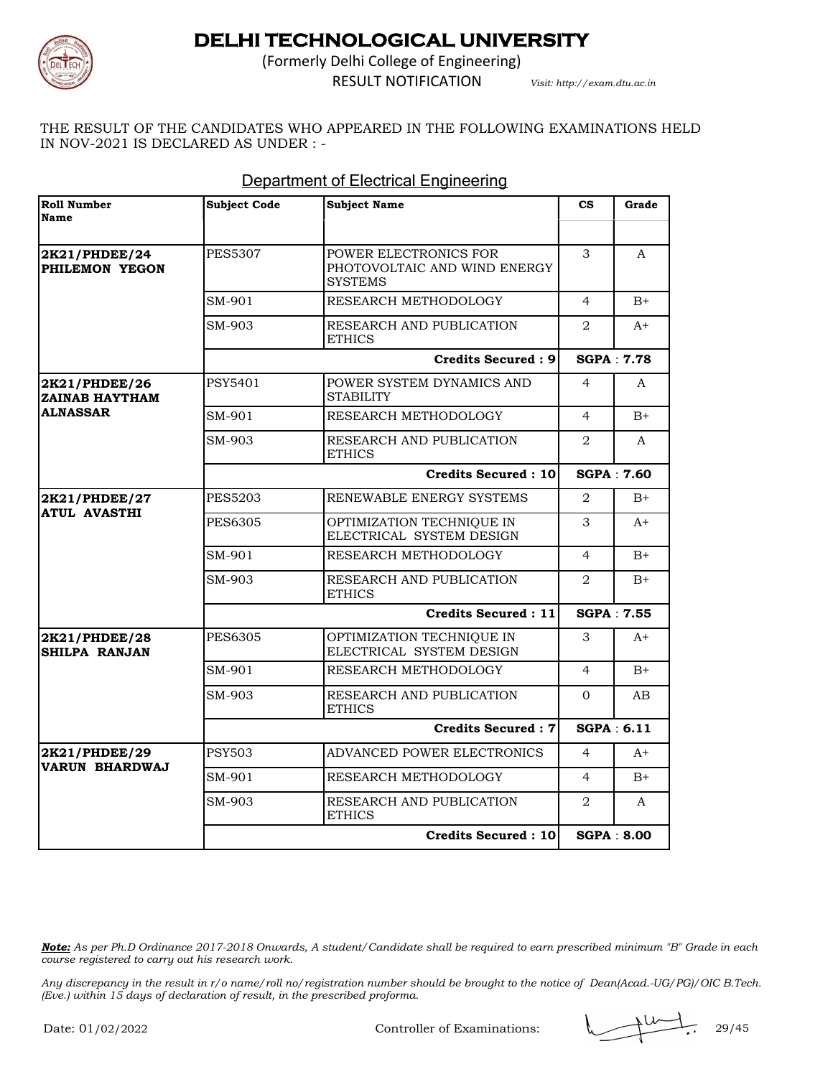

(Formerly Delhi College of Engineering) RESULT NOTIFICATION *Visit: http://exam.dtu.ac.in*

THE RESULT OF THE CANDIDATES WHO APPEARED IN THE FOLLOWING EXAMINATIONS HELD IN NOV-2021 IS DECLARED AS UNDER : -

| <b>Roll Number</b><br>Name             | <b>Subject Code</b> | <b>Subject Name</b>                                                     | $\mathbf{c}\mathbf{s}$ | Grade             |
|----------------------------------------|---------------------|-------------------------------------------------------------------------|------------------------|-------------------|
| 2K21/PHDEE/24<br>PHILEMON YEGON        | <b>PES5307</b>      | POWER ELECTRONICS FOR<br>PHOTOVOLTAIC AND WIND ENERGY<br><b>SYSTEMS</b> | 3                      | A                 |
|                                        | SM-901              | RESEARCH METHODOLOGY                                                    | $\overline{4}$         | $B+$              |
|                                        | SM-903              | RESEARCH AND PUBLICATION<br><b>ETHICS</b>                               | $\overline{2}$         | $A+$              |
|                                        |                     | <b>Credits Secured: 9</b>                                               |                        | <b>SGPA: 7.78</b> |
| 2K21/PHDEE/26<br><b>ZAINAB HAYTHAM</b> | <b>PSY5401</b>      | POWER SYSTEM DYNAMICS AND<br><b>STABILITY</b>                           | $\overline{4}$         | A                 |
| <b>ALNASSAR</b>                        | SM-901              | RESEARCH METHODOLOGY                                                    | $\overline{4}$         | $B+$              |
|                                        | SM-903              | RESEARCH AND PUBLICATION<br><b>ETHICS</b>                               | 2                      | A                 |
|                                        |                     | <b>Credits Secured: 10</b>                                              |                        | <b>SGPA: 7.60</b> |
| 2K21/PHDEE/27                          | <b>PES5203</b>      | RENEWABLE ENERGY SYSTEMS                                                | $\overline{2}$         | $B+$              |
| <b>ATUL AVASTHI</b>                    | PES6305             | OPTIMIZATION TECHNIQUE IN<br>ELECTRICAL SYSTEM DESIGN                   | 3                      | $A+$              |
|                                        | SM-901              | RESEARCH METHODOLOGY                                                    | $\overline{4}$         | $B+$              |
|                                        | SM-903              | RESEARCH AND PUBLICATION<br><b>ETHICS</b>                               | $\overline{2}$         | $B+$              |
|                                        |                     | <b>Credits Secured: 11</b>                                              |                        | <b>SGPA: 7.55</b> |
| 2K21/PHDEE/28<br><b>SHILPA RANJAN</b>  | <b>PES6305</b>      | OPTIMIZATION TECHNIQUE IN<br>ELECTRICAL SYSTEM DESIGN                   | 3                      | $A+$              |
|                                        | SM-901              | RESEARCH METHODOLOGY                                                    | $\overline{4}$         | $B+$              |
|                                        | SM-903              | RESEARCH AND PUBLICATION<br><b>ETHICS</b>                               | $\Omega$               | AB                |
|                                        |                     | <b>Credits Secured: 7</b>                                               |                        | <b>SGPA: 6.11</b> |
| 2K21/PHDEE/29                          | <b>PSY503</b>       | ADVANCED POWER ELECTRONICS                                              | $\overline{4}$         | $A+$              |
| <b>VARUN BHARDWAJ</b>                  | SM-901              | RESEARCH METHODOLOGY                                                    | $\overline{4}$         | $B+$              |
|                                        | SM-903              | RESEARCH AND PUBLICATION<br><b>ETHICS</b>                               | $\overline{2}$         | A                 |
|                                        |                     | Credits Secured: 10                                                     |                        | <b>SGPA: 8.00</b> |

#### Department of Electrical Engineering

*Note: As per Ph.D Ordinance 2017-2018 Onwards, A student/Candidate shall be required to earn prescribed minimum "B" Grade in each course registered to carry out his research work.*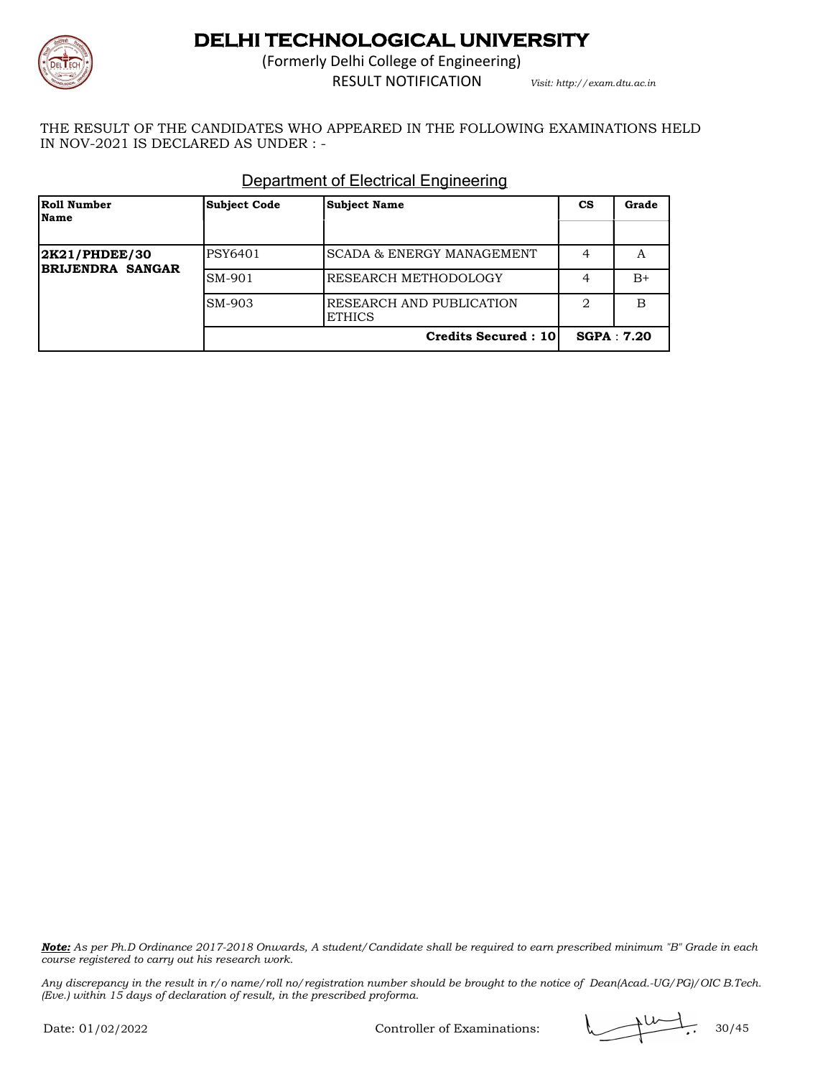

(Formerly Delhi College of Engineering) RESULT NOTIFICATION *Visit: http://exam.dtu.ac.in*

THE RESULT OF THE CANDIDATES WHO APPEARED IN THE FOLLOWING EXAMINATIONS HELD IN NOV-2021 IS DECLARED AS UNDER : -

| Roll Number<br>Name | <b>Subject Code</b> | <b>Subject Name</b>                       | CS                | Grade |
|---------------------|---------------------|-------------------------------------------|-------------------|-------|
| 2K21/PHDEE/30       | PSY6401             | SCADA & ENERGY MANAGEMENT                 | 4                 | А     |
| BRIJENDRA SANGAR    | SM-901              | RESEARCH METHODOLOGY                      | 4                 | $B+$  |
|                     | SM-903              | RESEARCH AND PUBLICATION<br><b>ETHICS</b> | 2                 | B     |
|                     |                     | <b>Credits Secured: 10</b>                | <b>SGPA: 7.20</b> |       |

### Department of Electrical Engineering

*Note: As per Ph.D Ordinance 2017-2018 Onwards, A student/Candidate shall be required to earn prescribed minimum "B" Grade in each course registered to carry out his research work.*

*Any discrepancy in the result in r/o name/roll no/registration number should be brought to the notice of Dean(Acad.-UG/PG)/OIC B.Tech. (Eve.) within 15 days of declaration of result, in the prescribed proforma.*

Controller of Examinations:  $\sqrt{2 \times 30/45}$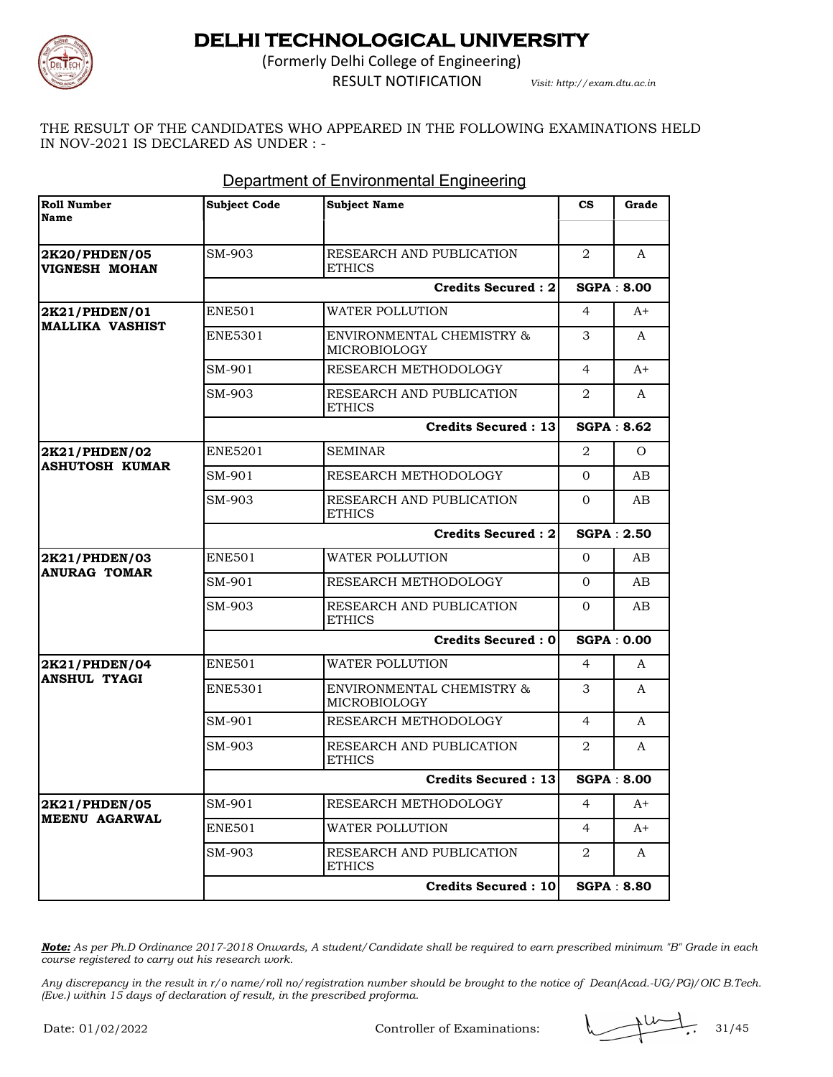

(Formerly Delhi College of Engineering) RESULT NOTIFICATION *Visit: http://exam.dtu.ac.in*

THE RESULT OF THE CANDIDATES WHO APPEARED IN THE FOLLOWING EXAMINATIONS HELD IN NOV-2021 IS DECLARED AS UNDER : -

| <b>Roll Number</b><br>Name              | <b>Subject Code</b> | <b>Subject Name</b>                       | $\mathbf{c}\mathbf{s}$ | Grade             |
|-----------------------------------------|---------------------|-------------------------------------------|------------------------|-------------------|
|                                         |                     |                                           |                        |                   |
| 2K20/PHDEN/05<br>VIGNESH MOHAN          | SM-903              | RESEARCH AND PUBLICATION<br><b>ETHICS</b> | 2                      | A                 |
|                                         |                     | <b>Credits Secured: 2</b>                 |                        | <b>SGPA: 8.00</b> |
| 2K21/PHDEN/01<br><b>MALLIKA VASHIST</b> | ENE501              | WATER POLLUTION                           | 4                      | $A+$              |
|                                         | ENE5301             | ENVIRONMENTAL CHEMISTRY &<br>MICROBIOLOGY | 3                      | A                 |
|                                         | SM-901              | RESEARCH METHODOLOGY                      | $\overline{4}$         | $A+$              |
|                                         | SM-903              | RESEARCH AND PUBLICATION<br><b>ETHICS</b> | 2                      | A                 |
|                                         |                     | <b>Credits Secured: 13</b>                |                        | <b>SGPA: 8.62</b> |
| 2K21/PHDEN/02                           | ENE5201             | <b>SEMINAR</b>                            | 2                      | $\Omega$          |
| <b>ASHUTOSH KUMAR</b>                   | SM-901              | RESEARCH METHODOLOGY                      | $\Omega$               | AB.               |
|                                         | SM-903              | RESEARCH AND PUBLICATION<br><b>ETHICS</b> | $\Omega$               | AB                |
|                                         |                     | <b>Credits Secured: 2</b>                 |                        | <b>SGPA: 2.50</b> |
| <b>2K21/PHDEN/03</b>                    | <b>ENE501</b>       | WATER POLLUTION                           | $\Omega$               | AB.               |
| <b>ANURAG TOMAR</b>                     | SM-901              | RESEARCH METHODOLOGY                      | $\Omega$               | AB                |
|                                         | SM-903              | RESEARCH AND PUBLICATION<br><b>ETHICS</b> | $\Omega$               | AB                |
|                                         |                     | <b>Credits Secured: 0</b>                 |                        | <b>SGPA: 0.00</b> |
| 2K21/PHDEN/04                           | <b>ENE501</b>       | WATER POLLUTION                           | 4                      | A                 |
| <b>ANSHUL TYAGI</b>                     | <b>ENE5301</b>      | ENVIRONMENTAL CHEMISTRY &<br>MICROBIOLOGY | 3                      | A                 |
|                                         | SM-901              | RESEARCH METHODOLOGY                      | $\overline{4}$         | A                 |
|                                         | SM-903              | RESEARCH AND PUBLICATION<br><b>ETHICS</b> | 2                      | A                 |
|                                         |                     | <b>Credits Secured: 13</b>                |                        |                   |
| <b>2K21/PHDEN/05</b>                    | SM-901              | RESEARCH METHODOLOGY                      | 4                      | $A+$              |
| <b>MEENU AGARWAL</b>                    | ENE501              | WATER POLLUTION                           | $\overline{4}$         | A+                |
|                                         | SM-903              | RESEARCH AND PUBLICATION<br><b>ETHICS</b> | 2                      | A                 |
|                                         |                     | <b>Credits Secured: 10</b>                |                        | <b>SGPA: 8.80</b> |

#### Department of Environmental Engineering

*Note: As per Ph.D Ordinance 2017-2018 Onwards, A student/Candidate shall be required to earn prescribed minimum "B" Grade in each course registered to carry out his research work.*

Controller of Examinations:  $\sqrt{11/10}$ , 31/45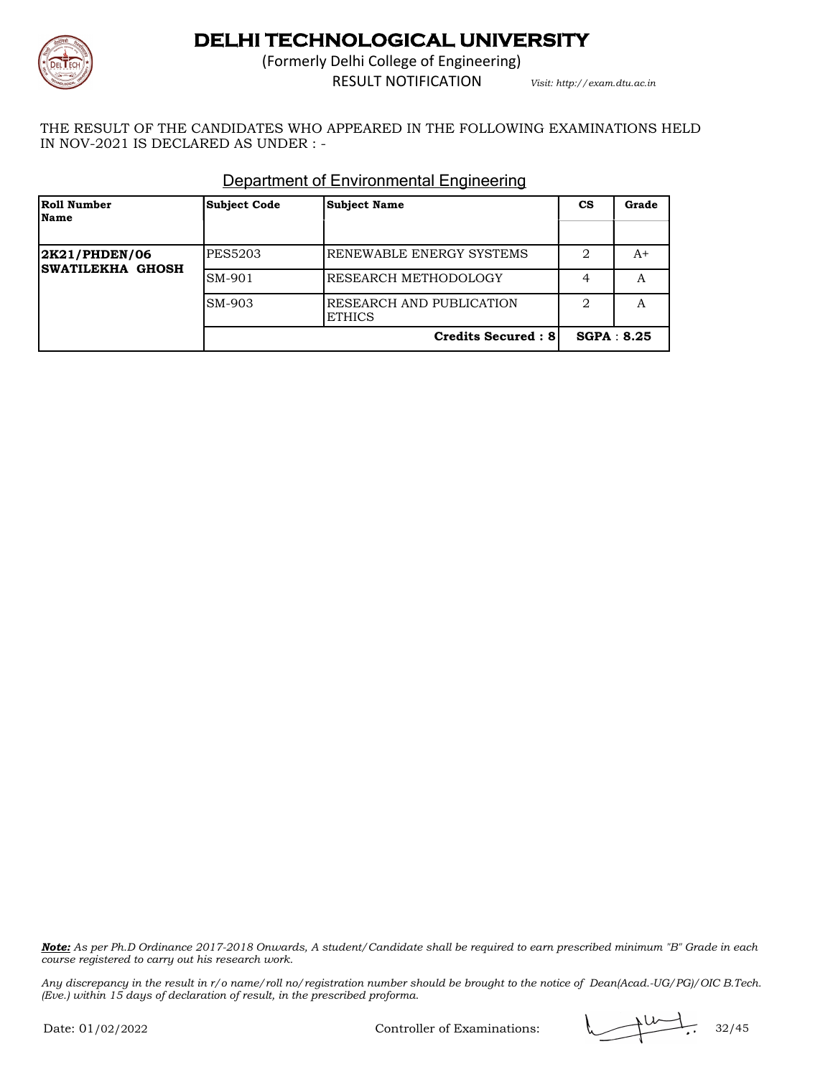

(Formerly Delhi College of Engineering) RESULT NOTIFICATION *Visit: http://exam.dtu.ac.in*

THE RESULT OF THE CANDIDATES WHO APPEARED IN THE FOLLOWING EXAMINATIONS HELD IN NOV-2021 IS DECLARED AS UNDER : -

| Roll Number<br>Name      | <b>Subject Code</b> | <b>Subject Name</b>                       | <b>CS</b>  | Grade |
|--------------------------|---------------------|-------------------------------------------|------------|-------|
| 2K21/PHDEN/06            | <b>PES5203</b>      | RENEWABLE ENERGY SYSTEMS                  | 2          | A+    |
| <b>ISWATILEKHA GHOSH</b> | SM-901              | RESEARCH METHODOLOGY                      | 4          | A     |
|                          | SM-903              | RESEARCH AND PUBLICATION<br><b>ETHICS</b> | 2          | А     |
|                          |                     | <b>Credits Secured: 81</b>                | SGPA: 8.25 |       |

#### Department of Environmental Engineering

*Note: As per Ph.D Ordinance 2017-2018 Onwards, A student/Candidate shall be required to earn prescribed minimum "B" Grade in each course registered to carry out his research work.*

*Any discrepancy in the result in r/o name/roll no/registration number should be brought to the notice of Dean(Acad.-UG/PG)/OIC B.Tech. (Eve.) within 15 days of declaration of result, in the prescribed proforma.*

Controller of Examinations:  $\sqrt{2 \times 32/45}$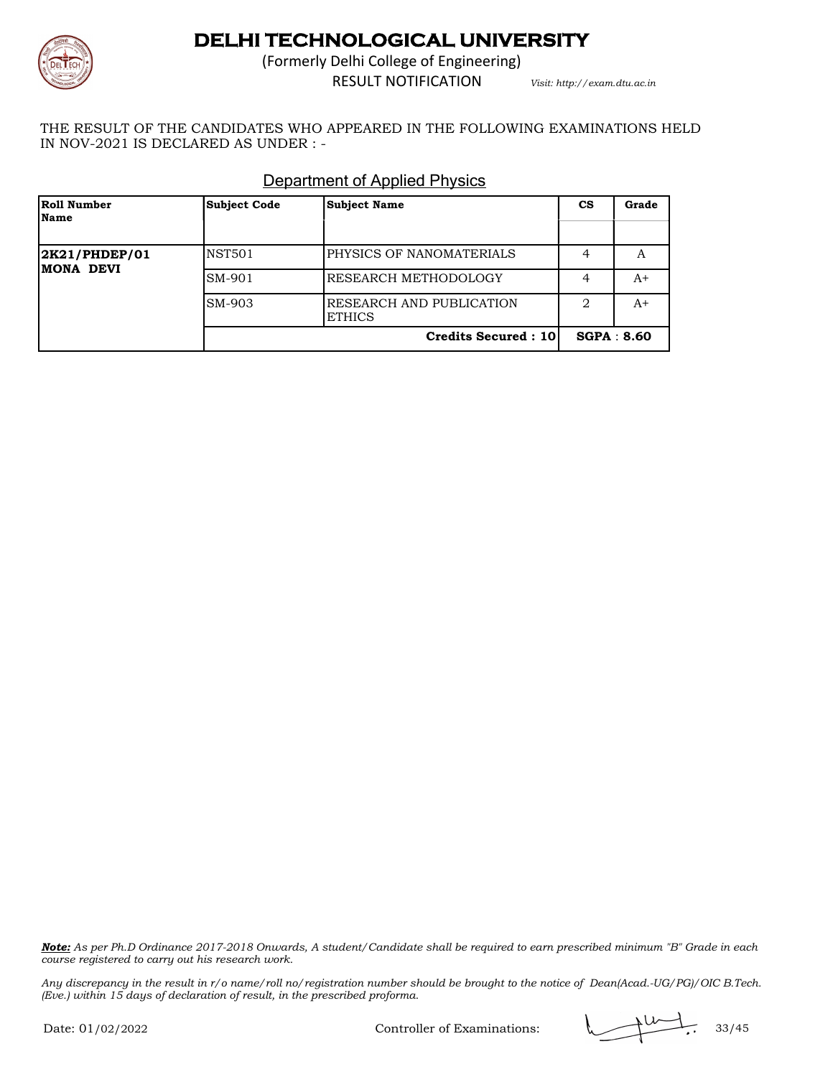

(Formerly Delhi College of Engineering) RESULT NOTIFICATION *Visit: http://exam.dtu.ac.in*

THE RESULT OF THE CANDIDATES WHO APPEARED IN THE FOLLOWING EXAMINATIONS HELD IN NOV-2021 IS DECLARED AS UNDER : -

| Roll Number<br>Name         | <b>Subject Code</b> | <b>Subject Name</b>                       | СS | Grade      |
|-----------------------------|---------------------|-------------------------------------------|----|------------|
| 2K21/PHDEP/01<br>IMONA DEVI | <b>NST501</b>       | PHYSICS OF NANOMATERIALS                  | 4  | А          |
|                             | SM-901              | RESEARCH METHODOLOGY                      | 4  | A+         |
|                             | SM-903              | RESEARCH AND PUBLICATION<br><b>ETHICS</b> | 2  | A+         |
|                             |                     | <b>Credits Secured: 10</b>                |    | SGPA: 8.60 |

### Department of Applied Physics

*Note: As per Ph.D Ordinance 2017-2018 Onwards, A student/Candidate shall be required to earn prescribed minimum "B" Grade in each course registered to carry out his research work.*

*Any discrepancy in the result in r/o name/roll no/registration number should be brought to the notice of Dean(Acad.-UG/PG)/OIC B.Tech. (Eve.) within 15 days of declaration of result, in the prescribed proforma.*

Controller of Examinations:  $\sqrt{2 \times 33/45}$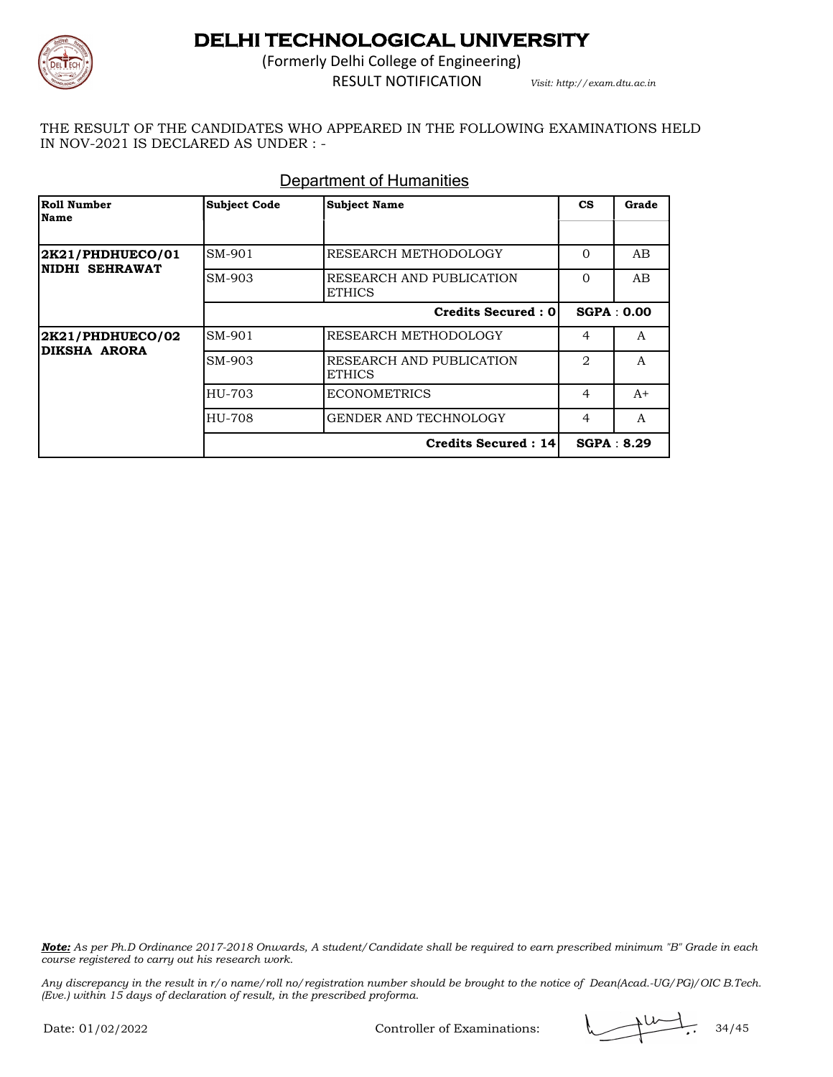

(Formerly Delhi College of Engineering) RESULT NOTIFICATION *Visit: http://exam.dtu.ac.in*

THE RESULT OF THE CANDIDATES WHO APPEARED IN THE FOLLOWING EXAMINATIONS HELD IN NOV-2021 IS DECLARED AS UNDER : -

#### Department of Humanities

| Roll Number<br>Name                | <b>Subject Code</b> | <b>Subject Name</b>                       | $\mathbf{c}\mathbf{s}$ | Grade      |
|------------------------------------|---------------------|-------------------------------------------|------------------------|------------|
|                                    |                     |                                           |                        |            |
| 2K21/PHDHUECO/01<br>NIDHI SEHRAWAT | SM-901              | RESEARCH METHODOLOGY                      | $\Omega$               | AB         |
|                                    | SM-903              | RESEARCH AND PUBLICATION<br><b>ETHICS</b> | $\Omega$               | AB         |
|                                    |                     | Credits Secured : 0                       |                        | SGPA: 0.00 |
| 2K21/PHDHUECO/02                   | SM-901              | <b>RESEARCH METHODOLOGY</b>               | 4                      | A          |
| <b>DIKSHA ARORA</b>                | SM-903              | RESEARCH AND PUBLICATION<br><b>ETHICS</b> | $\mathfrak{D}$         | A          |
|                                    | HU-703              | <b>ECONOMETRICS</b>                       | 4                      | $A+$       |
|                                    | HU-708              | GENDER AND TECHNOLOGY                     | $\overline{4}$         | A          |
|                                    |                     | <b>Credits Secured: 14</b>                |                        | SGPA: 8.29 |

*Note: As per Ph.D Ordinance 2017-2018 Onwards, A student/Candidate shall be required to earn prescribed minimum "B" Grade in each course registered to carry out his research work.*

*Any discrepancy in the result in r/o name/roll no/registration number should be brought to the notice of Dean(Acad.-UG/PG)/OIC B.Tech. (Eve.) within 15 days of declaration of result, in the prescribed proforma.*

Controller of Examinations:  $\sqrt{11/10}$ , 34/45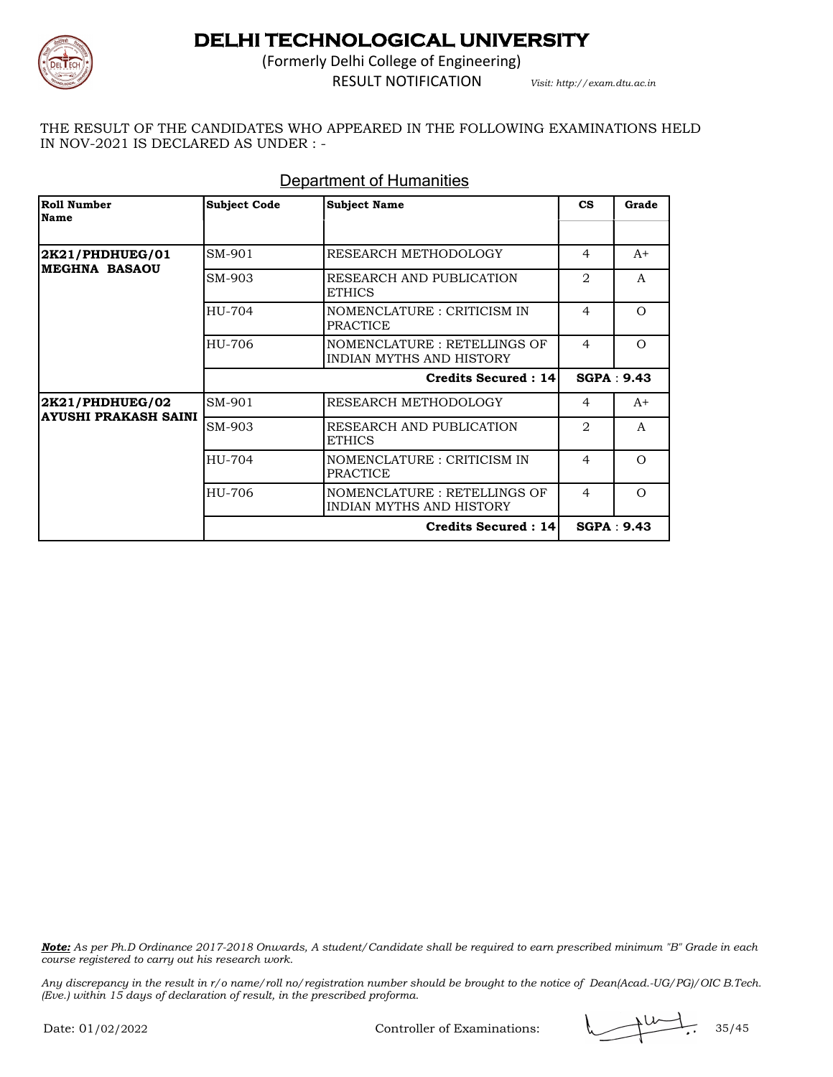

(Formerly Delhi College of Engineering) RESULT NOTIFICATION *Visit: http://exam.dtu.ac.in*

THE RESULT OF THE CANDIDATES WHO APPEARED IN THE FOLLOWING EXAMINATIONS HELD IN NOV-2021 IS DECLARED AS UNDER : -

| Roll Number<br><b>Name</b>              | <b>Subject Code</b> | <b>Subject Name</b>                                     | <b>CS</b>      | Grade             |
|-----------------------------------------|---------------------|---------------------------------------------------------|----------------|-------------------|
|                                         |                     |                                                         |                |                   |
| 2K21/PHDHUEG/01<br><b>MEGHNA BASAOU</b> | SM-901              | RESEARCH METHODOLOGY                                    | 4              | $A+$              |
|                                         | SM-903              | RESEARCH AND PUBLICATION<br><b>ETHICS</b>               | $\overline{2}$ | A                 |
|                                         | HU-704              | NOMENCLATURE : CRITICISM IN<br><b>PRACTICE</b>          | $\overline{4}$ | $\Omega$          |
|                                         | HU-706              | NOMENCLATURE: RETELLINGS OF<br>INDIAN MYTHS AND HISTORY | $\overline{4}$ | $\Omega$          |
|                                         |                     | Credits Secured: 14                                     |                | SGPA: 9.43        |
| <b>2K21/PHDHUEG/02</b>                  | SM-901              | RESEARCH METHODOLOGY                                    | 4              | $A+$              |
| <b>AYUSHI PRAKASH SAINI</b>             | SM-903              | RESEARCH AND PUBLICATION<br><b>ETHICS</b>               | 2              | $\mathsf{A}$      |
|                                         | HU-704              | NOMENCLATURE : CRITICISM IN<br><b>PRACTICE</b>          | $\overline{4}$ | $\Omega$          |
|                                         | HU-706              | NOMENCLATURE: RETELLINGS OF<br>INDIAN MYTHS AND HISTORY | 4              | $\Omega$          |
|                                         |                     | <b>Credits Secured: 14</b>                              |                | <b>SGPA: 9.43</b> |

#### Department of Humanities

*Note: As per Ph.D Ordinance 2017-2018 Onwards, A student/Candidate shall be required to earn prescribed minimum "B" Grade in each course registered to carry out his research work.*

*Any discrepancy in the result in r/o name/roll no/registration number should be brought to the notice of Dean(Acad.-UG/PG)/OIC B.Tech. (Eve.) within 15 days of declaration of result, in the prescribed proforma.*

Controller of Examinations:  $\sqrt{2 \times 35/45}$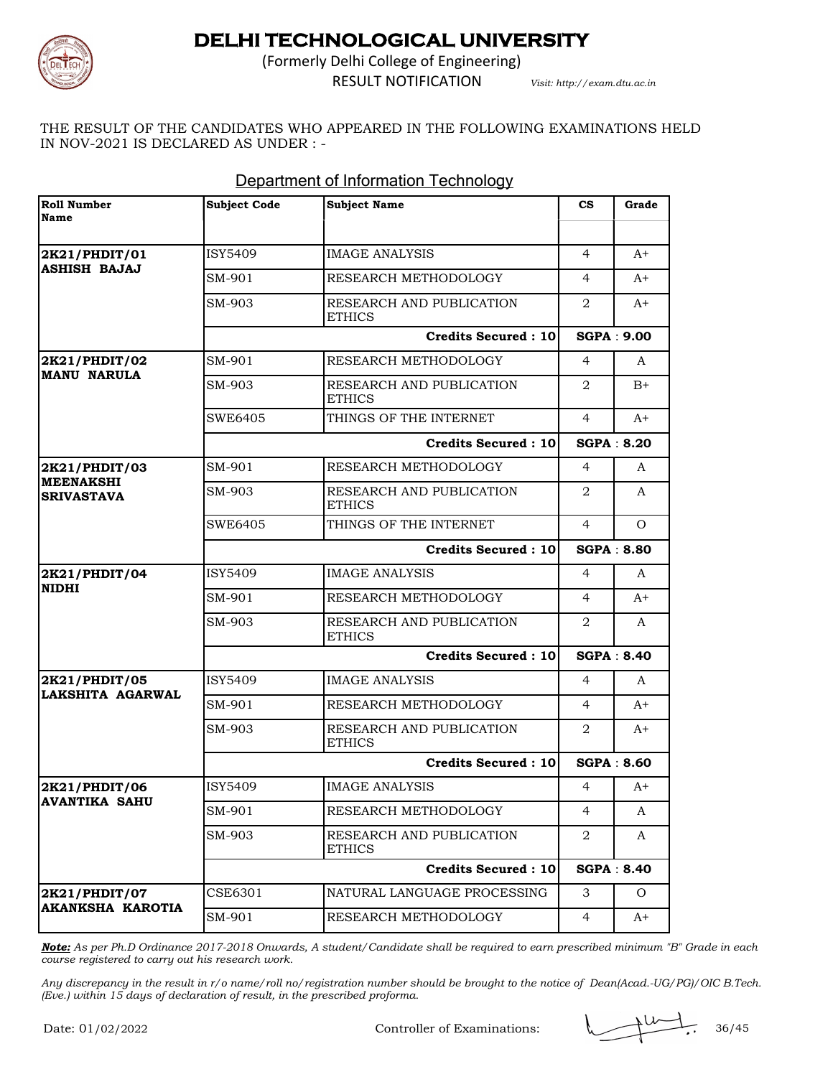

(Formerly Delhi College of Engineering) RESULT NOTIFICATION *Visit: http://exam.dtu.ac.in*

THE RESULT OF THE CANDIDATES WHO APPEARED IN THE FOLLOWING EXAMINATIONS HELD IN NOV-2021 IS DECLARED AS UNDER : -

| Roll Number<br>Name                   | <b>Subject Code</b>        | <b>Subject Name</b>                       | $\mathbf{c}\mathbf{s}$ | Grade             |
|---------------------------------------|----------------------------|-------------------------------------------|------------------------|-------------------|
|                                       |                            |                                           |                        |                   |
| 2K21/PHDIT/01                         | <b>ISY5409</b>             | <b>IMAGE ANALYSIS</b>                     | $\overline{4}$         | $A+$              |
| <b>ASHISH BAJAJ</b>                   | SM-901                     | RESEARCH METHODOLOGY                      | 4                      | $A+$              |
|                                       | SM-903                     | RESEARCH AND PUBLICATION<br><b>ETHICS</b> | 2                      | A+                |
|                                       |                            | <b>Credits Secured: 10</b>                |                        | <b>SGPA: 9.00</b> |
| 2K21/PHDIT/02                         | SM-901                     | RESEARCH METHODOLOGY                      | 4                      | A                 |
| <b>MANU NARULA</b>                    | SM-903                     | RESEARCH AND PUBLICATION<br><b>ETHICS</b> | 2                      | $B+$              |
|                                       | <b>SWE6405</b>             | THINGS OF THE INTERNET                    | $\overline{4}$         | A+                |
|                                       |                            | <b>Credits Secured: 10</b>                |                        | <b>SGPA: 8.20</b> |
| 2K21/PHDIT/03                         | SM-901                     | RESEARCH METHODOLOGY                      | 4                      | A                 |
| <b>MEENAKSHI</b><br><b>SRIVASTAVA</b> | SM-903                     | RESEARCH AND PUBLICATION<br><b>ETHICS</b> | 2                      | A                 |
|                                       | SWE6405                    | THINGS OF THE INTERNET                    | $\overline{4}$         | $\Omega$          |
|                                       | <b>Credits Secured: 10</b> |                                           |                        | <b>SGPA: 8.80</b> |
| 2K21/PHDIT/04                         | ISY5409                    | <b>IMAGE ANALYSIS</b>                     | $\overline{4}$         | A                 |
| <b>NIDHI</b>                          | SM-901                     | RESEARCH METHODOLOGY                      | 4                      | $A+$              |
|                                       | SM-903                     | RESEARCH AND PUBLICATION<br><b>ETHICS</b> | $\overline{2}$         | A                 |
|                                       |                            | <b>Credits Secured: 10</b>                |                        | <b>SGPA: 8.40</b> |
| 2K21/PHDIT/05                         | <b>ISY5409</b>             | <b>IMAGE ANALYSIS</b>                     | 4                      | A                 |
| LAKSHITA AGARWAL                      | SM-901                     | RESEARCH METHODOLOGY                      | 4                      | $A+$              |
|                                       | SM-903                     | RESEARCH AND PUBLICATION<br><b>ETHICS</b> | 2                      | $A+$              |
|                                       |                            | <b>Credits Secured: 10</b>                | <b>SGPA: 8.60</b>      |                   |
| 2K21/PHDIT/06                         | <b>ISY5409</b>             | <b>IMAGE ANALYSIS</b>                     | 4                      | $A+$              |
| <b>AVANTIKA SAHU</b>                  | SM-901                     | RESEARCH METHODOLOGY                      | $\overline{4}$         | A                 |
|                                       | SM-903                     | RESEARCH AND PUBLICATION<br><b>ETHICS</b> | 2                      | A                 |
|                                       | <b>Credits Secured: 10</b> |                                           |                        | <b>SGPA: 8.40</b> |
| 2K21/PHDIT/07                         | CSE6301                    | NATURAL LANGUAGE PROCESSING               | 3                      | Ω                 |
| <b>AKANKSHA KAROTIA</b>               | SM-901                     | RESEARCH METHODOLOGY                      | $\overline{4}$         | A+                |

### Department of Information Technology

*Note: As per Ph.D Ordinance 2017-2018 Onwards, A student/Candidate shall be required to earn prescribed minimum "B" Grade in each course registered to carry out his research work.*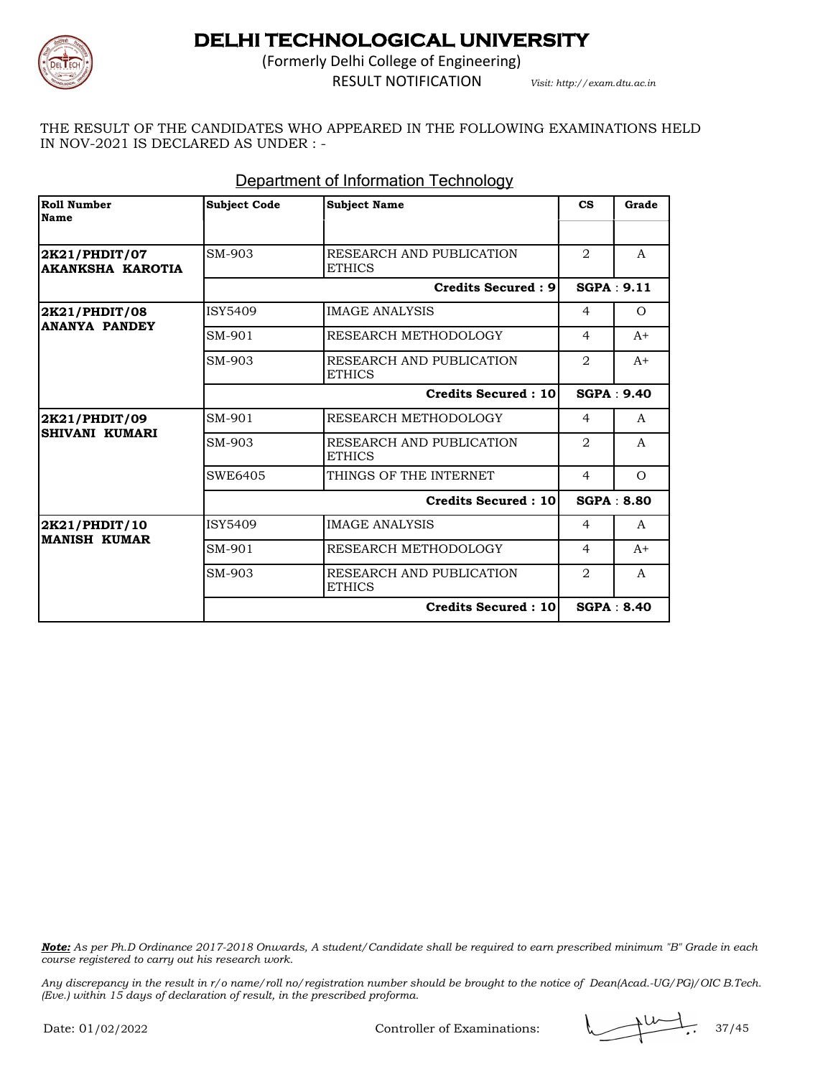

(Formerly Delhi College of Engineering) RESULT NOTIFICATION *Visit: http://exam.dtu.ac.in*

THE RESULT OF THE CANDIDATES WHO APPEARED IN THE FOLLOWING EXAMINATIONS HELD IN NOV-2021 IS DECLARED AS UNDER : -

| <b>Roll Number</b><br><b>Name</b>        | <b>Subject Code</b> | <b>Subject Name</b>                       | $\mathbf{c}\mathbf{s}$ | Grade             |
|------------------------------------------|---------------------|-------------------------------------------|------------------------|-------------------|
| 2K21/PHDIT/07<br><b>AKANKSHA KAROTIA</b> | SM-903              | RESEARCH AND PUBLICATION<br><b>ETHICS</b> | 2                      | A                 |
|                                          |                     | Credits Secured: 9                        | SGPA: 9.11             |                   |
| 2K21/PHDIT/08                            | ISY5409             | <b>IMAGE ANALYSIS</b>                     | $\overline{4}$         | $\Omega$          |
| <b>ANANYA PANDEY</b>                     | SM-901              | RESEARCH METHODOLOGY                      | $\overline{4}$         | $A+$              |
|                                          | SM-903              | RESEARCH AND PUBLICATION<br><b>ETHICS</b> | $\overline{2}$         | $A+$              |
|                                          |                     | <b>Credits Secured: 10</b>                |                        | <b>SGPA: 9.40</b> |
| 2K21/PHDIT/09<br>SHIVANI KUMARI          | SM-901              | RESEARCH METHODOLOGY                      | $\overline{4}$         | A                 |
|                                          | SM-903              | RESEARCH AND PUBLICATION<br><b>ETHICS</b> | 2                      | A                 |
|                                          | SWE6405             | THINGS OF THE INTERNET                    | $\overline{4}$         | $\Omega$          |
|                                          |                     | <b>Credits Secured: 10</b>                |                        | <b>SGPA: 8.80</b> |
| 2K21/PHDIT/10                            | ISY5409             | <b>IMAGE ANALYSIS</b>                     | $\overline{4}$         | $\mathsf{A}$      |
| <b>MANISH KUMAR</b>                      | SM-901              | RESEARCH METHODOLOGY                      | $\overline{4}$         | $A+$              |
|                                          | SM-903              | RESEARCH AND PUBLICATION<br><b>ETHICS</b> | $\overline{2}$         | A                 |
|                                          |                     | Credits Secured: 10                       |                        | <b>SGPA: 8.40</b> |

#### Department of Information Technology

*Note: As per Ph.D Ordinance 2017-2018 Onwards, A student/Candidate shall be required to earn prescribed minimum "B" Grade in each course registered to carry out his research work.*

*Any discrepancy in the result in r/o name/roll no/registration number should be brought to the notice of Dean(Acad.-UG/PG)/OIC B.Tech. (Eve.) within 15 days of declaration of result, in the prescribed proforma.*

Controller of Examinations:  $\sqrt{11/10}$ , 37/45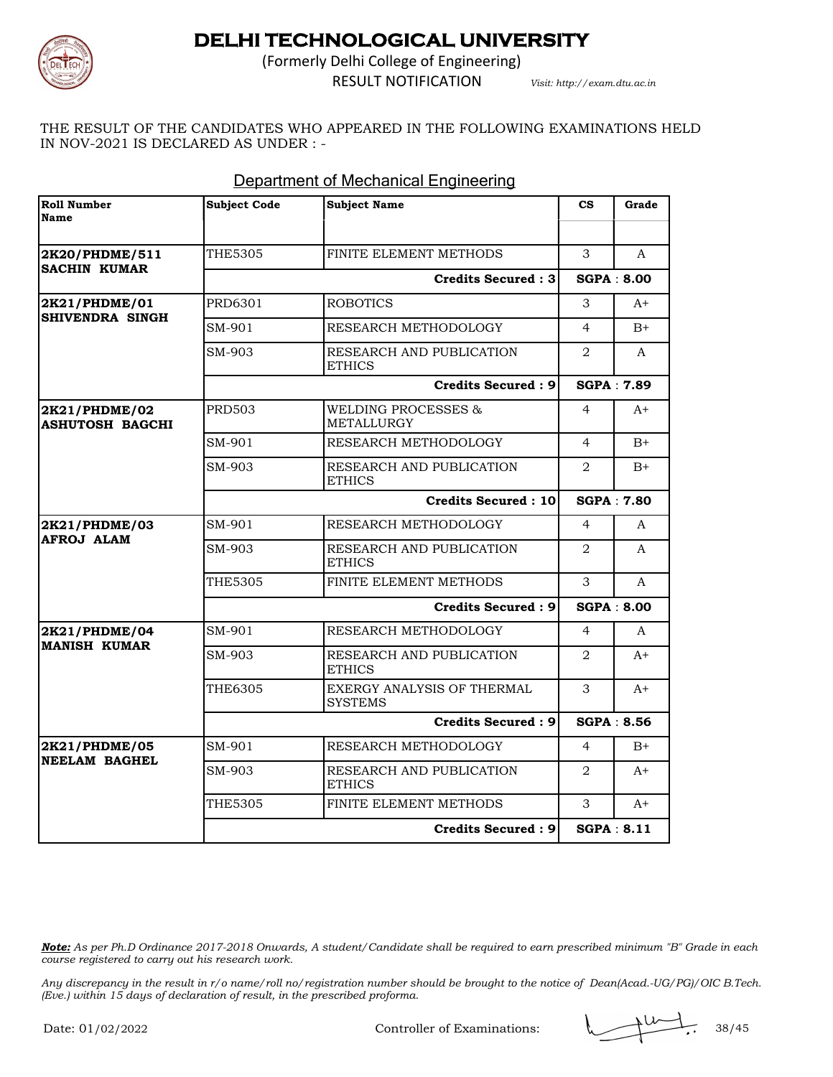

(Formerly Delhi College of Engineering)

RESULT NOTIFICATION *Visit: http://exam.dtu.ac.in*

THE RESULT OF THE CANDIDATES WHO APPEARED IN THE FOLLOWING EXAMINATIONS HELD IN NOV-2021 IS DECLARED AS UNDER : -

| <b>Roll Number</b><br>Name              | Subject Code | <b>Subject Name</b>                          | $\mathbf{c}\mathbf{s}$ | Grade |
|-----------------------------------------|--------------|----------------------------------------------|------------------------|-------|
|                                         |              |                                              |                        |       |
| 2K20/PHDME/511                          | THE5305      | FINITE ELEMENT METHODS                       | 3                      | A     |
| <b>SACHIN KUMAR</b>                     |              | <b>Credits Secured: 3</b>                    | <b>SGPA: 8.00</b>      |       |
| 2K21/PHDME/01                           | PRD6301      | <b>ROBOTICS</b>                              | 3                      | $A+$  |
| SHIVENDRA SINGH                         | SM-901       | RESEARCH METHODOLOGY                         | $\overline{4}$         | $B+$  |
|                                         | SM-903       | RESEARCH AND PUBLICATION<br><b>ETHICS</b>    | $\overline{2}$         | A     |
|                                         |              | <b>Credits Secured: 9</b>                    | <b>SGPA: 7.89</b>      |       |
| 2K21/PHDME/02<br><b>ASHUTOSH BAGCHI</b> | PRD503       | <b>WELDING PROCESSES &amp;</b><br>METALLURGY | $\overline{4}$         | $A+$  |
|                                         | SM-901       | RESEARCH METHODOLOGY                         | $\overline{4}$         | $B+$  |
|                                         | SM-903       | RESEARCH AND PUBLICATION<br><b>ETHICS</b>    | $\overline{2}$         | $B+$  |
|                                         |              | <b>Credits Secured: 10</b>                   | <b>SGPA: 7.80</b>      |       |
| 2K21/PHDME/03<br><b>AFROJ ALAM</b>      | SM-901       | RESEARCH METHODOLOGY                         | $\overline{4}$         | A     |
|                                         | SM-903       | RESEARCH AND PUBLICATION<br><b>ETHICS</b>    | $\mathfrak{D}$         | A     |
|                                         | THE5305      | FINITE ELEMENT METHODS                       | 3                      | A     |
|                                         |              | <b>Credits Secured: 9</b>                    | <b>SGPA: 8.00</b>      |       |
| 2K21/PHDME/04                           | SM-901       | RESEARCH METHODOLOGY                         | $\overline{4}$         | A     |
| <b>MANISH KUMAR</b>                     | SM-903       | RESEARCH AND PUBLICATION<br><b>ETHICS</b>    | $\overline{2}$         | $A+$  |
|                                         | THE6305      | EXERGY ANALYSIS OF THERMAL<br><b>SYSTEMS</b> | 3                      | $A+$  |
|                                         |              | <b>Credits Secured: 9</b>                    | <b>SGPA: 8.56</b>      |       |
| 2K21/PHDME/05                           | SM-901       | RESEARCH METHODOLOGY                         | 4                      | $B+$  |
| <b>NEELAM BAGHEL</b>                    | SM-903       | RESEARCH AND PUBLICATION<br><b>ETHICS</b>    | $\overline{2}$         | $A+$  |
|                                         | THE5305      | FINITE ELEMENT METHODS                       | 3                      | $A+$  |
|                                         |              | Credits Secured: 9                           | SGPA: 8.11             |       |

#### Department of Mechanical Engineering

*Note: As per Ph.D Ordinance 2017-2018 Onwards, A student/Candidate shall be required to earn prescribed minimum "B" Grade in each course registered to carry out his research work.*

*Any discrepancy in the result in r/o name/roll no/registration number should be brought to the notice of Dean(Acad.-UG/PG)/OIC B.Tech. (Eve.) within 15 days of declaration of result, in the prescribed proforma.*

Controller of Examinations:  $\sqrt{2 \times 38/45}$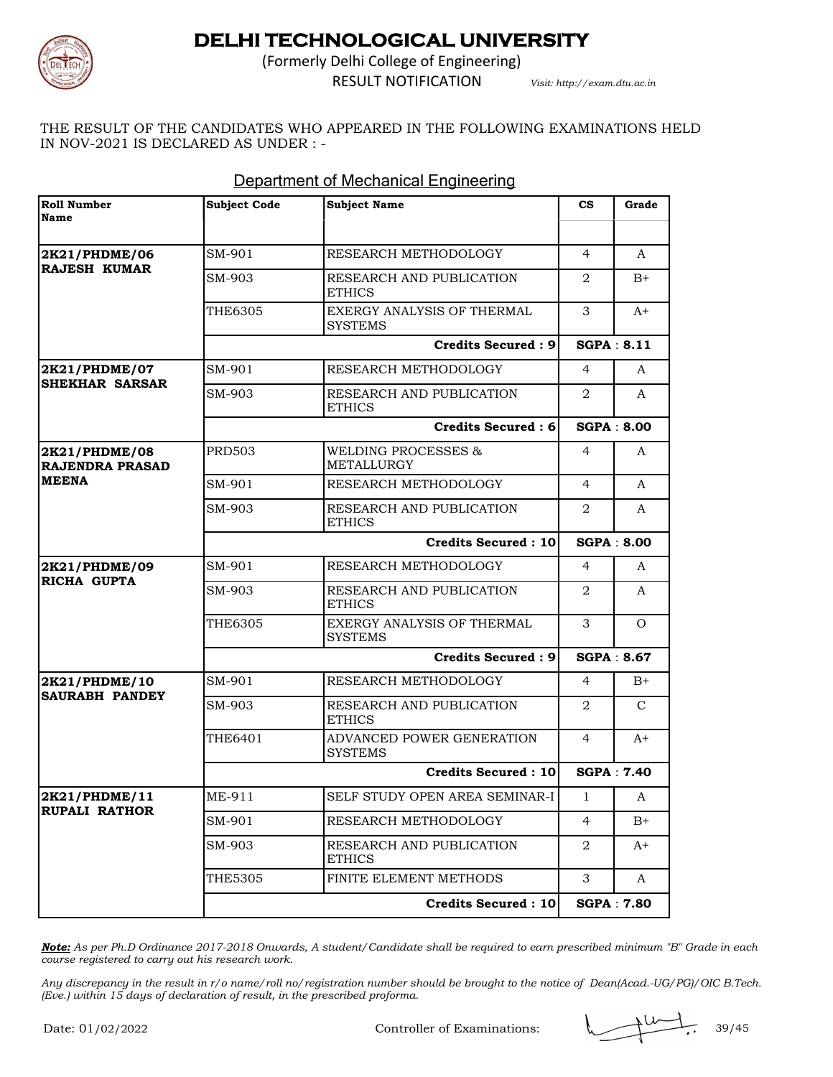

(Formerly Delhi College of Engineering)

RESULT NOTIFICATION *Visit: http://exam.dtu.ac.in*

THE RESULT OF THE CANDIDATES WHO APPEARED IN THE FOLLOWING EXAMINATIONS HELD IN NOV-2021 IS DECLARED AS UNDER : -

| <b>Roll Number</b><br><b>Name</b>       | <b>Subject Code</b> | <b>Subject Name</b>                          | $\mathbf{c}\mathbf{s}$ | Grade             |
|-----------------------------------------|---------------------|----------------------------------------------|------------------------|-------------------|
|                                         |                     |                                              |                        |                   |
| 2K21/PHDME/06<br><b>RAJESH KUMAR</b>    | SM-901              | RESEARCH METHODOLOGY                         | $\overline{4}$         | A                 |
|                                         | SM-903              | RESEARCH AND PUBLICATION<br><b>ETHICS</b>    | 2                      | $B+$              |
|                                         | THE6305             | EXERGY ANALYSIS OF THERMAL<br><b>SYSTEMS</b> | 3                      | A+                |
|                                         |                     | <b>Credits Secured: 9</b>                    |                        | SGPA: 8.11        |
| 2K21/PHDME/07                           | SM-901              | RESEARCH METHODOLOGY                         | 4                      | A                 |
| <b>SHEKHAR SARSAR</b>                   | SM-903              | RESEARCH AND PUBLICATION<br><b>ETHICS</b>    | 2                      | A                 |
|                                         |                     | <b>Credits Secured: 6</b>                    |                        | <b>SGPA: 8.00</b> |
| 2K21/PHDME/08<br><b>RAJENDRA PRASAD</b> | <b>PRD503</b>       | WELDING PROCESSES &<br><b>METALLURGY</b>     | 4                      | A                 |
| <b>MEENA</b>                            | SM-901              | RESEARCH METHODOLOGY                         | 4                      | A                 |
|                                         | SM-903              | RESEARCH AND PUBLICATION<br><b>ETHICS</b>    | $\overline{2}$         | A                 |
|                                         |                     | <b>Credits Secured: 10</b>                   |                        | <b>SGPA: 8.00</b> |
| 2K21/PHDME/09<br>RICHA GUPTA            | SM-901              | RESEARCH METHODOLOGY                         | 4                      | A                 |
|                                         | SM-903              | RESEARCH AND PUBLICATION<br><b>ETHICS</b>    | 2                      | A                 |
|                                         | THE6305             | EXERGY ANALYSIS OF THERMAL<br><b>SYSTEMS</b> | 3                      | $\Omega$          |
|                                         |                     | <b>Credits Secured: 9</b>                    |                        | <b>SGPA: 8.67</b> |
| 2K21/PHDME/10                           | SM-901              | RESEARCH METHODOLOGY                         | 4                      | $B+$              |
| SAURABH PANDEY                          | SM-903              | RESEARCH AND PUBLICATION<br><b>ETHICS</b>    | 2                      | C                 |
|                                         | THE6401             | ADVANCED POWER GENERATION<br><b>SYSTEMS</b>  | $\overline{4}$         | $A+$              |
|                                         |                     | <b>Credits Secured: 10</b>                   |                        | <b>SGPA: 7.40</b> |
| 2K21/PHDME/11                           | ME-911              | SELF STUDY OPEN AREA SEMINAR-I               | $\mathbf{1}$           | A                 |
| <b>RUPALI RATHOR</b>                    | SM-901              | RESEARCH METHODOLOGY                         | 4                      | $B+$              |
|                                         | SM-903              | RESEARCH AND PUBLICATION<br><b>ETHICS</b>    | 2                      | A+                |
|                                         | THE5305             | FINITE ELEMENT METHODS                       | 3                      | A                 |
|                                         |                     | <b>Credits Secured: 10</b>                   |                        | <b>SGPA: 7.80</b> |

### Department of Mechanical Engineering

*Note: As per Ph.D Ordinance 2017-2018 Onwards, A student/Candidate shall be required to earn prescribed minimum "B" Grade in each course registered to carry out his research work.*

*Any discrepancy in the result in r/o name/roll no/registration number should be brought to the notice of Dean(Acad.-UG/PG)/OIC B.Tech. (Eve.) within 15 days of declaration of result, in the prescribed proforma.*

Controller of Examinations:  $\sqrt{2 \times 39/45}$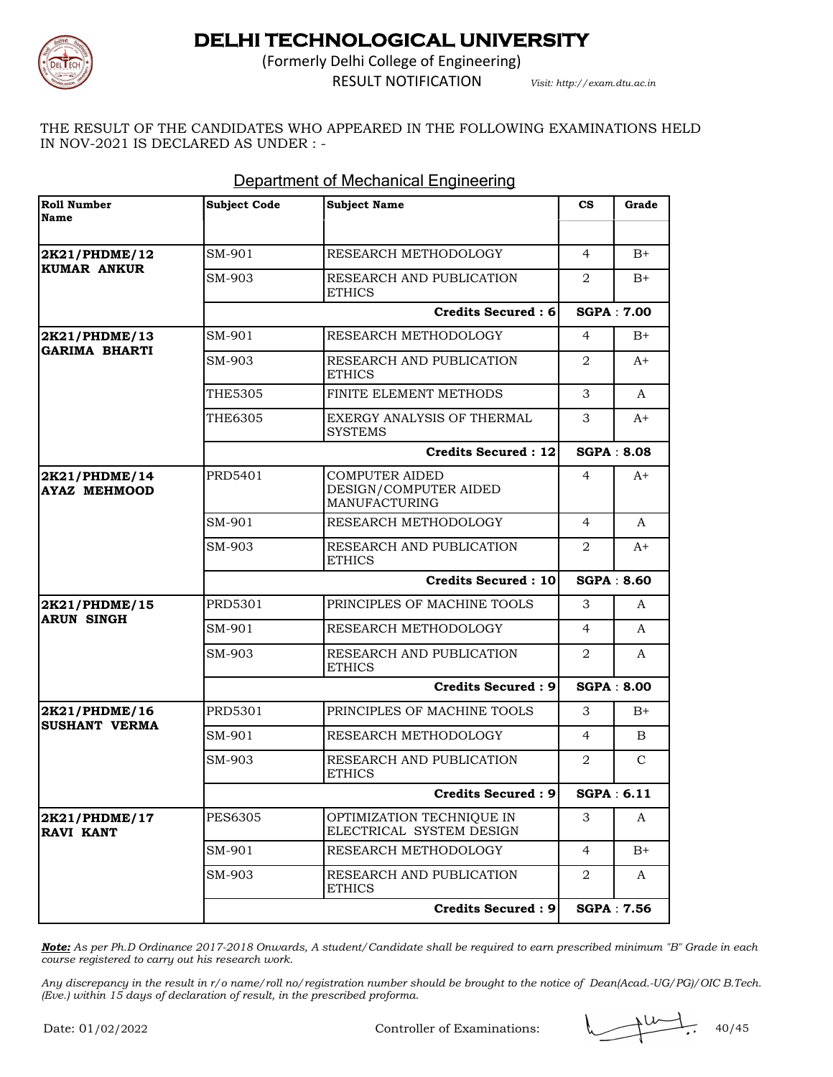

(Formerly Delhi College of Engineering)

RESULT NOTIFICATION *Visit: http://exam.dtu.ac.in*

THE RESULT OF THE CANDIDATES WHO APPEARED IN THE FOLLOWING EXAMINATIONS HELD IN NOV-2021 IS DECLARED AS UNDER : -

| <b>Roll Number</b><br>Name           | <b>Subject Code</b> | <b>Subject Name</b>                                             | $_{\rm cs}$       | Grade |
|--------------------------------------|---------------------|-----------------------------------------------------------------|-------------------|-------|
|                                      |                     |                                                                 |                   |       |
| 2K21/PHDME/12<br><b>KUMAR ANKUR</b>  | SM-901              | RESEARCH METHODOLOGY                                            | $\overline{4}$    | $B+$  |
|                                      | SM-903              | RESEARCH AND PUBLICATION<br><b>ETHICS</b>                       | 2                 | $B+$  |
|                                      |                     | <b>Credits Secured: 6</b>                                       | <b>SGPA: 7.00</b> |       |
| 2K21/PHDME/13                        | SM-901              | RESEARCH METHODOLOGY                                            | $\overline{4}$    | $B+$  |
| <b>GARIMA BHARTI</b>                 | SM-903              | RESEARCH AND PUBLICATION<br><b>ETHICS</b>                       | 2                 | A+    |
|                                      | <b>THE5305</b>      | FINITE ELEMENT METHODS                                          | 3                 | A     |
|                                      | THE6305             | EXERGY ANALYSIS OF THERMAL<br><b>SYSTEMS</b>                    | 3                 | $A+$  |
|                                      |                     | Credits Secured: 12                                             | <b>SGPA: 8.08</b> |       |
| 2K21/PHDME/14<br><b>AYAZ MEHMOOD</b> | PRD5401             | <b>COMPUTER AIDED</b><br>DESIGN/COMPUTER AIDED<br>MANUFACTURING | $\overline{4}$    | $A+$  |
|                                      | SM-901              | RESEARCH METHODOLOGY                                            | 4                 | A     |
|                                      | SM-903              | RESEARCH AND PUBLICATION<br><b>ETHICS</b>                       | 2                 | $A+$  |
|                                      |                     | <b>Credits Secured: 10</b>                                      | <b>SGPA: 8.60</b> |       |
| 2K21/PHDME/15                        | PRD5301             | PRINCIPLES OF MACHINE TOOLS                                     | 3                 | A     |
| <b>ARUN SINGH</b>                    | SM-901              | RESEARCH METHODOLOGY                                            | $\overline{4}$    | A     |
|                                      | SM-903              | RESEARCH AND PUBLICATION<br><b>ETHICS</b>                       | $\overline{2}$    | A     |
|                                      |                     | <b>Credits Secured: 9</b>                                       | <b>SGPA: 8.00</b> |       |
| 2K21/PHDME/16                        | PRD5301             | PRINCIPLES OF MACHINE TOOLS                                     | 3                 | $B+$  |
| <b>SUSHANT VERMA</b>                 | SM-901              | RESEARCH METHODOLOGY                                            | $\overline{4}$    | B     |
|                                      | SM-903              | RESEARCH AND PUBLICATION<br><b>ETHICS</b>                       | 2                 | C     |
|                                      |                     | <b>Credits Secured: 9</b>                                       | SGPA: 6.11        |       |
| 2K21/PHDME/17<br><b>RAVI KANT</b>    | <b>PES6305</b>      | OPTIMIZATION TECHNIQUE IN<br>ELECTRICAL SYSTEM DESIGN           | 3                 | A     |
|                                      | SM-901              | RESEARCH METHODOLOGY                                            | $\overline{4}$    | $B+$  |
|                                      | SM-903              | RESEARCH AND PUBLICATION<br><b>ETHICS</b>                       | 2                 | A     |
|                                      |                     | <b>Credits Secured: 9</b>                                       | <b>SGPA: 7.56</b> |       |

### Department of Mechanical Engineering

*Note: As per Ph.D Ordinance 2017-2018 Onwards, A student/Candidate shall be required to earn prescribed minimum "B" Grade in each course registered to carry out his research work.*

*Any discrepancy in the result in r/o name/roll no/registration number should be brought to the notice of Dean(Acad.-UG/PG)/OIC B.Tech. (Eve.) within 15 days of declaration of result, in the prescribed proforma.*

Controller of Examinations:  $\sqrt{4.40/45}$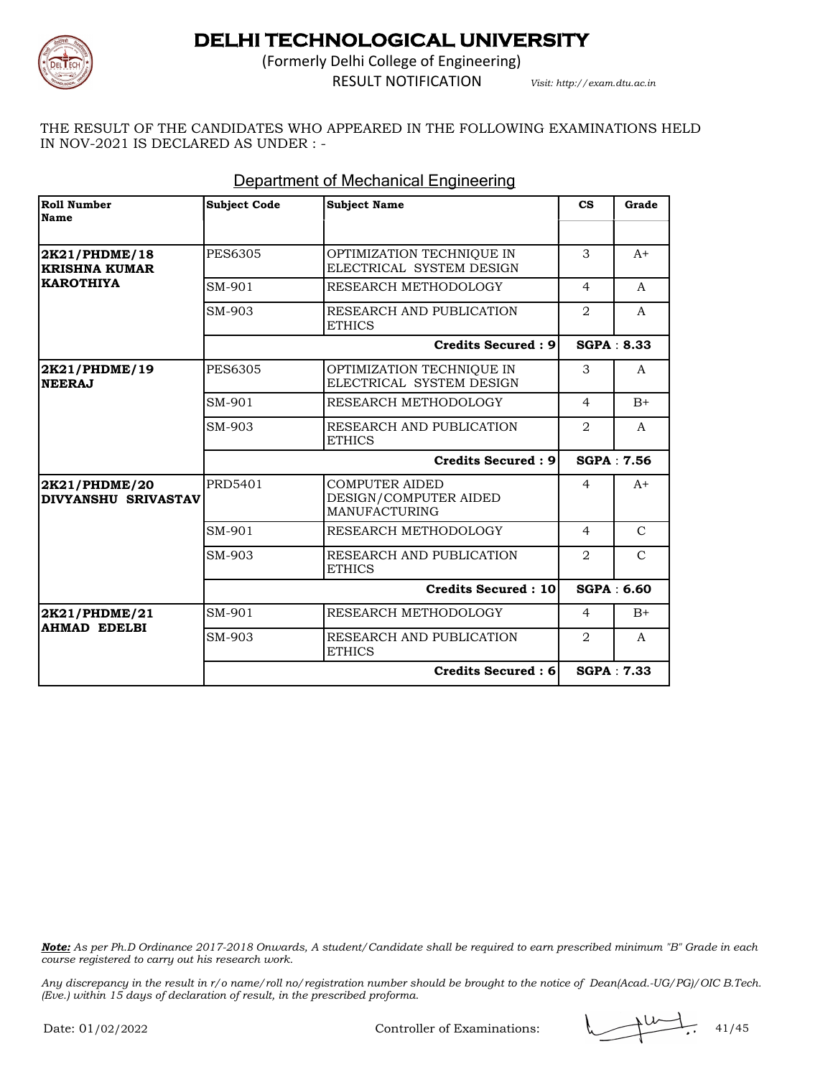

(Formerly Delhi College of Engineering) RESULT NOTIFICATION *Visit: http://exam.dtu.ac.in*

THE RESULT OF THE CANDIDATES WHO APPEARED IN THE FOLLOWING EXAMINATIONS HELD IN NOV-2021 IS DECLARED AS UNDER : -

| <b>Roll Number</b><br>Name            | <b>Subject Code</b> | <b>Subject Name</b>                                                    | $\mathbf{c}\mathbf{s}$ | Grade             |
|---------------------------------------|---------------------|------------------------------------------------------------------------|------------------------|-------------------|
|                                       |                     |                                                                        |                        |                   |
| 2K21/PHDME/18<br><b>KRISHNA KUMAR</b> | <b>PES6305</b>      | OPTIMIZATION TECHNIQUE IN<br>ELECTRICAL SYSTEM DESIGN                  | 3                      | $A+$              |
| <b>KAROTHIYA</b>                      | SM-901              | RESEARCH METHODOLOGY                                                   | $\overline{4}$         | A                 |
|                                       | SM-903              | RESEARCH AND PUBLICATION<br><b>ETHICS</b>                              | 2                      | A                 |
|                                       |                     | <b>Credits Secured: 9</b>                                              |                        | SGPA: 8.33        |
| 2K21/PHDME/19<br><b>NEERAJ</b>        | <b>PES6305</b>      | OPTIMIZATION TECHNIQUE IN<br>ELECTRICAL SYSTEM DESIGN                  | 3                      | A                 |
|                                       | SM-901              | RESEARCH METHODOLOGY                                                   | $\overline{4}$         | $B+$              |
|                                       | SM-903              | RESEARCH AND PUBLICATION<br><b>ETHICS</b>                              | $\overline{2}$         | A                 |
|                                       |                     | <b>Credits Secured: 9</b>                                              | <b>SGPA: 7.56</b>      |                   |
| 2K21/PHDME/20<br>DIVYANSHU SRIVASTAV  | PRD5401             | <b>COMPUTER AIDED</b><br>DESIGN/COMPUTER AIDED<br><b>MANUFACTURING</b> | 4                      | $A+$              |
|                                       | SM-901              | RESEARCH METHODOLOGY                                                   | $\overline{4}$         | $\mathcal{C}$     |
|                                       | SM-903              | RESEARCH AND PUBLICATION<br><b>ETHICS</b>                              | 2                      | $\mathcal{C}$     |
|                                       |                     | <b>Credits Secured: 10</b>                                             | <b>SGPA: 6.60</b>      |                   |
| 2K21/PHDME/21                         | SM-901              | RESEARCH METHODOLOGY                                                   | $\overline{4}$         | $B+$              |
| <b>AHMAD EDELBI</b>                   | SM-903              | RESEARCH AND PUBLICATION<br><b>ETHICS</b>                              | 2                      | A                 |
|                                       |                     | Credits Secured : 6                                                    |                        | <b>SGPA: 7.33</b> |

### Department of Mechanical Engineering

*Note: As per Ph.D Ordinance 2017-2018 Onwards, A student/Candidate shall be required to earn prescribed minimum "B" Grade in each course registered to carry out his research work.*

Controller of Examinations: 41/45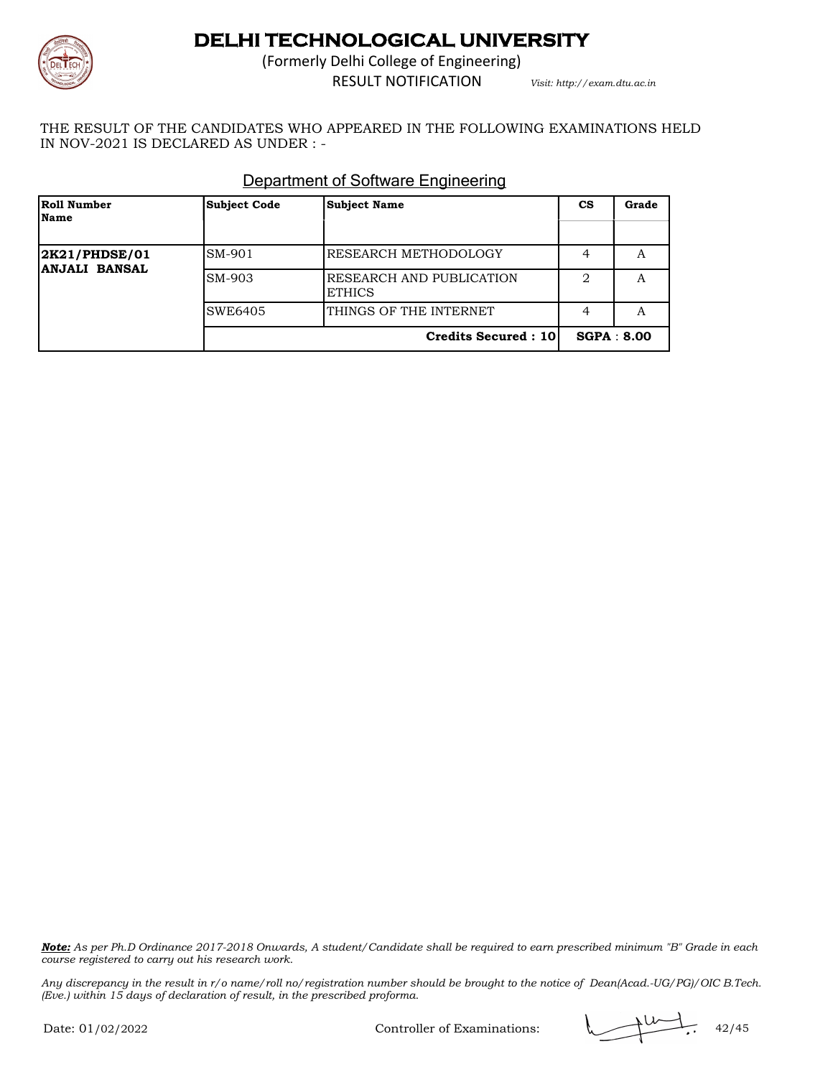

(Formerly Delhi College of Engineering) RESULT NOTIFICATION *Visit: http://exam.dtu.ac.in*

THE RESULT OF THE CANDIDATES WHO APPEARED IN THE FOLLOWING EXAMINATIONS HELD IN NOV-2021 IS DECLARED AS UNDER : -

| Roll Number<br>Name                   | <b>Subject Code</b> | <b>Subject Name</b>                       | CS                            | Grade |
|---------------------------------------|---------------------|-------------------------------------------|-------------------------------|-------|
| 2K21/PHDSE/01<br><b>ANJALI BANSAL</b> | SM-901              | RESEARCH METHODOLOGY                      | 4                             | A     |
|                                       | SM-903              | RESEARCH AND PUBLICATION<br><b>ETHICS</b> | $\mathfrak{D}_{\mathfrak{p}}$ | A     |
|                                       | SWE6405             | THINGS OF THE INTERNET                    | 4                             | A     |
|                                       |                     | <b>Credits Secured: 10</b>                | <b>SGPA: 8.00</b>             |       |

### Department of Software Engineering

*Note: As per Ph.D Ordinance 2017-2018 Onwards, A student/Candidate shall be required to earn prescribed minimum "B" Grade in each course registered to carry out his research work.*

*Any discrepancy in the result in r/o name/roll no/registration number should be brought to the notice of Dean(Acad.-UG/PG)/OIC B.Tech. (Eve.) within 15 days of declaration of result, in the prescribed proforma.*

Controller of Examinations:  $\sqrt{42/45}$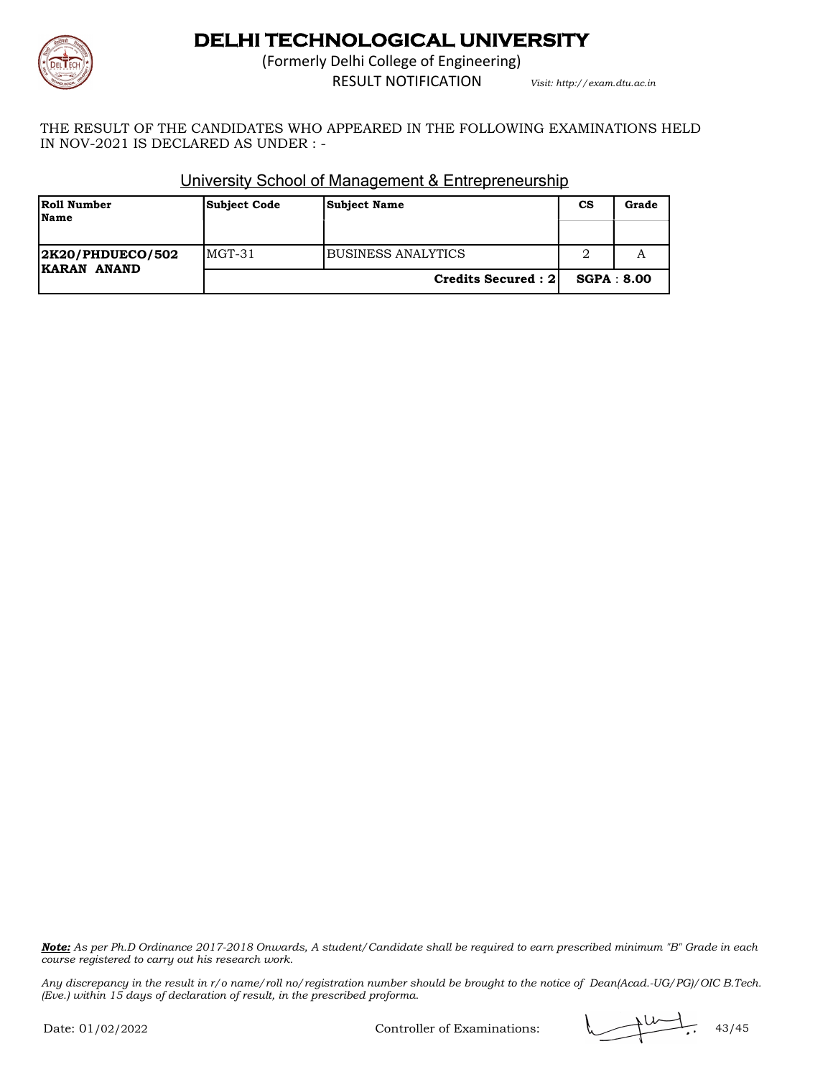

(Formerly Delhi College of Engineering) RESULT NOTIFICATION *Visit: http://exam.dtu.ac.in*

THE RESULT OF THE CANDIDATES WHO APPEARED IN THE FOLLOWING EXAMINATIONS HELD IN NOV-2021 IS DECLARED AS UNDER : -

| Roll Number<br><b>Name</b>             | <b>Subject Code</b> | <b>Subject Name</b>  | <b>CS</b>         | Grade |
|----------------------------------------|---------------------|----------------------|-------------------|-------|
|                                        |                     |                      |                   |       |
| <b>2K20/PHDUECO/502</b><br>KARAN ANAND | $MGT-31$            | BUSINESS ANALYTICS   |                   |       |
|                                        |                     | Credits Secured : 21 | <b>SGPA: 8.00</b> |       |

### University School of Management & Entrepreneurship

*Note: As per Ph.D Ordinance 2017-2018 Onwards, A student/Candidate shall be required to earn prescribed minimum "B" Grade in each course registered to carry out his research work.*

*Any discrepancy in the result in r/o name/roll no/registration number should be brought to the notice of Dean(Acad.-UG/PG)/OIC B.Tech. (Eve.) within 15 days of declaration of result, in the prescribed proforma.*

Controller of Examinations:  $\sqrt{44.43/45}$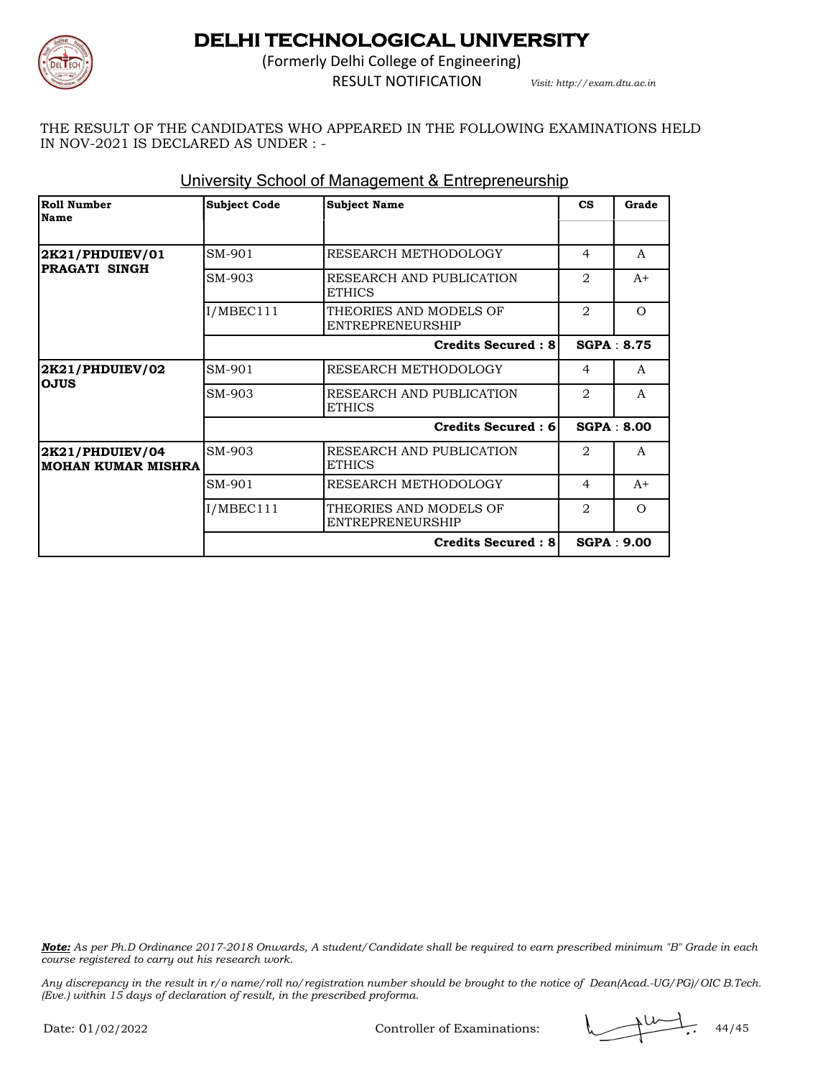

(Formerly Delhi College of Engineering) RESULT NOTIFICATION *Visit: http://exam.dtu.ac.in*

THE RESULT OF THE CANDIDATES WHO APPEARED IN THE FOLLOWING EXAMINATIONS HELD IN NOV-2021 IS DECLARED AS UNDER : -

| Roll Number<br>Name                          | <b>Subject Code</b> | <b>Subject Name</b>                               | $\mathbf{c}\mathbf{s}$ | Grade             |
|----------------------------------------------|---------------------|---------------------------------------------------|------------------------|-------------------|
|                                              |                     |                                                   |                        |                   |
| 2K21/PHDUIEV/01                              | SM-901              | RESEARCH METHODOLOGY                              | $\overline{4}$         | A                 |
| PRAGATI SINGH                                | SM-903              | RESEARCH AND PUBLICATION<br><b>ETHICS</b>         | $\mathfrak{D}$         | $A+$              |
|                                              | I/MBEC111           | THEORIES AND MODELS OF<br><b>ENTREPRENEURSHIP</b> | $\overline{2}$         | $\Omega$          |
|                                              |                     | <b>Credits Secured: 8</b>                         |                        | <b>SGPA: 8.75</b> |
| 2K21/PHDUIEV/02<br><b>OJUS</b>               | SM-901              | RESEARCH METHODOLOGY                              | $\overline{4}$         | A                 |
|                                              | SM-903              | RESEARCH AND PUBLICATION<br><b>ETHICS</b>         | 2                      | $\mathsf{A}$      |
|                                              |                     | Credits Secured: 6                                |                        | SGPA: 8.00        |
| 2K21/PHDUIEV/04<br><b>MOHAN KUMAR MISHRA</b> | SM-903              | RESEARCH AND PUBLICATION<br><b>ETHICS</b>         | $\mathfrak{D}$         | A                 |
|                                              | SM-901              | RESEARCH METHODOLOGY                              | $\overline{4}$         | $A+$              |
|                                              | I/MBEC111           | THEORIES AND MODELS OF<br><b>ENTREPRENEURSHIP</b> | $\overline{2}$         | $\Omega$          |
|                                              |                     | <b>Credits Secured: 8</b>                         |                        | SGPA: 9.00        |

### University School of Management & Entrepreneurship

*Note: As per Ph.D Ordinance 2017-2018 Onwards, A student/Candidate shall be required to earn prescribed minimum "B" Grade in each course registered to carry out his research work.*

*Any discrepancy in the result in r/o name/roll no/registration number should be brought to the notice of Dean(Acad.-UG/PG)/OIC B.Tech. (Eve.) within 15 days of declaration of result, in the prescribed proforma.*

Controller of Examinations:  $\sqrt{44/45}$